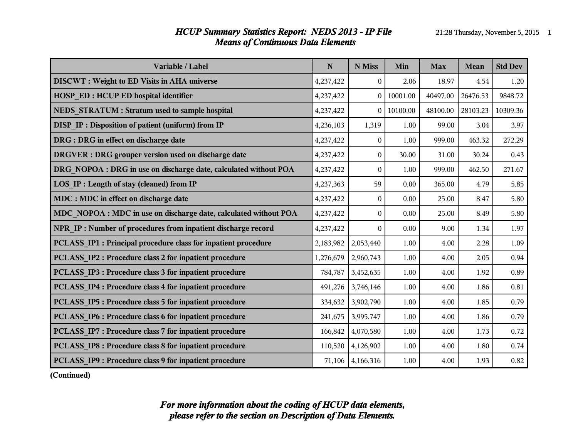#### *HCUP Summary Statistics Report: NEDS 2013 - IP File* 21:28 Thursday, November 5, 2015 **1** *Means of Continuous Data Elements*

| Variable / Label                                                 | ${\bf N}$ | N Miss           | Min      | <b>Max</b> | Mean     | <b>Std Dev</b> |
|------------------------------------------------------------------|-----------|------------------|----------|------------|----------|----------------|
| <b>DISCWT</b> : Weight to ED Visits in AHA universe              | 4,237,422 | $\overline{0}$   | 2.06     | 18.97      | 4.54     | 1.20           |
| <b>HOSP ED: HCUP ED hospital identifier</b>                      | 4,237,422 | $\boldsymbol{0}$ | 10001.00 | 40497.00   | 26476.53 | 9848.72        |
| NEDS STRATUM : Stratum used to sample hospital                   | 4,237,422 | $\theta$         | 10100.00 | 48100.00   | 28103.23 | 10309.36       |
| <b>DISP IP: Disposition of patient (uniform) from IP</b>         | 4,236,103 | 1,319            | 1.00     | 99.00      | 3.04     | 3.97           |
| DRG : DRG in effect on discharge date                            | 4,237,422 | $\mathbf{0}$     | 1.00     | 999.00     | 463.32   | 272.29         |
| DRGVER : DRG grouper version used on discharge date              | 4,237,422 | $\boldsymbol{0}$ | 30.00    | 31.00      | 30.24    | 0.43           |
| DRG NOPOA : DRG in use on discharge date, calculated without POA | 4,237,422 | $\mathbf{0}$     | 1.00     | 999.00     | 462.50   | 271.67         |
| <b>LOS IP: Length of stay (cleaned) from IP</b>                  | 4,237,363 | 59               | 0.00     | 365.00     | 4.79     | 5.85           |
| MDC : MDC in effect on discharge date                            | 4,237,422 | $\mathbf{0}$     | 0.00     | 25.00      | 8.47     | 5.80           |
| MDC NOPOA : MDC in use on discharge date, calculated without POA | 4,237,422 | $\boldsymbol{0}$ | 0.00     | 25.00      | 8.49     | 5.80           |
| NPR IP : Number of procedures from inpatient discharge record    | 4,237,422 | $\theta$         | 0.00     | 9.00       | 1.34     | 1.97           |
| PCLASS IP1 : Principal procedure class for inpatient procedure   | 2,183,982 | 2,053,440        | 1.00     | 4.00       | 2.28     | 1.09           |
| <b>PCLASS IP2: Procedure class 2 for inpatient procedure</b>     | 1,276,679 | 2,960,743        | 1.00     | 4.00       | 2.05     | 0.94           |
| PCLASS IP3 : Procedure class 3 for inpatient procedure           | 784,787   | 3,452,635        | 1.00     | 4.00       | 1.92     | 0.89           |
| <b>PCLASS IP4 : Procedure class 4 for inpatient procedure</b>    | 491,276   | 3,746,146        | 1.00     | 4.00       | 1.86     | $0.81\,$       |
| <b>PCLASS IP5: Procedure class 5 for inpatient procedure</b>     | 334,632   | 3,902,790        | 1.00     | 4.00       | 1.85     | 0.79           |
| <b>PCLASS IP6 : Procedure class 6 for inpatient procedure</b>    | 241,675   | 3,995,747        | 1.00     | 4.00       | 1.86     | 0.79           |
| PCLASS IP7 : Procedure class 7 for inpatient procedure           | 166,842   | 4,070,580        | 1.00     | 4.00       | 1.73     | 0.72           |
| PCLASS_IP8 : Procedure class 8 for inpatient procedure           | 110,520   | 4,126,902        | 1.00     | 4.00       | 1.80     | 0.74           |
| PCLASS IP9 : Procedure class 9 for inpatient procedure           | 71,106    | 4,166,316        | 1.00     | 4.00       | 1.93     | 0.82           |

**(Continued)**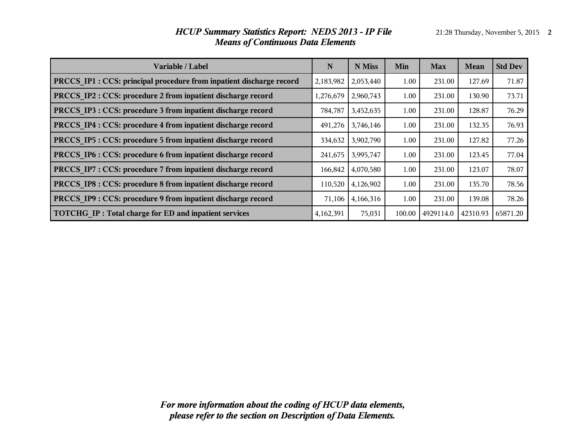# **Variable / Label N N Miss Min Max Mean Std Dev PRCCS IP1 : CCS: principal procedure from inpatient discharge record** 2,183,982 2,053,440 1.00 231.00 127.69 71.87 **PRCCS IP2 : CCS: procedure 2 from inpatient discharge record** 1,276,679 | 2,960,743 | 1.00 | 231.00 | 130.90 | 73.71 **PRCCS\_IP3 : CCS: procedure 3 from inpatient discharge record** 784,787 3,452,635 | 1.00 | 231.00 | 128.87 | 76.29 **PRCCS\_IP4 : CCS: procedure 4 from inpatient discharge record**  $491,276$  3,746,146 1.00 231.00 132.35 76.93 **PRCCS IP5 : CCS: procedure 5 from inpatient discharge record** 334,632 3,902,790 1.00 231.00 127.82 77.26 **PRCCS IP6 : CCS: procedure 6 from inpatient discharge record** 241,675 3,995,747 1.00 231.00 123.45 77.04 **PRCCS IP7 : CCS: procedure 7 from inpatient discharge record** 166,842 4,070,580 1.00 231.00 123.07 78.07 **PRCCS IP8 : CCS: procedure 8 from inpatient discharge record** 110,520 4,126,902 1.00 231.00 135.70 78.56 **PRCCS IP9 : CCS: procedure 9 from inpatient discharge record** 71,106 4,166,316 1.00 231.00 139.08 78.26 **TOTCHG\_IP : Total charge for ED and inpatient services** 4,162,391 75,031 100.00 4929114.0 42310.93 65871.20

#### *HCUP Summary Statistics Report: NEDS 2013 - IP File* 21:28 Thursday, November 5, 2015 2 *Means of Continuous Data Elements*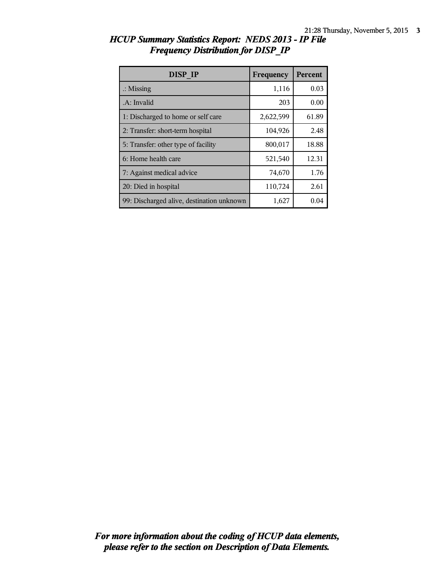| <b>DISP IP</b>                            | Frequency | Percent |
|-------------------------------------------|-----------|---------|
| $\therefore$ Missing                      | 1,116     | 0.03    |
| A: Invalid                                | 203       | 0.00    |
| 1: Discharged to home or self care        | 2,622,599 | 61.89   |
| 2: Transfer: short-term hospital          | 104,926   | 2.48    |
| 5: Transfer: other type of facility       | 800,017   | 18.88   |
| 6: Home health care                       | 521,540   | 12.31   |
| 7: Against medical advice                 | 74,670    | 1.76    |
| 20: Died in hospital                      | 110,724   | 2.61    |
| 99: Discharged alive, destination unknown | 1,627     | 0.04    |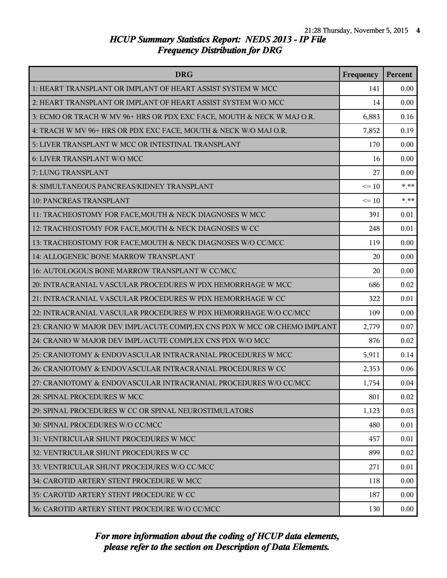| <b>DRG</b>                                                               | Frequency | Percent |
|--------------------------------------------------------------------------|-----------|---------|
| 1: HEART TRANSPLANT OR IMPLANT OF HEART ASSIST SYSTEM W MCC              | 141       | 0.00    |
| 2: HEART TRANSPLANT OR IMPLANT OF HEART ASSIST SYSTEM W/O MCC            | 14        | 0.00    |
| 3: ECMO OR TRACH W MV 96+ HRS OR PDX EXC FACE, MOUTH & NECK W MAJ O.R.   | 6,883     | 0.16    |
| 4: TRACH W MV 96+ HRS OR PDX EXC FACE, MOUTH & NECK W/O MAJ O.R.         | 7,852     | 0.19    |
| 5: LIVER TRANSPLANT W MCC OR INTESTINAL TRANSPLANT                       | 170       | 0.00    |
| 6: LIVER TRANSPLANT W/O MCC                                              | 16        | 0.00    |
| 7: LUNG TRANSPLANT                                                       | 27        | 0.00    |
| 8: SIMULTANEOUS PANCREAS/KIDNEY TRANSPLANT                               | $\leq 10$ | $***$   |
| 10: PANCREAS TRANSPLANT                                                  | $\leq 10$ | $***$   |
| 11: TRACHEOSTOMY FOR FACE, MOUTH & NECK DIAGNOSES W MCC                  | 391       | 0.01    |
| 12: TRACHEOSTOMY FOR FACE, MOUTH & NECK DIAGNOSES W CC                   | 248       | 0.01    |
| 13: TRACHEOSTOMY FOR FACE, MOUTH & NECK DIAGNOSES W/O CC/MCC             | 119       | 0.00    |
| 14: ALLOGENEIC BONE MARROW TRANSPLANT                                    | 20        | 0.00    |
| 16: AUTOLOGOUS BONE MARROW TRANSPLANT W CC/MCC                           | 20        | 0.00    |
| 20: INTRACRANIAL VASCULAR PROCEDURES W PDX HEMORRHAGE W MCC              | 686       | 0.02    |
| 21: INTRACRANIAL VASCULAR PROCEDURES W PDX HEMORRHAGE W CC               | 322       | 0.01    |
| 22: INTRACRANIAL VASCULAR PROCEDURES W PDX HEMORRHAGE W/O CC/MCC         | 109       | 0.00    |
| 23: CRANIO W MAJOR DEV IMPL/ACUTE COMPLEX CNS PDX W MCC OR CHEMO IMPLANT | 2,779     | 0.07    |
| 24: CRANIO W MAJOR DEV IMPL/ACUTE COMPLEX CNS PDX W/O MCC                | 876       | 0.02    |
| 25: CRANIOTOMY & ENDOVASCULAR INTRACRANIAL PROCEDURES W MCC              | 5,911     | 0.14    |
| 26: CRANIOTOMY & ENDOVASCULAR INTRACRANIAL PROCEDURES W CC               | 2,353     | 0.06    |
| 27: CRANIOTOMY & ENDOVASCULAR INTRACRANIAL PROCEDURES W/O CC/MCC         | 1,754     | 0.04    |
| 28: SPINAL PROCEDURES W MCC                                              | 801       | 0.02    |
| 29: SPINAL PROCEDURES W CC OR SPINAL NEUROSTIMULATORS                    | 1,123     | 0.03    |
| 30: SPINAL PROCEDURES W/O CC/MCC                                         | 480       | 0.01    |
| 31: VENTRICULAR SHUNT PROCEDURES W MCC                                   | 457       | 0.01    |
| 32: VENTRICULAR SHUNT PROCEDURES W CC                                    | 899       | 0.02    |
| 33: VENTRICULAR SHUNT PROCEDURES W/O CC/MCC                              | 271       | 0.01    |
| 34: CAROTID ARTERY STENT PROCEDURE W MCC                                 | 118       | 0.00    |
| 35: CAROTID ARTERY STENT PROCEDURE W CC                                  | 187       | 0.00    |
| 36: CAROTID ARTERY STENT PROCEDURE W/O CC/MCC                            | 130       | 0.00    |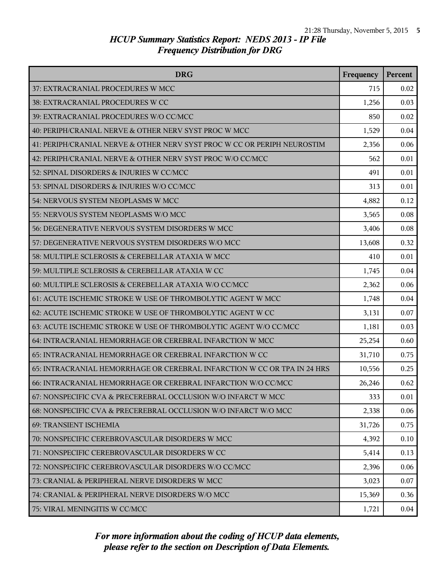| <b>DRG</b>                                                               | Frequency | Percent |
|--------------------------------------------------------------------------|-----------|---------|
| 37: EXTRACRANIAL PROCEDURES W MCC                                        | 715       | 0.02    |
| 38: EXTRACRANIAL PROCEDURES W CC                                         | 1,256     | 0.03    |
| 39: EXTRACRANIAL PROCEDURES W/O CC/MCC                                   | 850       | 0.02    |
| 40: PERIPH/CRANIAL NERVE & OTHER NERV SYST PROC W MCC                    | 1,529     | 0.04    |
| 41: PERIPH/CRANIAL NERVE & OTHER NERV SYST PROC W CC OR PERIPH NEUROSTIM | 2,356     | 0.06    |
| 42: PERIPH/CRANIAL NERVE & OTHER NERV SYST PROC W/O CC/MCC               | 562       | 0.01    |
| 52: SPINAL DISORDERS & INJURIES W CC/MCC                                 | 491       | 0.01    |
| 53: SPINAL DISORDERS & INJURIES W/O CC/MCC                               | 313       | 0.01    |
| 54: NERVOUS SYSTEM NEOPLASMS W MCC                                       | 4,882     | 0.12    |
| 55: NERVOUS SYSTEM NEOPLASMS W/O MCC                                     | 3,565     | 0.08    |
| 56: DEGENERATIVE NERVOUS SYSTEM DISORDERS W MCC                          | 3,406     | 0.08    |
| 57: DEGENERATIVE NERVOUS SYSTEM DISORDERS W/O MCC                        | 13,608    | 0.32    |
| 58: MULTIPLE SCLEROSIS & CEREBELLAR ATAXIA W MCC                         | 410       | 0.01    |
| 59: MULTIPLE SCLEROSIS & CEREBELLAR ATAXIA W CC                          | 1,745     | 0.04    |
| 60: MULTIPLE SCLEROSIS & CEREBELLAR ATAXIA W/O CC/MCC                    | 2,362     | 0.06    |
| 61: ACUTE ISCHEMIC STROKE W USE OF THROMBOLYTIC AGENT W MCC              | 1,748     | 0.04    |
| 62: ACUTE ISCHEMIC STROKE W USE OF THROMBOLYTIC AGENT W CC               | 3,131     | 0.07    |
| 63: ACUTE ISCHEMIC STROKE W USE OF THROMBOLYTIC AGENT W/O CC/MCC         | 1,181     | 0.03    |
| 64: INTRACRANIAL HEMORRHAGE OR CEREBRAL INFARCTION W MCC                 | 25,254    | 0.60    |
| 65: INTRACRANIAL HEMORRHAGE OR CEREBRAL INFARCTION W CC                  | 31,710    | 0.75    |
| 65: INTRACRANIAL HEMORRHAGE OR CEREBRAL INFARCTION W CC OR TPA IN 24 HRS | 10,556    | 0.25    |
| 66: INTRACRANIAL HEMORRHAGE OR CEREBRAL INFARCTION W/O CC/MCC            | 26,246    | 0.62    |
| 67: NONSPECIFIC CVA & PRECEREBRAL OCCLUSION W/O INFARCT W MCC            | 333       | 0.01    |
| 68: NONSPECIFIC CVA & PRECEREBRAL OCCLUSION W/O INFARCT W/O MCC          | 2,338     | 0.06    |
| 69: TRANSIENT ISCHEMIA                                                   | 31,726    | 0.75    |
| 70: NONSPECIFIC CEREBROVASCULAR DISORDERS W MCC                          | 4,392     | 0.10    |
| 71: NONSPECIFIC CEREBROVASCULAR DISORDERS W CC                           | 5,414     | 0.13    |
| 72: NONSPECIFIC CEREBROVASCULAR DISORDERS W/O CC/MCC                     | 2,396     | 0.06    |
| 73: CRANIAL & PERIPHERAL NERVE DISORDERS W MCC                           | 3,023     | 0.07    |
| 74: CRANIAL & PERIPHERAL NERVE DISORDERS W/O MCC                         | 15,369    | 0.36    |
| 75: VIRAL MENINGITIS W CC/MCC                                            | 1,721     | 0.04    |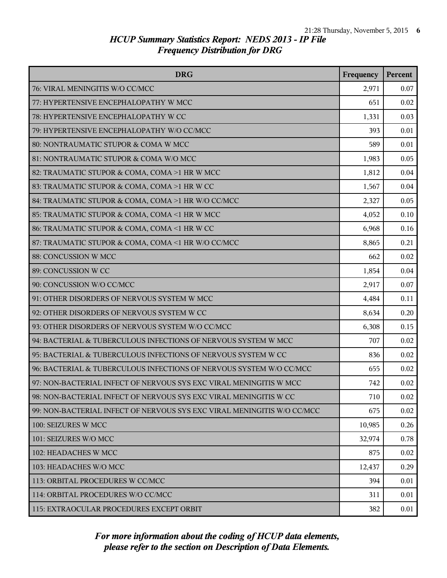| <b>DRG</b>                                                              | Frequency | Percent |
|-------------------------------------------------------------------------|-----------|---------|
| 76: VIRAL MENINGITIS W/O CC/MCC                                         | 2,971     | 0.07    |
| 77: HYPERTENSIVE ENCEPHALOPATHY W MCC                                   | 651       | 0.02    |
| 78: HYPERTENSIVE ENCEPHALOPATHY W CC                                    | 1,331     | 0.03    |
| 79: HYPERTENSIVE ENCEPHALOPATHY W/O CC/MCC                              | 393       | 0.01    |
| 80: NONTRAUMATIC STUPOR & COMA W MCC                                    | 589       | 0.01    |
| 81: NONTRAUMATIC STUPOR & COMA W/O MCC                                  | 1,983     | 0.05    |
| 82: TRAUMATIC STUPOR & COMA, COMA >1 HR W MCC                           | 1,812     | 0.04    |
| 83: TRAUMATIC STUPOR & COMA, COMA >1 HR W CC                            | 1,567     | 0.04    |
| 84: TRAUMATIC STUPOR & COMA, COMA >1 HR W/O CC/MCC                      | 2,327     | 0.05    |
| 85: TRAUMATIC STUPOR & COMA, COMA <1 HR W MCC                           | 4,052     | 0.10    |
| 86: TRAUMATIC STUPOR & COMA, COMA <1 HR W CC                            | 6,968     | 0.16    |
| 87: TRAUMATIC STUPOR & COMA, COMA <1 HR W/O CC/MCC                      | 8,865     | 0.21    |
| 88: CONCUSSION W MCC                                                    | 662       | 0.02    |
| 89: CONCUSSION W CC                                                     | 1,854     | 0.04    |
| 90: CONCUSSION W/O CC/MCC                                               | 2,917     | 0.07    |
| 91: OTHER DISORDERS OF NERVOUS SYSTEM W MCC                             | 4,484     | 0.11    |
| 92: OTHER DISORDERS OF NERVOUS SYSTEM W CC                              | 8,634     | 0.20    |
| 93: OTHER DISORDERS OF NERVOUS SYSTEM W/O CC/MCC                        | 6,308     | 0.15    |
| 94: BACTERIAL & TUBERCULOUS INFECTIONS OF NERVOUS SYSTEM W MCC          | 707       | 0.02    |
| 95: BACTERIAL & TUBERCULOUS INFECTIONS OF NERVOUS SYSTEM W CC           | 836       | 0.02    |
| 96: BACTERIAL & TUBERCULOUS INFECTIONS OF NERVOUS SYSTEM W/O CC/MCC     | 655       | 0.02    |
| 97: NON-BACTERIAL INFECT OF NERVOUS SYS EXC VIRAL MENINGITIS W MCC      | 742       | 0.02    |
| 98: NON-BACTERIAL INFECT OF NERVOUS SYS EXC VIRAL MENINGITIS W CC       | 710       | 0.02    |
| 99: NON-BACTERIAL INFECT OF NERVOUS SYS EXC VIRAL MENINGITIS W/O CC/MCC | 675       | 0.02    |
| 100: SEIZURES W MCC                                                     | 10,985    | 0.26    |
| 101: SEIZURES W/O MCC                                                   | 32,974    | 0.78    |
| 102: HEADACHES W MCC                                                    | 875       | 0.02    |
| 103: HEADACHES W/O MCC                                                  | 12,437    | 0.29    |
| 113: ORBITAL PROCEDURES W CC/MCC                                        | 394       | 0.01    |
| 114: ORBITAL PROCEDURES W/O CC/MCC                                      | 311       | 0.01    |
| 115: EXTRAOCULAR PROCEDURES EXCEPT ORBIT                                | 382       | 0.01    |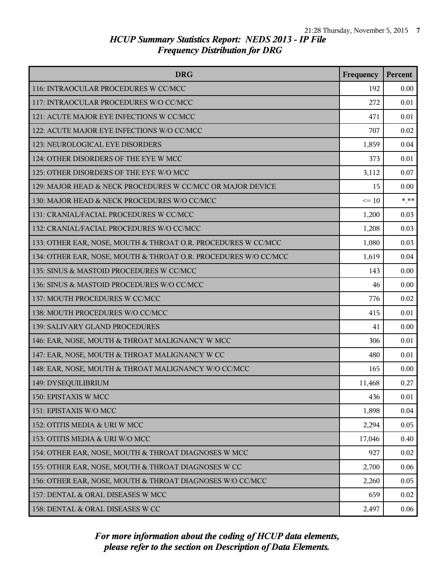| <b>DRG</b>                                                      | Frequency | Percent |
|-----------------------------------------------------------------|-----------|---------|
| 116: INTRAOCULAR PROCEDURES W CC/MCC                            | 192       | 0.00    |
| 117: INTRAOCULAR PROCEDURES W/O CC/MCC                          | 272       | 0.01    |
| 121: ACUTE MAJOR EYE INFECTIONS W CC/MCC                        | 471       | 0.01    |
| 122: ACUTE MAJOR EYE INFECTIONS W/O CC/MCC                      | 707       | 0.02    |
| 123: NEUROLOGICAL EYE DISORDERS                                 | 1,859     | 0.04    |
| 124: OTHER DISORDERS OF THE EYE W MCC                           | 373       | 0.01    |
| 125: OTHER DISORDERS OF THE EYE W/O MCC                         | 3,112     | 0.07    |
| 129: MAJOR HEAD & NECK PROCEDURES W CC/MCC OR MAJOR DEVICE      | 15        | 0.00    |
| 130: MAJOR HEAD & NECK PROCEDURES W/O CC/MCC                    | $\leq 10$ | $***$   |
| 131: CRANIAL/FACIAL PROCEDURES W CC/MCC                         | 1,200     | 0.03    |
| 132: CRANIAL/FACIAL PROCEDURES W/O CC/MCC                       | 1,208     | 0.03    |
| 133: OTHER EAR, NOSE, MOUTH & THROAT O.R. PROCEDURES W CC/MCC   | 1,080     | 0.03    |
| 134: OTHER EAR, NOSE, MOUTH & THROAT O.R. PROCEDURES W/O CC/MCC | 1,619     | 0.04    |
| 135: SINUS & MASTOID PROCEDURES W CC/MCC                        | 143       | 0.00    |
| 136: SINUS & MASTOID PROCEDURES W/O CC/MCC                      | 46        | 0.00    |
| 137: MOUTH PROCEDURES W CC/MCC                                  | 776       | 0.02    |
| 138: MOUTH PROCEDURES W/O CC/MCC                                | 415       | 0.01    |
| 139: SALIVARY GLAND PROCEDURES                                  | 41        | 0.00    |
| 146: EAR, NOSE, MOUTH & THROAT MALIGNANCY W MCC                 | 306       | 0.01    |
| 147: EAR, NOSE, MOUTH & THROAT MALIGNANCY W CC                  | 480       | 0.01    |
| 148: EAR, NOSE, MOUTH & THROAT MALIGNANCY W/O CC/MCC            | 165       | 0.00    |
| 149: DYSEQUILIBRIUM                                             | 11,468    | 0.27    |
| 150: EPISTAXIS W MCC                                            | 436       | 0.01    |
| 151: EPISTAXIS W/O MCC                                          | 1,898     | 0.04    |
| 152: OTITIS MEDIA & URI W MCC                                   | 2,294     | 0.05    |
| 153: OTITIS MEDIA & URI W/O MCC                                 | 17,046    | 0.40    |
| 154: OTHER EAR, NOSE, MOUTH & THROAT DIAGNOSES W MCC            | 927       | 0.02    |
| 155: OTHER EAR, NOSE, MOUTH & THROAT DIAGNOSES W CC             | 2,700     | 0.06    |
| 156: OTHER EAR, NOSE, MOUTH & THROAT DIAGNOSES W/O CC/MCC       | 2,260     | 0.05    |
| 157: DENTAL & ORAL DISEASES W MCC                               | 659       | 0.02    |
| 158: DENTAL & ORAL DISEASES W CC                                | 2,497     | 0.06    |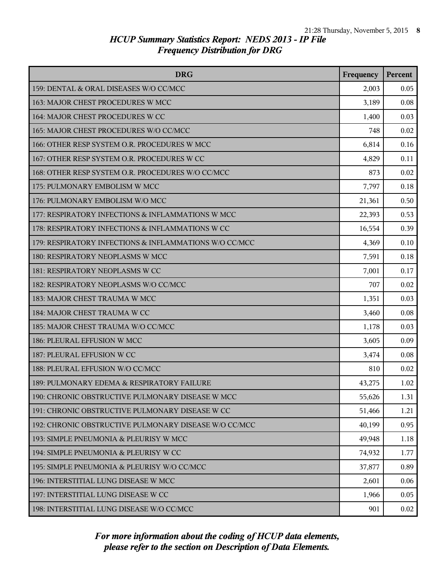| <b>DRG</b>                                             | Frequency | Percent |
|--------------------------------------------------------|-----------|---------|
| 159: DENTAL & ORAL DISEASES W/O CC/MCC                 | 2,003     | 0.05    |
| 163: MAJOR CHEST PROCEDURES W MCC                      | 3,189     | 0.08    |
| 164: MAJOR CHEST PROCEDURES W CC                       | 1,400     | 0.03    |
| 165: MAJOR CHEST PROCEDURES W/O CC/MCC                 | 748       | 0.02    |
| 166: OTHER RESP SYSTEM O.R. PROCEDURES W MCC           | 6,814     | 0.16    |
| 167: OTHER RESP SYSTEM O.R. PROCEDURES W CC            | 4,829     | 0.11    |
| 168: OTHER RESP SYSTEM O.R. PROCEDURES W/O CC/MCC      | 873       | 0.02    |
| 175: PULMONARY EMBOLISM W MCC                          | 7,797     | 0.18    |
| 176: PULMONARY EMBOLISM W/O MCC                        | 21,361    | 0.50    |
| 177: RESPIRATORY INFECTIONS & INFLAMMATIONS W MCC      | 22,393    | 0.53    |
| 178: RESPIRATORY INFECTIONS & INFLAMMATIONS W CC       | 16,554    | 0.39    |
| 179: RESPIRATORY INFECTIONS & INFLAMMATIONS W/O CC/MCC | 4,369     | 0.10    |
| 180: RESPIRATORY NEOPLASMS W MCC                       | 7,591     | 0.18    |
| 181: RESPIRATORY NEOPLASMS W CC                        | 7,001     | 0.17    |
| 182: RESPIRATORY NEOPLASMS W/O CC/MCC                  | 707       | 0.02    |
| 183: MAJOR CHEST TRAUMA W MCC                          | 1,351     | 0.03    |
| 184: MAJOR CHEST TRAUMA W CC                           | 3,460     | 0.08    |
| 185: MAJOR CHEST TRAUMA W/O CC/MCC                     | 1,178     | 0.03    |
| 186: PLEURAL EFFUSION W MCC                            | 3,605     | 0.09    |
| 187: PLEURAL EFFUSION W CC                             | 3,474     | 0.08    |
| 188: PLEURAL EFFUSION W/O CC/MCC                       | 810       | 0.02    |
| 189: PULMONARY EDEMA & RESPIRATORY FAILURE             | 43,275    | 1.02    |
| 190: CHRONIC OBSTRUCTIVE PULMONARY DISEASE W MCC       | 55,626    | 1.31    |
| 191: CHRONIC OBSTRUCTIVE PULMONARY DISEASE W CC        | 51,466    | 1.21    |
| 192: CHRONIC OBSTRUCTIVE PULMONARY DISEASE W/O CC/MCC  | 40,199    | 0.95    |
| 193: SIMPLE PNEUMONIA & PLEURISY W MCC                 | 49,948    | 1.18    |
| 194: SIMPLE PNEUMONIA & PLEURISY W CC                  | 74,932    | 1.77    |
| 195: SIMPLE PNEUMONIA & PLEURISY W/O CC/MCC            | 37,877    | 0.89    |
| 196: INTERSTITIAL LUNG DISEASE W MCC                   | 2,601     | 0.06    |
| 197: INTERSTITIAL LUNG DISEASE W CC                    | 1,966     | 0.05    |
| 198: INTERSTITIAL LUNG DISEASE W/O CC/MCC              | 901       | 0.02    |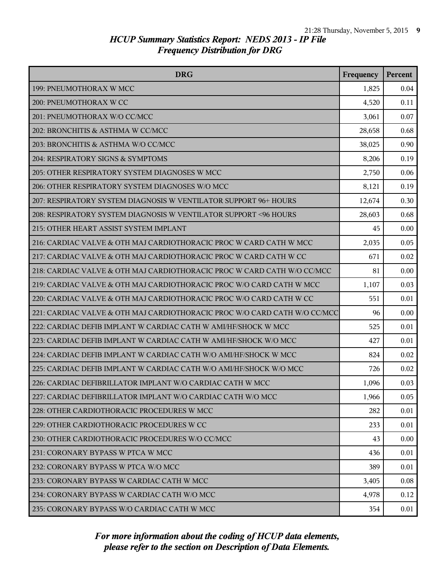| <b>DRG</b>                                                                | Frequency | Percent |
|---------------------------------------------------------------------------|-----------|---------|
| 199: PNEUMOTHORAX W MCC                                                   | 1,825     | 0.04    |
| 200: PNEUMOTHORAX W CC                                                    | 4,520     | 0.11    |
| 201: PNEUMOTHORAX W/O CC/MCC                                              | 3,061     | 0.07    |
| 202: BRONCHITIS & ASTHMA W CC/MCC                                         | 28,658    | 0.68    |
| 203: BRONCHITIS & ASTHMA W/O CC/MCC                                       | 38,025    | 0.90    |
| 204: RESPIRATORY SIGNS & SYMPTOMS                                         | 8,206     | 0.19    |
| 205: OTHER RESPIRATORY SYSTEM DIAGNOSES W MCC                             | 2,750     | 0.06    |
| 206: OTHER RESPIRATORY SYSTEM DIAGNOSES W/O MCC                           | 8,121     | 0.19    |
| 207: RESPIRATORY SYSTEM DIAGNOSIS W VENTILATOR SUPPORT 96+ HOURS          | 12,674    | 0.30    |
| 208: RESPIRATORY SYSTEM DIAGNOSIS W VENTILATOR SUPPORT <96 HOURS          | 28,603    | 0.68    |
| 215: OTHER HEART ASSIST SYSTEM IMPLANT                                    | 45        | 0.00    |
| 216: CARDIAC VALVE & OTH MAJ CARDIOTHORACIC PROC W CARD CATH W MCC        | 2,035     | 0.05    |
| 217: CARDIAC VALVE & OTH MAJ CARDIOTHORACIC PROC W CARD CATH W CC         | 671       | 0.02    |
| 218: CARDIAC VALVE & OTH MAJ CARDIOTHORACIC PROC W CARD CATH W/O CC/MCC   | 81        | 0.00    |
| 219: CARDIAC VALVE & OTH MAJ CARDIOTHORACIC PROC W/O CARD CATH W MCC      | 1,107     | 0.03    |
| 220: CARDIAC VALVE & OTH MAJ CARDIOTHORACIC PROC W/O CARD CATH W CC       | 551       | 0.01    |
| 221: CARDIAC VALVE & OTH MAJ CARDIOTHORACIC PROC W/O CARD CATH W/O CC/MCC | 96        | 0.00    |
| 222: CARDIAC DEFIB IMPLANT W CARDIAC CATH W AMI/HF/SHOCK W MCC            | 525       | 0.01    |
| 223: CARDIAC DEFIB IMPLANT W CARDIAC CATH W AMI/HF/SHOCK W/O MCC          | 427       | 0.01    |
| 224: CARDIAC DEFIB IMPLANT W CARDIAC CATH W/O AMI/HF/SHOCK W MCC          | 824       | 0.02    |
| 225: CARDIAC DEFIB IMPLANT W CARDIAC CATH W/O AMI/HF/SHOCK W/O MCC        | 726       | 0.02    |
| 226: CARDIAC DEFIBRILLATOR IMPLANT W/O CARDIAC CATH W MCC                 | 1,096     | 0.03    |
| 227: CARDIAC DEFIBRILLATOR IMPLANT W/O CARDIAC CATH W/O MCC               | 1,966     | 0.05    |
| 228: OTHER CARDIOTHORACIC PROCEDURES W MCC                                | 282       | 0.01    |
| 229: OTHER CARDIOTHORACIC PROCEDURES W CC                                 | 233       | 0.01    |
| 230: OTHER CARDIOTHORACIC PROCEDURES W/O CC/MCC                           | 43        | 0.00    |
| 231: CORONARY BYPASS W PTCA W MCC                                         | 436       | 0.01    |
| 232: CORONARY BYPASS W PTCA W/O MCC                                       | 389       | 0.01    |
| 233: CORONARY BYPASS W CARDIAC CATH W MCC                                 | 3,405     | 0.08    |
| 234: CORONARY BYPASS W CARDIAC CATH W/O MCC                               | 4,978     | 0.12    |
| 235: CORONARY BYPASS W/O CARDIAC CATH W MCC                               | 354       | 0.01    |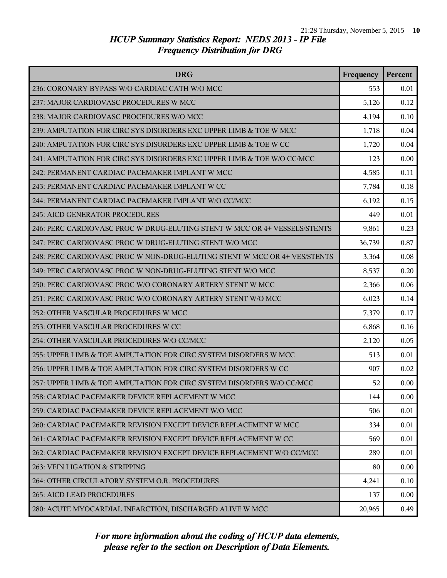| <b>DRG</b>                                                                | Frequency | Percent |
|---------------------------------------------------------------------------|-----------|---------|
| 236: CORONARY BYPASS W/O CARDIAC CATH W/O MCC                             | 553       | 0.01    |
| 237: MAJOR CARDIOVASC PROCEDURES W MCC                                    | 5,126     | 0.12    |
| 238: MAJOR CARDIOVASC PROCEDURES W/O MCC                                  | 4,194     | 0.10    |
| 239: AMPUTATION FOR CIRC SYS DISORDERS EXC UPPER LIMB & TOE W MCC         | 1,718     | 0.04    |
| 240: AMPUTATION FOR CIRC SYS DISORDERS EXC UPPER LIMB & TOE W CC          | 1,720     | 0.04    |
| 241: AMPUTATION FOR CIRC SYS DISORDERS EXC UPPER LIMB & TOE W/O CC/MCC    | 123       | 0.00    |
| 242: PERMANENT CARDIAC PACEMAKER IMPLANT W MCC                            | 4,585     | 0.11    |
| 243: PERMANENT CARDIAC PACEMAKER IMPLANT W CC                             | 7,784     | 0.18    |
| 244: PERMANENT CARDIAC PACEMAKER IMPLANT W/O CC/MCC                       | 6,192     | 0.15    |
| <b>245: AICD GENERATOR PROCEDURES</b>                                     | 449       | 0.01    |
| 246: PERC CARDIOVASC PROC W DRUG-ELUTING STENT W MCC OR 4+ VESSELS/STENTS | 9,861     | 0.23    |
| 247: PERC CARDIOVASC PROC W DRUG-ELUTING STENT W/O MCC                    | 36,739    | 0.87    |
| 248: PERC CARDIOVASC PROC W NON-DRUG-ELUTING STENT W MCC OR 4+ VES/STENTS | 3,364     | 0.08    |
| 249: PERC CARDIOVASC PROC W NON-DRUG-ELUTING STENT W/O MCC                | 8,537     | 0.20    |
| 250: PERC CARDIOVASC PROC W/O CORONARY ARTERY STENT W MCC                 | 2,366     | 0.06    |
| 251: PERC CARDIOVASC PROC W/O CORONARY ARTERY STENT W/O MCC               | 6,023     | 0.14    |
| 252: OTHER VASCULAR PROCEDURES W MCC                                      | 7,379     | 0.17    |
| 253: OTHER VASCULAR PROCEDURES W CC                                       | 6,868     | 0.16    |
| 254: OTHER VASCULAR PROCEDURES W/O CC/MCC                                 | 2,120     | 0.05    |
| 255: UPPER LIMB & TOE AMPUTATION FOR CIRC SYSTEM DISORDERS W MCC          | 513       | 0.01    |
| 256: UPPER LIMB & TOE AMPUTATION FOR CIRC SYSTEM DISORDERS W CC           | 907       | 0.02    |
| 257: UPPER LIMB & TOE AMPUTATION FOR CIRC SYSTEM DISORDERS W/O CC/MCC     | 52        | 0.00    |
| 258: CARDIAC PACEMAKER DEVICE REPLACEMENT W MCC                           | 144       | 0.00    |
| 259: CARDIAC PACEMAKER DEVICE REPLACEMENT W/O MCC                         | 506       | 0.01    |
| 260: CARDIAC PACEMAKER REVISION EXCEPT DEVICE REPLACEMENT W MCC           | 334       | 0.01    |
| 261: CARDIAC PACEMAKER REVISION EXCEPT DEVICE REPLACEMENT W CC            | 569       | 0.01    |
| 262: CARDIAC PACEMAKER REVISION EXCEPT DEVICE REPLACEMENT W/O CC/MCC      | 289       | 0.01    |
| 263: VEIN LIGATION & STRIPPING                                            | 80        | 0.00    |
| 264: OTHER CIRCULATORY SYSTEM O.R. PROCEDURES                             | 4,241     | 0.10    |
| 265: AICD LEAD PROCEDURES                                                 | 137       | 0.00    |
| 280: ACUTE MYOCARDIAL INFARCTION, DISCHARGED ALIVE W MCC                  | 20,965    | 0.49    |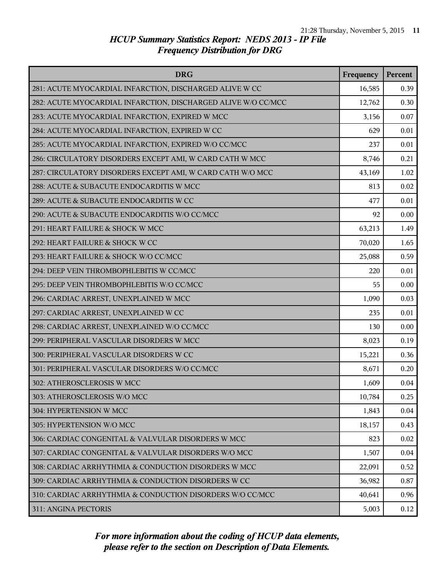| <b>DRG</b>                                                    | Frequency | Percent |
|---------------------------------------------------------------|-----------|---------|
| 281: ACUTE MYOCARDIAL INFARCTION, DISCHARGED ALIVE W CC       | 16,585    | 0.39    |
| 282: ACUTE MYOCARDIAL INFARCTION, DISCHARGED ALIVE W/O CC/MCC | 12,762    | 0.30    |
| 283: ACUTE MYOCARDIAL INFARCTION, EXPIRED W MCC               | 3,156     | 0.07    |
| 284: ACUTE MYOCARDIAL INFARCTION, EXPIRED W CC                | 629       | 0.01    |
| 285: ACUTE MYOCARDIAL INFARCTION, EXPIRED W/O CC/MCC          | 237       | 0.01    |
| 286: CIRCULATORY DISORDERS EXCEPT AMI, W CARD CATH W MCC      | 8,746     | 0.21    |
| 287: CIRCULATORY DISORDERS EXCEPT AMI, W CARD CATH W/O MCC    | 43,169    | 1.02    |
| 288: ACUTE & SUBACUTE ENDOCARDITIS W MCC                      | 813       | 0.02    |
| 289: ACUTE & SUBACUTE ENDOCARDITIS W CC                       | 477       | 0.01    |
| 290: ACUTE & SUBACUTE ENDOCARDITIS W/O CC/MCC                 | 92        | 0.00    |
| 291: HEART FAILURE & SHOCK W MCC                              | 63,213    | 1.49    |
| 292: HEART FAILURE & SHOCK W CC                               | 70,020    | 1.65    |
| 293: HEART FAILURE & SHOCK W/O CC/MCC                         | 25,088    | 0.59    |
| 294: DEEP VEIN THROMBOPHLEBITIS W CC/MCC                      | 220       | 0.01    |
| 295: DEEP VEIN THROMBOPHLEBITIS W/O CC/MCC                    | 55        | 0.00    |
| 296: CARDIAC ARREST, UNEXPLAINED W MCC                        | 1,090     | 0.03    |
| 297: CARDIAC ARREST, UNEXPLAINED W CC                         | 235       | 0.01    |
| 298: CARDIAC ARREST, UNEXPLAINED W/O CC/MCC                   | 130       | 0.00    |
| 299: PERIPHERAL VASCULAR DISORDERS W MCC                      | 8,023     | 0.19    |
| 300: PERIPHERAL VASCULAR DISORDERS W CC                       | 15,221    | 0.36    |
| 301: PERIPHERAL VASCULAR DISORDERS W/O CC/MCC                 | 8,671     | 0.20    |
| 302: ATHEROSCLEROSIS W MCC                                    | 1,609     | 0.04    |
| 303: ATHEROSCLEROSIS W/O MCC                                  | 10,784    | 0.25    |
| 304: HYPERTENSION W MCC                                       | 1,843     | 0.04    |
| 305: HYPERTENSION W/O MCC                                     | 18,157    | 0.43    |
| 306: CARDIAC CONGENITAL & VALVULAR DISORDERS W MCC            | 823       | 0.02    |
| 307: CARDIAC CONGENITAL & VALVULAR DISORDERS W/O MCC          | 1,507     | 0.04    |
| 308: CARDIAC ARRHYTHMIA & CONDUCTION DISORDERS W MCC          | 22,091    | 0.52    |
| 309: CARDIAC ARRHYTHMIA & CONDUCTION DISORDERS W CC           | 36,982    | 0.87    |
| 310: CARDIAC ARRHYTHMIA & CONDUCTION DISORDERS W/O CC/MCC     | 40,641    | 0.96    |
| 311: ANGINA PECTORIS                                          | 5,003     | 0.12    |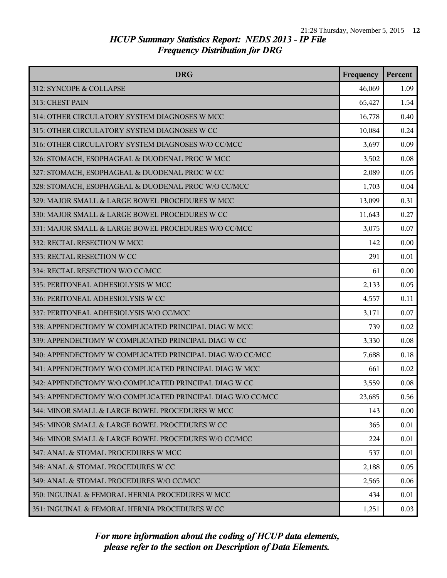| <b>DRG</b>                                                  | Frequency | Percent |
|-------------------------------------------------------------|-----------|---------|
| 312: SYNCOPE & COLLAPSE                                     | 46,069    | 1.09    |
| 313: CHEST PAIN                                             | 65,427    | 1.54    |
| 314: OTHER CIRCULATORY SYSTEM DIAGNOSES W MCC               | 16,778    | 0.40    |
| 315: OTHER CIRCULATORY SYSTEM DIAGNOSES W CC                | 10,084    | 0.24    |
| 316: OTHER CIRCULATORY SYSTEM DIAGNOSES W/O CC/MCC          | 3,697     | 0.09    |
| 326: STOMACH, ESOPHAGEAL & DUODENAL PROC W MCC              | 3,502     | 0.08    |
| 327: STOMACH, ESOPHAGEAL & DUODENAL PROC W CC               | 2,089     | 0.05    |
| 328: STOMACH, ESOPHAGEAL & DUODENAL PROC W/O CC/MCC         | 1,703     | 0.04    |
| 329: MAJOR SMALL & LARGE BOWEL PROCEDURES W MCC             | 13,099    | 0.31    |
| 330: MAJOR SMALL & LARGE BOWEL PROCEDURES W CC              | 11,643    | 0.27    |
| 331: MAJOR SMALL & LARGE BOWEL PROCEDURES W/O CC/MCC        | 3,075     | 0.07    |
| 332: RECTAL RESECTION W MCC                                 | 142       | 0.00    |
| 333: RECTAL RESECTION W CC                                  | 291       | 0.01    |
| 334: RECTAL RESECTION W/O CC/MCC                            | 61        | 0.00    |
| 335: PERITONEAL ADHESIOLYSIS W MCC                          | 2,133     | 0.05    |
| 336: PERITONEAL ADHESIOLYSIS W CC                           | 4,557     | 0.11    |
| 337: PERITONEAL ADHESIOLYSIS W/O CC/MCC                     | 3,171     | 0.07    |
| 338: APPENDECTOMY W COMPLICATED PRINCIPAL DIAG W MCC        | 739       | 0.02    |
| 339: APPENDECTOMY W COMPLICATED PRINCIPAL DIAG W CC         | 3,330     | 0.08    |
| 340: APPENDECTOMY W COMPLICATED PRINCIPAL DIAG W/O CC/MCC   | 7,688     | 0.18    |
| 341: APPENDECTOMY W/O COMPLICATED PRINCIPAL DIAG W MCC      | 661       | 0.02    |
| 342: APPENDECTOMY W/O COMPLICATED PRINCIPAL DIAG W CC       | 3,559     | 0.08    |
| 343: APPENDECTOMY W/O COMPLICATED PRINCIPAL DIAG W/O CC/MCC | 23,685    | 0.56    |
| 344: MINOR SMALL & LARGE BOWEL PROCEDURES W MCC             | 143       | 0.00    |
| 345: MINOR SMALL & LARGE BOWEL PROCEDURES W CC              | 365       | 0.01    |
| 346: MINOR SMALL & LARGE BOWEL PROCEDURES W/O CC/MCC        | 224       | 0.01    |
| 347: ANAL & STOMAL PROCEDURES W MCC                         | 537       | 0.01    |
| 348: ANAL & STOMAL PROCEDURES W CC                          | 2,188     | 0.05    |
| 349: ANAL & STOMAL PROCEDURES W/O CC/MCC                    | 2,565     | 0.06    |
| 350: INGUINAL & FEMORAL HERNIA PROCEDURES W MCC             | 434       | 0.01    |
| 351: INGUINAL & FEMORAL HERNIA PROCEDURES W CC              | 1,251     | 0.03    |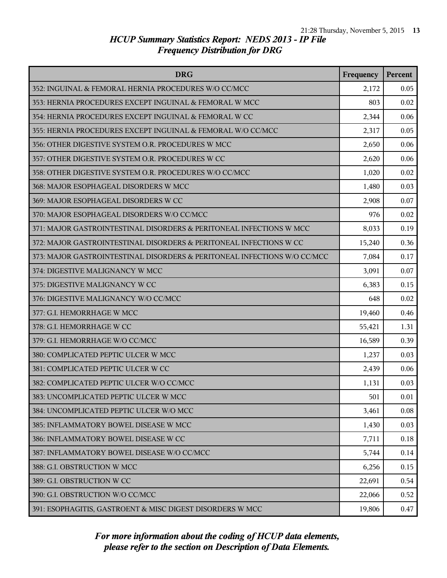| <b>DRG</b>                                                               | Frequency | Percent |
|--------------------------------------------------------------------------|-----------|---------|
| 352: INGUINAL & FEMORAL HERNIA PROCEDURES W/O CC/MCC                     | 2,172     | 0.05    |
| 353: HERNIA PROCEDURES EXCEPT INGUINAL & FEMORAL W MCC                   | 803       | 0.02    |
| 354: HERNIA PROCEDURES EXCEPT INGUINAL & FEMORAL W CC                    | 2,344     | 0.06    |
| 355: HERNIA PROCEDURES EXCEPT INGUINAL & FEMORAL W/O CC/MCC              | 2,317     | 0.05    |
| 356: OTHER DIGESTIVE SYSTEM O.R. PROCEDURES W MCC                        | 2,650     | 0.06    |
| 357: OTHER DIGESTIVE SYSTEM O.R. PROCEDURES W CC                         | 2,620     | 0.06    |
| 358: OTHER DIGESTIVE SYSTEM O.R. PROCEDURES W/O CC/MCC                   | 1,020     | 0.02    |
| 368: MAJOR ESOPHAGEAL DISORDERS W MCC                                    | 1,480     | 0.03    |
| 369: MAJOR ESOPHAGEAL DISORDERS W CC                                     | 2,908     | 0.07    |
| 370: MAJOR ESOPHAGEAL DISORDERS W/O CC/MCC                               | 976       | 0.02    |
| 371: MAJOR GASTROINTESTINAL DISORDERS & PERITONEAL INFECTIONS W MCC      | 8,033     | 0.19    |
| 372: MAJOR GASTROINTESTINAL DISORDERS & PERITONEAL INFECTIONS W CC       | 15,240    | 0.36    |
| 373: MAJOR GASTROINTESTINAL DISORDERS & PERITONEAL INFECTIONS W/O CC/MCC | 7,084     | 0.17    |
| 374: DIGESTIVE MALIGNANCY W MCC                                          | 3,091     | 0.07    |
| 375: DIGESTIVE MALIGNANCY W CC                                           | 6,383     | 0.15    |
| 376: DIGESTIVE MALIGNANCY W/O CC/MCC                                     | 648       | 0.02    |
| 377: G.I. HEMORRHAGE W MCC                                               | 19,460    | 0.46    |
| 378: G.I. HEMORRHAGE W CC                                                | 55,421    | 1.31    |
| 379: G.I. HEMORRHAGE W/O CC/MCC                                          | 16,589    | 0.39    |
| 380: COMPLICATED PEPTIC ULCER W MCC                                      | 1,237     | 0.03    |
| 381: COMPLICATED PEPTIC ULCER W CC                                       | 2,439     | 0.06    |
| 382: COMPLICATED PEPTIC ULCER W/O CC/MCC                                 | 1,131     | 0.03    |
| 383: UNCOMPLICATED PEPTIC ULCER W MCC                                    | 501       | 0.01    |
| 384: UNCOMPLICATED PEPTIC ULCER W/O MCC                                  | 3,461     | 0.08    |
| 385: INFLAMMATORY BOWEL DISEASE W MCC                                    | 1,430     | 0.03    |
| 386: INFLAMMATORY BOWEL DISEASE W CC                                     | 7,711     | 0.18    |
| 387: INFLAMMATORY BOWEL DISEASE W/O CC/MCC                               | 5,744     | 0.14    |
| 388: G.I. OBSTRUCTION W MCC                                              | 6,256     | 0.15    |
| 389: G.I. OBSTRUCTION W CC                                               | 22,691    | 0.54    |
| 390: G.I. OBSTRUCTION W/O CC/MCC                                         | 22,066    | 0.52    |
| 391: ESOPHAGITIS, GASTROENT & MISC DIGEST DISORDERS W MCC                | 19,806    | 0.47    |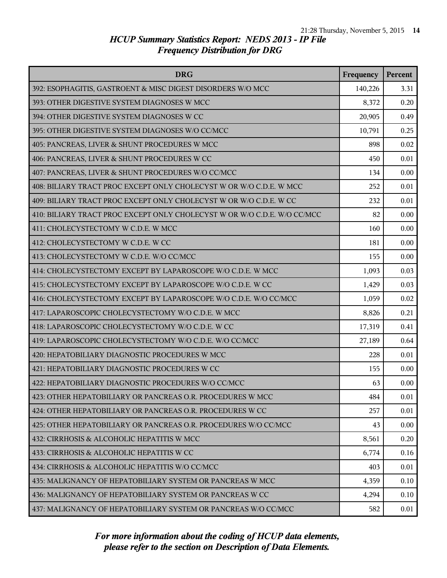| <b>DRG</b>                                                               | Frequency | Percent |
|--------------------------------------------------------------------------|-----------|---------|
| 392: ESOPHAGITIS, GASTROENT & MISC DIGEST DISORDERS W/O MCC              | 140,226   | 3.31    |
| 393: OTHER DIGESTIVE SYSTEM DIAGNOSES W MCC                              | 8,372     | 0.20    |
| 394: OTHER DIGESTIVE SYSTEM DIAGNOSES W CC                               | 20,905    | 0.49    |
| 395: OTHER DIGESTIVE SYSTEM DIAGNOSES W/O CC/MCC                         | 10,791    | 0.25    |
| 405: PANCREAS, LIVER & SHUNT PROCEDURES W MCC                            | 898       | 0.02    |
| 406: PANCREAS, LIVER & SHUNT PROCEDURES W CC                             | 450       | 0.01    |
| 407: PANCREAS, LIVER & SHUNT PROCEDURES W/O CC/MCC                       | 134       | 0.00    |
| 408: BILIARY TRACT PROC EXCEPT ONLY CHOLECYST W OR W/O C.D.E. W MCC      | 252       | 0.01    |
| 409: BILIARY TRACT PROC EXCEPT ONLY CHOLECYST W OR W/O C.D.E. W CC       | 232       | 0.01    |
| 410: BILIARY TRACT PROC EXCEPT ONLY CHOLECYST W OR W/O C.D.E. W/O CC/MCC | 82        | 0.00    |
| 411: CHOLECYSTECTOMY W C.D.E. W MCC                                      | 160       | 0.00    |
| 412: CHOLECYSTECTOMY W C.D.E. W CC                                       | 181       | 0.00    |
| 413: CHOLECYSTECTOMY W C.D.E. W/O CC/MCC                                 | 155       | 0.00    |
| 414: CHOLECYSTECTOMY EXCEPT BY LAPAROSCOPE W/O C.D.E. W MCC              | 1,093     | 0.03    |
| 415: CHOLECYSTECTOMY EXCEPT BY LAPAROSCOPE W/O C.D.E. W CC               | 1,429     | 0.03    |
| 416: CHOLECYSTECTOMY EXCEPT BY LAPAROSCOPE W/O C.D.E. W/O CC/MCC         | 1,059     | 0.02    |
| 417: LAPAROSCOPIC CHOLECYSTECTOMY W/O C.D.E. W MCC                       | 8,826     | 0.21    |
| 418: LAPAROSCOPIC CHOLECYSTECTOMY W/O C.D.E. W CC                        | 17,319    | 0.41    |
| 419: LAPAROSCOPIC CHOLECYSTECTOMY W/O C.D.E. W/O CC/MCC                  | 27,189    | 0.64    |
| 420: HEPATOBILIARY DIAGNOSTIC PROCEDURES W MCC                           | 228       | 0.01    |
| 421: HEPATOBILIARY DIAGNOSTIC PROCEDURES W CC                            | 155       | 0.00    |
| 422: HEPATOBILIARY DIAGNOSTIC PROCEDURES W/O CC/MCC                      | 63        | 0.00    |
| 423: OTHER HEPATOBILIARY OR PANCREAS O.R. PROCEDURES W MCC               | 484       | 0.01    |
| 424: OTHER HEPATOBILIARY OR PANCREAS O.R. PROCEDURES W CC                | 257       | 0.01    |
| 425: OTHER HEPATOBILIARY OR PANCREAS O.R. PROCEDURES W/O CC/MCC          | 43        | 0.00    |
| 432: CIRRHOSIS & ALCOHOLIC HEPATITIS W MCC                               | 8,561     | 0.20    |
| 433: CIRRHOSIS & ALCOHOLIC HEPATITIS W CC                                | 6,774     | 0.16    |
| 434: CIRRHOSIS & ALCOHOLIC HEPATITIS W/O CC/MCC                          | 403       | 0.01    |
| 435: MALIGNANCY OF HEPATOBILIARY SYSTEM OR PANCREAS W MCC                | 4,359     | 0.10    |
| 436: MALIGNANCY OF HEPATOBILIARY SYSTEM OR PANCREAS W CC                 | 4,294     | 0.10    |
| 437: MALIGNANCY OF HEPATOBILIARY SYSTEM OR PANCREAS W/O CC/MCC           | 582       | 0.01    |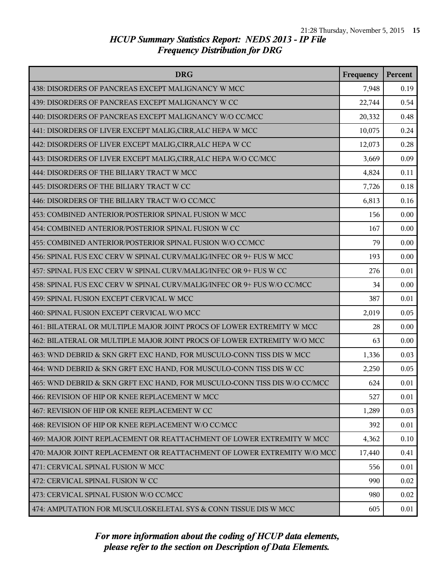| <b>DRG</b>                                                                | Frequency | Percent |
|---------------------------------------------------------------------------|-----------|---------|
| 438: DISORDERS OF PANCREAS EXCEPT MALIGNANCY W MCC                        | 7,948     | 0.19    |
| 439: DISORDERS OF PANCREAS EXCEPT MALIGNANCY W CC                         | 22,744    | 0.54    |
| 440: DISORDERS OF PANCREAS EXCEPT MALIGNANCY W/O CC/MCC                   | 20,332    | 0.48    |
| 441: DISORDERS OF LIVER EXCEPT MALIG, CIRR, ALC HEPA W MCC                | 10,075    | 0.24    |
| 442: DISORDERS OF LIVER EXCEPT MALIG, CIRR, ALC HEPA W CC                 | 12,073    | 0.28    |
| 443: DISORDERS OF LIVER EXCEPT MALIG, CIRR, ALC HEPA W/O CC/MCC           | 3,669     | 0.09    |
| 444: DISORDERS OF THE BILIARY TRACT W MCC                                 | 4,824     | 0.11    |
| 445: DISORDERS OF THE BILIARY TRACT W CC                                  | 7,726     | 0.18    |
| 446: DISORDERS OF THE BILIARY TRACT W/O CC/MCC                            | 6,813     | 0.16    |
| 453: COMBINED ANTERIOR/POSTERIOR SPINAL FUSION W MCC                      | 156       | 0.00    |
| 454: COMBINED ANTERIOR/POSTERIOR SPINAL FUSION W CC                       | 167       | 0.00    |
| 455: COMBINED ANTERIOR/POSTERIOR SPINAL FUSION W/O CC/MCC                 | 79        | 0.00    |
| 456: SPINAL FUS EXC CERV W SPINAL CURV/MALIG/INFEC OR 9+ FUS W MCC        | 193       | 0.00    |
| 457: SPINAL FUS EXC CERV W SPINAL CURV/MALIG/INFEC OR 9+ FUS W CC         | 276       | 0.01    |
| 458: SPINAL FUS EXC CERV W SPINAL CURV/MALIG/INFEC OR 9+ FUS W/O CC/MCC   | 34        | 0.00    |
| 459: SPINAL FUSION EXCEPT CERVICAL W MCC                                  | 387       | 0.01    |
| 460: SPINAL FUSION EXCEPT CERVICAL W/O MCC                                | 2,019     | 0.05    |
| 461: BILATERAL OR MULTIPLE MAJOR JOINT PROCS OF LOWER EXTREMITY W MCC     | 28        | 0.00    |
| 462: BILATERAL OR MULTIPLE MAJOR JOINT PROCS OF LOWER EXTREMITY W/O MCC   | 63        | 0.00    |
| 463: WND DEBRID & SKN GRFT EXC HAND, FOR MUSCULO-CONN TISS DIS W MCC      | 1,336     | 0.03    |
| 464: WND DEBRID & SKN GRFT EXC HAND, FOR MUSCULO-CONN TISS DIS W CC       | 2,250     | 0.05    |
| 465: WND DEBRID & SKN GRFT EXC HAND, FOR MUSCULO-CONN TISS DIS W/O CC/MCC | 624       | 0.01    |
| 466: REVISION OF HIP OR KNEE REPLACEMENT W MCC                            | 527       | 0.01    |
| 467: REVISION OF HIP OR KNEE REPLACEMENT W CC                             | 1,289     | 0.03    |
| 468: REVISION OF HIP OR KNEE REPLACEMENT W/O CC/MCC                       | 392       | 0.01    |
| 469: MAJOR JOINT REPLACEMENT OR REATTACHMENT OF LOWER EXTREMITY W MCC     | 4,362     | 0.10    |
| 470: MAJOR JOINT REPLACEMENT OR REATTACHMENT OF LOWER EXTREMITY W/O MCC   | 17,440    | 0.41    |
| 471: CERVICAL SPINAL FUSION W MCC                                         | 556       | 0.01    |
| 472: CERVICAL SPINAL FUSION W CC                                          | 990       | 0.02    |
| 473: CERVICAL SPINAL FUSION W/O CC/MCC                                    | 980       | 0.02    |
| 474: AMPUTATION FOR MUSCULOSKELETAL SYS & CONN TISSUE DIS W MCC           | 605       | 0.01    |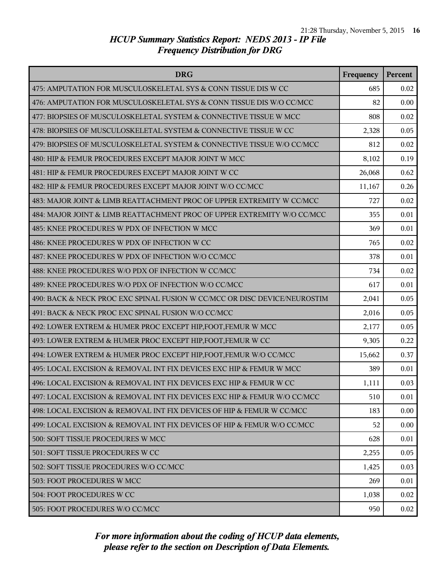| <b>DRG</b>                                                                | Frequency | Percent |
|---------------------------------------------------------------------------|-----------|---------|
| 475: AMPUTATION FOR MUSCULOSKELETAL SYS & CONN TISSUE DIS W CC            | 685       | 0.02    |
| 476: AMPUTATION FOR MUSCULOSKELETAL SYS & CONN TISSUE DIS W/O CC/MCC      | 82        | 0.00    |
| 477: BIOPSIES OF MUSCULOSKELETAL SYSTEM & CONNECTIVE TISSUE W MCC         | 808       | 0.02    |
| 478: BIOPSIES OF MUSCULOSKELETAL SYSTEM & CONNECTIVE TISSUE W CC          | 2,328     | 0.05    |
| 479: BIOPSIES OF MUSCULOSKELETAL SYSTEM & CONNECTIVE TISSUE W/O CC/MCC    | 812       | 0.02    |
| 480: HIP & FEMUR PROCEDURES EXCEPT MAJOR JOINT W MCC                      | 8,102     | 0.19    |
| 481: HIP & FEMUR PROCEDURES EXCEPT MAJOR JOINT W CC                       | 26,068    | 0.62    |
| 482: HIP & FEMUR PROCEDURES EXCEPT MAJOR JOINT W/O CC/MCC                 | 11,167    | 0.26    |
| 483: MAJOR JOINT & LIMB REATTACHMENT PROC OF UPPER EXTREMITY W CC/MCC     | 727       | 0.02    |
| 484: MAJOR JOINT & LIMB REATTACHMENT PROC OF UPPER EXTREMITY W/O CC/MCC   | 355       | 0.01    |
| 485: KNEE PROCEDURES W PDX OF INFECTION W MCC                             | 369       | 0.01    |
| 486: KNEE PROCEDURES W PDX OF INFECTION W CC                              | 765       | 0.02    |
| 487: KNEE PROCEDURES W PDX OF INFECTION W/O CC/MCC                        | 378       | 0.01    |
| 488: KNEE PROCEDURES W/O PDX OF INFECTION W CC/MCC                        | 734       | 0.02    |
| 489: KNEE PROCEDURES W/O PDX OF INFECTION W/O CC/MCC                      | 617       | 0.01    |
| 490: BACK & NECK PROC EXC SPINAL FUSION W CC/MCC OR DISC DEVICE/NEUROSTIM | 2,041     | 0.05    |
| 491: BACK & NECK PROC EXC SPINAL FUSION W/O CC/MCC                        | 2,016     | 0.05    |
| 492: LOWER EXTREM & HUMER PROC EXCEPT HIP, FOOT, FEMUR W MCC              | 2,177     | 0.05    |
| 493: LOWER EXTREM & HUMER PROC EXCEPT HIP, FOOT, FEMUR W CC               | 9,305     | 0.22    |
| 494: LOWER EXTREM & HUMER PROC EXCEPT HIP, FOOT, FEMUR W/O CC/MCC         | 15,662    | 0.37    |
| 495: LOCAL EXCISION & REMOVAL INT FIX DEVICES EXC HIP & FEMUR W MCC       | 389       | 0.01    |
| 496: LOCAL EXCISION & REMOVAL INT FIX DEVICES EXC HIP & FEMUR W CC        | 1,111     | 0.03    |
| 497: LOCAL EXCISION & REMOVAL INT FIX DEVICES EXC HIP & FEMUR W/O CC/MCC  | 510       | 0.01    |
| 498: LOCAL EXCISION & REMOVAL INT FIX DEVICES OF HIP & FEMUR W CC/MCC     | 183       | 0.00    |
| 499: LOCAL EXCISION & REMOVAL INT FIX DEVICES OF HIP & FEMUR W/O CC/MCC   | 52        | 0.00    |
| 500: SOFT TISSUE PROCEDURES W MCC                                         | 628       | 0.01    |
| 501: SOFT TISSUE PROCEDURES W CC                                          | 2,255     | 0.05    |
| 502: SOFT TISSUE PROCEDURES W/O CC/MCC                                    | 1,425     | 0.03    |
| 503: FOOT PROCEDURES W MCC                                                | 269       | 0.01    |
| 504: FOOT PROCEDURES W CC                                                 | 1,038     | 0.02    |
| 505: FOOT PROCEDURES W/O CC/MCC                                           | 950       | 0.02    |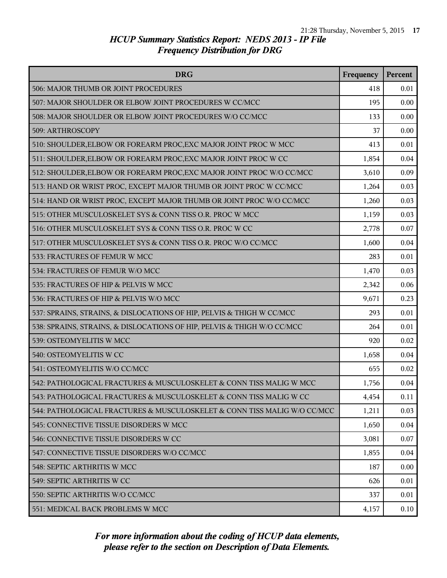| <b>DRG</b>                                                               | Frequency | <b>Percent</b> |
|--------------------------------------------------------------------------|-----------|----------------|
| 506: MAJOR THUMB OR JOINT PROCEDURES                                     | 418       | 0.01           |
| 507: MAJOR SHOULDER OR ELBOW JOINT PROCEDURES W CC/MCC                   | 195       | 0.00           |
| 508: MAJOR SHOULDER OR ELBOW JOINT PROCEDURES W/O CC/MCC                 | 133       | 0.00           |
| 509: ARTHROSCOPY                                                         | 37        | 0.00           |
| 510: SHOULDER, ELBOW OR FOREARM PROC, EXC MAJOR JOINT PROC W MCC         | 413       | 0.01           |
| 511: SHOULDER, ELBOW OR FOREARM PROC, EXC MAJOR JOINT PROC W CC          | 1,854     | 0.04           |
| 512: SHOULDER, ELBOW OR FOREARM PROC, EXC MAJOR JOINT PROC W/O CC/MCC    | 3,610     | 0.09           |
| 513: HAND OR WRIST PROC, EXCEPT MAJOR THUMB OR JOINT PROC W CC/MCC       | 1,264     | 0.03           |
| 514: HAND OR WRIST PROC, EXCEPT MAJOR THUMB OR JOINT PROC W/O CC/MCC     | 1,260     | 0.03           |
| 515: OTHER MUSCULOSKELET SYS & CONN TISS O.R. PROC W MCC                 | 1,159     | 0.03           |
| 516: OTHER MUSCULOSKELET SYS & CONN TISS O.R. PROC W CC                  | 2,778     | 0.07           |
| 517: OTHER MUSCULOSKELET SYS & CONN TISS O.R. PROC W/O CC/MCC            | 1,600     | 0.04           |
| 533: FRACTURES OF FEMUR W MCC                                            | 283       | 0.01           |
| 534: FRACTURES OF FEMUR W/O MCC                                          | 1,470     | 0.03           |
| 535: FRACTURES OF HIP & PELVIS W MCC                                     | 2,342     | 0.06           |
| 536: FRACTURES OF HIP & PELVIS W/O MCC                                   | 9,671     | 0.23           |
| 537: SPRAINS, STRAINS, & DISLOCATIONS OF HIP, PELVIS & THIGH W CC/MCC    | 293       | 0.01           |
| 538: SPRAINS, STRAINS, & DISLOCATIONS OF HIP, PELVIS & THIGH W/O CC/MCC  | 264       | 0.01           |
| 539: OSTEOMYELITIS W MCC                                                 | 920       | 0.02           |
| 540: OSTEOMYELITIS W CC                                                  | 1,658     | 0.04           |
| 541: OSTEOMYELITIS W/O CC/MCC                                            | 655       | 0.02           |
| 542: PATHOLOGICAL FRACTURES & MUSCULOSKELET & CONN TISS MALIG W MCC      | 1,756     | 0.04           |
| 543: PATHOLOGICAL FRACTURES & MUSCULOSKELET & CONN TISS MALIG W CC       | 4,454     | 0.11           |
| 544: PATHOLOGICAL FRACTURES & MUSCULOSKELET & CONN TISS MALIG W/O CC/MCC | 1,211     | 0.03           |
| 545: CONNECTIVE TISSUE DISORDERS W MCC                                   | 1,650     | 0.04           |
| 546: CONNECTIVE TISSUE DISORDERS W CC                                    | 3,081     | 0.07           |
| 547: CONNECTIVE TISSUE DISORDERS W/O CC/MCC                              | 1,855     | 0.04           |
| 548: SEPTIC ARTHRITIS W MCC                                              | 187       | 0.00           |
| 549: SEPTIC ARTHRITIS W CC                                               | 626       | 0.01           |
| 550: SEPTIC ARTHRITIS W/O CC/MCC                                         | 337       | 0.01           |
| 551: MEDICAL BACK PROBLEMS W MCC                                         | 4,157     | 0.10           |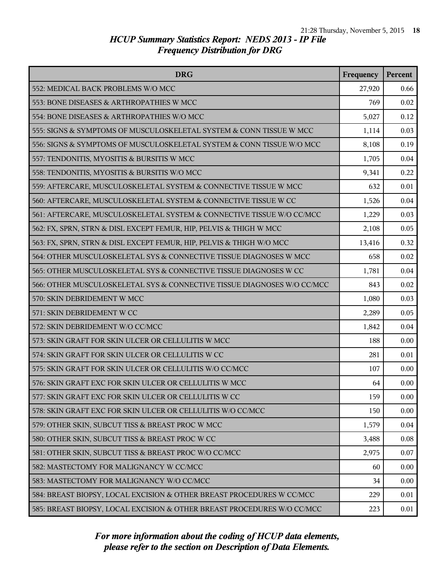| <b>DRG</b>                                                              | Frequency | Percent |
|-------------------------------------------------------------------------|-----------|---------|
| 552: MEDICAL BACK PROBLEMS W/O MCC                                      | 27,920    | 0.66    |
| 553: BONE DISEASES & ARTHROPATHIES W MCC                                | 769       | 0.02    |
| 554: BONE DISEASES & ARTHROPATHIES W/O MCC                              | 5,027     | 0.12    |
| 555: SIGNS & SYMPTOMS OF MUSCULOSKELETAL SYSTEM & CONN TISSUE W MCC     | 1,114     | 0.03    |
| 556: SIGNS & SYMPTOMS OF MUSCULOSKELETAL SYSTEM & CONN TISSUE W/O MCC   | 8,108     | 0.19    |
| 557: TENDONITIS, MYOSITIS & BURSITIS W MCC                              | 1,705     | 0.04    |
| 558: TENDONITIS, MYOSITIS & BURSITIS W/O MCC                            | 9,341     | 0.22    |
| 559: AFTERCARE, MUSCULOSKELETAL SYSTEM & CONNECTIVE TISSUE W MCC        | 632       | 0.01    |
| 560: AFTERCARE, MUSCULOSKELETAL SYSTEM & CONNECTIVE TISSUE W CC         | 1,526     | 0.04    |
| 561: AFTERCARE, MUSCULOSKELETAL SYSTEM & CONNECTIVE TISSUE W/O CC/MCC   | 1,229     | 0.03    |
| 562: FX, SPRN, STRN & DISL EXCEPT FEMUR, HIP, PELVIS & THIGH W MCC      | 2,108     | 0.05    |
| 563: FX, SPRN, STRN & DISL EXCEPT FEMUR, HIP, PELVIS & THIGH W/O MCC    | 13,416    | 0.32    |
| 564: OTHER MUSCULOSKELETAL SYS & CONNECTIVE TISSUE DIAGNOSES W MCC      | 658       | 0.02    |
| 565: OTHER MUSCULOSKELETAL SYS & CONNECTIVE TISSUE DIAGNOSES W CC       | 1,781     | 0.04    |
| 566: OTHER MUSCULOSKELETAL SYS & CONNECTIVE TISSUE DIAGNOSES W/O CC/MCC | 843       | 0.02    |
| 570: SKIN DEBRIDEMENT W MCC                                             | 1,080     | 0.03    |
| 571: SKIN DEBRIDEMENT W CC                                              | 2,289     | 0.05    |
| 572: SKIN DEBRIDEMENT W/O CC/MCC                                        | 1,842     | 0.04    |
| 573: SKIN GRAFT FOR SKIN ULCER OR CELLULITIS W MCC                      | 188       | 0.00    |
| 574: SKIN GRAFT FOR SKIN ULCER OR CELLULITIS W CC                       | 281       | 0.01    |
| 575: SKIN GRAFT FOR SKIN ULCER OR CELLULITIS W/O CC/MCC                 | 107       | 0.00    |
| 576: SKIN GRAFT EXC FOR SKIN ULCER OR CELLULITIS W MCC                  | 64        | 0.00    |
| 577: SKIN GRAFT EXC FOR SKIN ULCER OR CELLULITIS W CC                   | 159       | 0.00    |
| 578: SKIN GRAFT EXC FOR SKIN ULCER OR CELLULITIS W/O CC/MCC             | 150       | 0.00    |
| 579: OTHER SKIN, SUBCUT TISS & BREAST PROC W MCC                        | 1,579     | 0.04    |
| 580: OTHER SKIN, SUBCUT TISS & BREAST PROC W CC                         | 3,488     | 0.08    |
| 581: OTHER SKIN, SUBCUT TISS & BREAST PROC W/O CC/MCC                   | 2,975     | 0.07    |
| 582: MASTECTOMY FOR MALIGNANCY W CC/MCC                                 | 60        | 0.00    |
| 583: MASTECTOMY FOR MALIGNANCY W/O CC/MCC                               | 34        | 0.00    |
| 584: BREAST BIOPSY, LOCAL EXCISION & OTHER BREAST PROCEDURES W CC/MCC   | 229       | 0.01    |
| 585: BREAST BIOPSY, LOCAL EXCISION & OTHER BREAST PROCEDURES W/O CC/MCC | 223       | 0.01    |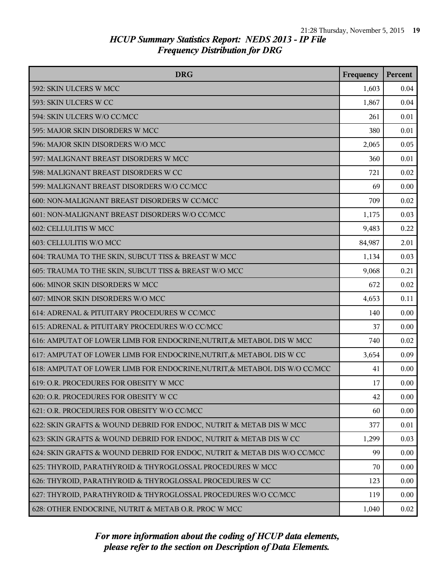| <b>DRG</b>                                                                 | Frequency | Percent |
|----------------------------------------------------------------------------|-----------|---------|
| 592: SKIN ULCERS W MCC                                                     | 1,603     | 0.04    |
| 593: SKIN ULCERS W CC                                                      | 1,867     | 0.04    |
| 594: SKIN ULCERS W/O CC/MCC                                                | 261       | 0.01    |
| 595: MAJOR SKIN DISORDERS W MCC                                            | 380       | 0.01    |
| 596: MAJOR SKIN DISORDERS W/O MCC                                          | 2,065     | 0.05    |
| 597: MALIGNANT BREAST DISORDERS W MCC                                      | 360       | 0.01    |
| 598: MALIGNANT BREAST DISORDERS W CC                                       | 721       | 0.02    |
| 599: MALIGNANT BREAST DISORDERS W/O CC/MCC                                 | 69        | 0.00    |
| 600: NON-MALIGNANT BREAST DISORDERS W CC/MCC                               | 709       | 0.02    |
| 601: NON-MALIGNANT BREAST DISORDERS W/O CC/MCC                             | 1,175     | 0.03    |
| 602: CELLULITIS W MCC                                                      | 9,483     | 0.22    |
| 603: CELLULITIS W/O MCC                                                    | 84,987    | 2.01    |
| 604: TRAUMA TO THE SKIN, SUBCUT TISS & BREAST W MCC                        | 1,134     | 0.03    |
| 605: TRAUMA TO THE SKIN, SUBCUT TISS & BREAST W/O MCC                      | 9,068     | 0.21    |
| 606: MINOR SKIN DISORDERS W MCC                                            | 672       | 0.02    |
| 607: MINOR SKIN DISORDERS W/O MCC                                          | 4,653     | 0.11    |
| 614: ADRENAL & PITUITARY PROCEDURES W CC/MCC                               | 140       | 0.00    |
| 615: ADRENAL & PITUITARY PROCEDURES W/O CC/MCC                             | 37        | 0.00    |
| 616: AMPUTAT OF LOWER LIMB FOR ENDOCRINE, NUTRIT, & METABOL DIS W MCC      | 740       | 0.02    |
| 617: AMPUTAT OF LOWER LIMB FOR ENDOCRINE, NUTRIT, & METABOL DIS W CC       | 3,654     | 0.09    |
| 618: AMPUTAT OF LOWER LIMB FOR ENDOCRINE, NUTRIT, & METABOL DIS W/O CC/MCC | 41        | 0.00    |
| 619: O.R. PROCEDURES FOR OBESITY W MCC                                     | 17        | 0.00    |
| 620: O.R. PROCEDURES FOR OBESITY W CC                                      | 42        | 0.00    |
| 621: O.R. PROCEDURES FOR OBESITY W/O CC/MCC                                | 60        | 0.00    |
| 622: SKIN GRAFTS & WOUND DEBRID FOR ENDOC, NUTRIT & METAB DIS W MCC        | 377       | 0.01    |
| 623: SKIN GRAFTS & WOUND DEBRID FOR ENDOC, NUTRIT & METAB DIS W CC         | 1,299     | 0.03    |
| 624: SKIN GRAFTS & WOUND DEBRID FOR ENDOC, NUTRIT & METAB DIS W/O CC/MCC   | 99        | 0.00    |
| 625: THYROID, PARATHYROID & THYROGLOSSAL PROCEDURES W MCC                  | 70        | 0.00    |
| 626: THYROID, PARATHYROID & THYROGLOSSAL PROCEDURES W CC                   | 123       | 0.00    |
| 627: THYROID, PARATHYROID & THYROGLOSSAL PROCEDURES W/O CC/MCC             | 119       | 0.00    |
| 628: OTHER ENDOCRINE, NUTRIT & METAB O.R. PROC W MCC                       | 1,040     | 0.02    |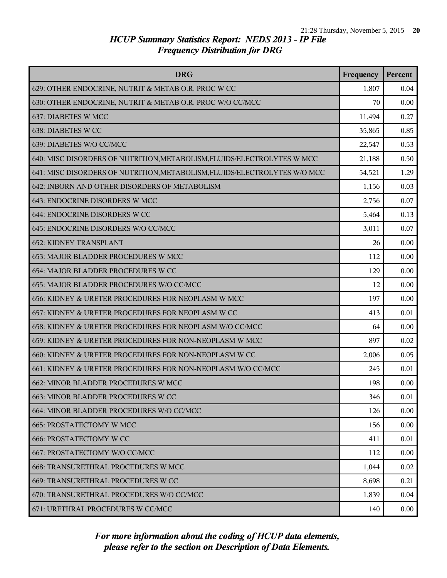| <b>DRG</b>                                                                | Frequency | Percent |
|---------------------------------------------------------------------------|-----------|---------|
| 629: OTHER ENDOCRINE, NUTRIT & METAB O.R. PROC W CC                       | 1,807     | 0.04    |
| 630: OTHER ENDOCRINE, NUTRIT & METAB O.R. PROC W/O CC/MCC                 | 70        | 0.00    |
| 637: DIABETES W MCC                                                       | 11,494    | 0.27    |
| 638: DIABETES W CC                                                        | 35,865    | 0.85    |
| 639: DIABETES W/O CC/MCC                                                  | 22,547    | 0.53    |
| 640: MISC DISORDERS OF NUTRITION, METABOLISM, FLUIDS/ELECTROLYTES W MCC   | 21,188    | 0.50    |
| 641: MISC DISORDERS OF NUTRITION, METABOLISM, FLUIDS/ELECTROLYTES W/O MCC | 54,521    | 1.29    |
| 642: INBORN AND OTHER DISORDERS OF METABOLISM                             | 1,156     | 0.03    |
| 643: ENDOCRINE DISORDERS W MCC                                            | 2,756     | 0.07    |
| 644: ENDOCRINE DISORDERS W CC                                             | 5,464     | 0.13    |
| 645: ENDOCRINE DISORDERS W/O CC/MCC                                       | 3,011     | 0.07    |
| <b>652: KIDNEY TRANSPLANT</b>                                             | 26        | 0.00    |
| 653: MAJOR BLADDER PROCEDURES W MCC                                       | 112       | 0.00    |
| 654: MAJOR BLADDER PROCEDURES W CC                                        | 129       | 0.00    |
| 655: MAJOR BLADDER PROCEDURES W/O CC/MCC                                  | 12        | 0.00    |
| 656: KIDNEY & URETER PROCEDURES FOR NEOPLASM W MCC                        | 197       | 0.00    |
| 657: KIDNEY & URETER PROCEDURES FOR NEOPLASM W CC                         | 413       | 0.01    |
| 658: KIDNEY & URETER PROCEDURES FOR NEOPLASM W/O CC/MCC                   | 64        | 0.00    |
| 659: KIDNEY & URETER PROCEDURES FOR NON-NEOPLASM W MCC                    | 897       | 0.02    |
| 660: KIDNEY & URETER PROCEDURES FOR NON-NEOPLASM W CC                     | 2,006     | 0.05    |
| 661: KIDNEY & URETER PROCEDURES FOR NON-NEOPLASM W/O CC/MCC               | 245       | 0.01    |
| 662: MINOR BLADDER PROCEDURES W MCC                                       | 198       | 0.00    |
| 663: MINOR BLADDER PROCEDURES W CC                                        | 346       | 0.01    |
| 664: MINOR BLADDER PROCEDURES W/O CC/MCC                                  | 126       | 0.00    |
| <b>665: PROSTATECTOMY W MCC</b>                                           | 156       | 0.00    |
| <b>666: PROSTATECTOMY W CC</b>                                            | 411       | 0.01    |
| 667: PROSTATECTOMY W/O CC/MCC                                             | 112       | 0.00    |
| 668: TRANSURETHRAL PROCEDURES W MCC                                       | 1,044     | 0.02    |
| 669: TRANSURETHRAL PROCEDURES W CC                                        | 8,698     | 0.21    |
| 670: TRANSURETHRAL PROCEDURES W/O CC/MCC                                  | 1,839     | 0.04    |
| 671: URETHRAL PROCEDURES W CC/MCC                                         | 140       | 0.00    |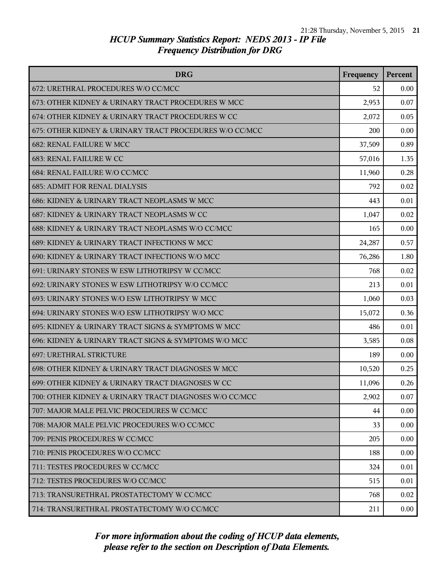| <b>DRG</b>                                              | Frequency | Percent |
|---------------------------------------------------------|-----------|---------|
| 672: URETHRAL PROCEDURES W/O CC/MCC                     | 52        | 0.00    |
| 673: OTHER KIDNEY & URINARY TRACT PROCEDURES W MCC      | 2,953     | 0.07    |
| 674: OTHER KIDNEY & URINARY TRACT PROCEDURES W CC       | 2,072     | 0.05    |
| 675: OTHER KIDNEY & URINARY TRACT PROCEDURES W/O CC/MCC | 200       | 0.00    |
| <b>682: RENAL FAILURE W MCC</b>                         | 37,509    | 0.89    |
| 683: RENAL FAILURE W CC                                 | 57,016    | 1.35    |
| 684: RENAL FAILURE W/O CC/MCC                           | 11,960    | 0.28    |
| <b>685: ADMIT FOR RENAL DIALYSIS</b>                    | 792       | 0.02    |
| 686: KIDNEY & URINARY TRACT NEOPLASMS W MCC             | 443       | 0.01    |
| 687: KIDNEY & URINARY TRACT NEOPLASMS W CC              | 1,047     | 0.02    |
| 688: KIDNEY & URINARY TRACT NEOPLASMS W/O CC/MCC        | 165       | 0.00    |
| 689: KIDNEY & URINARY TRACT INFECTIONS W MCC            | 24,287    | 0.57    |
| 690: KIDNEY & URINARY TRACT INFECTIONS W/O MCC          | 76,286    | 1.80    |
| 691: URINARY STONES W ESW LITHOTRIPSY W CC/MCC          | 768       | 0.02    |
| 692: URINARY STONES W ESW LITHOTRIPSY W/O CC/MCC        | 213       | 0.01    |
| 693: URINARY STONES W/O ESW LITHOTRIPSY W MCC           | 1,060     | 0.03    |
| 694: URINARY STONES W/O ESW LITHOTRIPSY W/O MCC         | 15,072    | 0.36    |
| 695: KIDNEY & URINARY TRACT SIGNS & SYMPTOMS W MCC      | 486       | 0.01    |
| 696: KIDNEY & URINARY TRACT SIGNS & SYMPTOMS W/O MCC    | 3,585     | 0.08    |
| <b>697: URETHRAL STRICTURE</b>                          | 189       | 0.00    |
| 698: OTHER KIDNEY & URINARY TRACT DIAGNOSES W MCC       | 10,520    | 0.25    |
| 699: OTHER KIDNEY & URINARY TRACT DIAGNOSES W CC        | 11,096    | 0.26    |
| 700: OTHER KIDNEY & URINARY TRACT DIAGNOSES W/O CC/MCC  | 2,902     | 0.07    |
| 707: MAJOR MALE PELVIC PROCEDURES W CC/MCC              | 44        | 0.00    |
| 708: MAJOR MALE PELVIC PROCEDURES W/O CC/MCC            | 33        | 0.00    |
| 709: PENIS PROCEDURES W CC/MCC                          | 205       | 0.00    |
| 710: PENIS PROCEDURES W/O CC/MCC                        | 188       | 0.00    |
| 711: TESTES PROCEDURES W CC/MCC                         | 324       | 0.01    |
| 712: TESTES PROCEDURES W/O CC/MCC                       | 515       | 0.01    |
| 713: TRANSURETHRAL PROSTATECTOMY W CC/MCC               | 768       | 0.02    |
| 714: TRANSURETHRAL PROSTATECTOMY W/O CC/MCC             | 211       | 0.00    |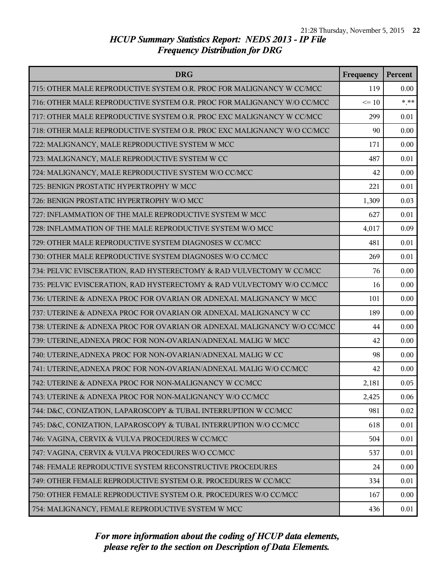| <b>DRG</b>                                                              | Frequency | <b>Percent</b> |
|-------------------------------------------------------------------------|-----------|----------------|
| 715: OTHER MALE REPRODUCTIVE SYSTEM O.R. PROC FOR MALIGNANCY W CC/MCC   | 119       | 0.00           |
| 716: OTHER MALE REPRODUCTIVE SYSTEM O.R. PROC FOR MALIGNANCY W/O CC/MCC | $\leq 10$ | $***$          |
| 717: OTHER MALE REPRODUCTIVE SYSTEM O.R. PROC EXC MALIGNANCY W CC/MCC   | 299       | 0.01           |
| 718: OTHER MALE REPRODUCTIVE SYSTEM O.R. PROC EXC MALIGNANCY W/O CC/MCC | 90        | 0.00           |
| 722: MALIGNANCY, MALE REPRODUCTIVE SYSTEM W MCC                         | 171       | 0.00           |
| 723: MALIGNANCY, MALE REPRODUCTIVE SYSTEM W CC                          | 487       | 0.01           |
| 724: MALIGNANCY, MALE REPRODUCTIVE SYSTEM W/O CC/MCC                    | 42        | 0.00           |
| 725: BENIGN PROSTATIC HYPERTROPHY W MCC                                 | 221       | 0.01           |
| 726: BENIGN PROSTATIC HYPERTROPHY W/O MCC                               | 1,309     | 0.03           |
| 727: INFLAMMATION OF THE MALE REPRODUCTIVE SYSTEM W MCC                 | 627       | 0.01           |
| 728: INFLAMMATION OF THE MALE REPRODUCTIVE SYSTEM W/O MCC               | 4,017     | 0.09           |
| 729: OTHER MALE REPRODUCTIVE SYSTEM DIAGNOSES W CC/MCC                  | 481       | 0.01           |
| 730: OTHER MALE REPRODUCTIVE SYSTEM DIAGNOSES W/O CC/MCC                | 269       | 0.01           |
| 734: PELVIC EVISCERATION, RAD HYSTERECTOMY & RAD VULVECTOMY W CC/MCC    | 76        | 0.00           |
| 735: PELVIC EVISCERATION, RAD HYSTERECTOMY & RAD VULVECTOMY W/O CC/MCC  | 16        | 0.00           |
| 736: UTERINE & ADNEXA PROC FOR OVARIAN OR ADNEXAL MALIGNANCY W MCC      | 101       | 0.00           |
| 737: UTERINE & ADNEXA PROC FOR OVARIAN OR ADNEXAL MALIGNANCY W CC       | 189       | 0.00           |
| 738: UTERINE & ADNEXA PROC FOR OVARIAN OR ADNEXAL MALIGNANCY W/O CC/MCC | 44        | 0.00           |
| 739: UTERINE, ADNEXA PROC FOR NON-OVARIAN/ADNEXAL MALIG W MCC           | 42        | 0.00           |
| 740: UTERINE, ADNEXA PROC FOR NON-OVARIAN/ADNEXAL MALIG W CC            | 98        | 0.00           |
| 741: UTERINE, ADNEXA PROC FOR NON-OVARIAN/ADNEXAL MALIG W/O CC/MCC      | 42        | 0.00           |
| 742: UTERINE & ADNEXA PROC FOR NON-MALIGNANCY W CC/MCC                  | 2,181     | 0.05           |
| 743: UTERINE & ADNEXA PROC FOR NON-MALIGNANCY W/O CC/MCC                | 2,425     | 0.06           |
| 744: D&C, CONIZATION, LAPAROSCOPY & TUBAL INTERRUPTION W CC/MCC         | 981       | 0.02           |
| 745: D&C, CONIZATION, LAPAROSCOPY & TUBAL INTERRUPTION W/O CC/MCC       | 618       | 0.01           |
| 746: VAGINA, CERVIX & VULVA PROCEDURES W CC/MCC                         | 504       | 0.01           |
| 747: VAGINA, CERVIX & VULVA PROCEDURES W/O CC/MCC                       | 537       | 0.01           |
| 748: FEMALE REPRODUCTIVE SYSTEM RECONSTRUCTIVE PROCEDURES               | 24        | 0.00           |
| 749: OTHER FEMALE REPRODUCTIVE SYSTEM O.R. PROCEDURES W CC/MCC          | 334       | 0.01           |
| 750: OTHER FEMALE REPRODUCTIVE SYSTEM O.R. PROCEDURES W/O CC/MCC        | 167       | 0.00           |
| 754: MALIGNANCY, FEMALE REPRODUCTIVE SYSTEM W MCC                       | 436       | 0.01           |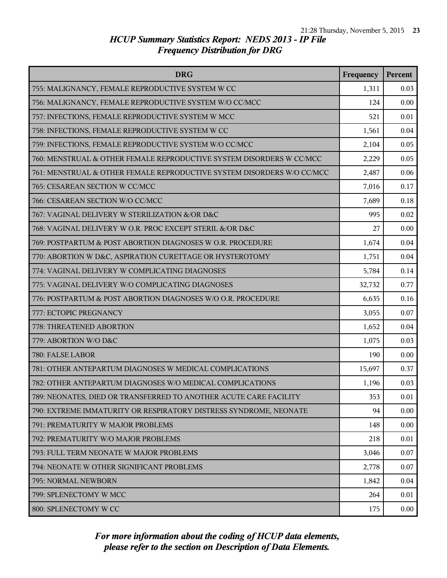| <b>DRG</b>                                                             | Frequency | Percent |
|------------------------------------------------------------------------|-----------|---------|
| 755: MALIGNANCY, FEMALE REPRODUCTIVE SYSTEM W CC                       | 1,311     | 0.03    |
| 756: MALIGNANCY, FEMALE REPRODUCTIVE SYSTEM W/O CC/MCC                 | 124       | 0.00    |
| 757: INFECTIONS, FEMALE REPRODUCTIVE SYSTEM W MCC                      | 521       | 0.01    |
| 758: INFECTIONS, FEMALE REPRODUCTIVE SYSTEM W CC                       | 1,561     | 0.04    |
| 759: INFECTIONS, FEMALE REPRODUCTIVE SYSTEM W/O CC/MCC                 | 2,104     | 0.05    |
| 760: MENSTRUAL & OTHER FEMALE REPRODUCTIVE SYSTEM DISORDERS W CC/MCC   | 2,229     | 0.05    |
| 761: MENSTRUAL & OTHER FEMALE REPRODUCTIVE SYSTEM DISORDERS W/O CC/MCC | 2,487     | 0.06    |
| 765: CESAREAN SECTION W CC/MCC                                         | 7,016     | 0.17    |
| 766: CESAREAN SECTION W/O CC/MCC                                       | 7,689     | 0.18    |
| 767: VAGINAL DELIVERY W STERILIZATION &/OR D&C                         | 995       | 0.02    |
| 768: VAGINAL DELIVERY W O.R. PROC EXCEPT STERIL &/OR D&C               | 27        | 0.00    |
| 769: POSTPARTUM & POST ABORTION DIAGNOSES W O.R. PROCEDURE             | 1,674     | 0.04    |
| 770: ABORTION W D&C, ASPIRATION CURETTAGE OR HYSTEROTOMY               | 1,751     | 0.04    |
| 774: VAGINAL DELIVERY W COMPLICATING DIAGNOSES                         | 5,784     | 0.14    |
| 775: VAGINAL DELIVERY W/O COMPLICATING DIAGNOSES                       | 32,732    | 0.77    |
| 776: POSTPARTUM & POST ABORTION DIAGNOSES W/O O.R. PROCEDURE           | 6,635     | 0.16    |
| 777: ECTOPIC PREGNANCY                                                 | 3,055     | 0.07    |
| 778: THREATENED ABORTION                                               | 1,652     | 0.04    |
| 779: ABORTION W/O D&C                                                  | 1,075     | 0.03    |
| 780: FALSE LABOR                                                       | 190       | 0.00    |
| 781: OTHER ANTEPARTUM DIAGNOSES W MEDICAL COMPLICATIONS                | 15,697    | 0.37    |
| 782: OTHER ANTEPARTUM DIAGNOSES W/O MEDICAL COMPLICATIONS              | 1,196     | 0.03    |
| 789: NEONATES, DIED OR TRANSFERRED TO ANOTHER ACUTE CARE FACILITY      | 353       | 0.01    |
| 790: EXTREME IMMATURITY OR RESPIRATORY DISTRESS SYNDROME, NEONATE      | 94        | 0.00    |
| 791: PREMATURITY W MAJOR PROBLEMS                                      | 148       | 0.00    |
| 792: PREMATURITY W/O MAJOR PROBLEMS                                    | 218       | 0.01    |
| 793: FULL TERM NEONATE W MAJOR PROBLEMS                                | 3,046     | 0.07    |
| 794: NEONATE W OTHER SIGNIFICANT PROBLEMS                              | 2,778     | 0.07    |
| 795: NORMAL NEWBORN                                                    | 1,842     | 0.04    |
| 799: SPLENECTOMY W MCC                                                 | 264       | 0.01    |
| 800: SPLENECTOMY W CC                                                  | 175       | 0.00    |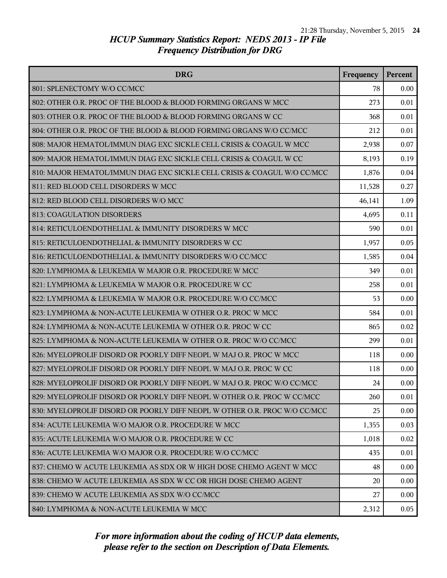| <b>DRG</b>                                                                | Frequency | Percent |
|---------------------------------------------------------------------------|-----------|---------|
| 801: SPLENECTOMY W/O CC/MCC                                               | 78        | 0.00    |
| 802: OTHER O.R. PROC OF THE BLOOD & BLOOD FORMING ORGANS W MCC            | 273       | 0.01    |
| 803: OTHER O.R. PROC OF THE BLOOD & BLOOD FORMING ORGANS W CC             | 368       | 0.01    |
| 804: OTHER O.R. PROC OF THE BLOOD & BLOOD FORMING ORGANS W/O CC/MCC       | 212       | 0.01    |
| 808: MAJOR HEMATOL/IMMUN DIAG EXC SICKLE CELL CRISIS & COAGUL W MCC       | 2,938     | 0.07    |
| 809: MAJOR HEMATOL/IMMUN DIAG EXC SICKLE CELL CRISIS & COAGUL W CC        | 8,193     | 0.19    |
| 810: MAJOR HEMATOL/IMMUN DIAG EXC SICKLE CELL CRISIS & COAGUL W/O CC/MCC  | 1,876     | 0.04    |
| 811: RED BLOOD CELL DISORDERS W MCC                                       | 11,528    | 0.27    |
| 812: RED BLOOD CELL DISORDERS W/O MCC                                     | 46,141    | 1.09    |
| <b>813: COAGULATION DISORDERS</b>                                         | 4,695     | 0.11    |
| 814: RETICULOENDOTHELIAL & IMMUNITY DISORDERS W MCC                       | 590       | 0.01    |
| 815: RETICULOENDOTHELIAL & IMMUNITY DISORDERS W CC                        | 1,957     | 0.05    |
| 816: RETICULOENDOTHELIAL & IMMUNITY DISORDERS W/O CC/MCC                  | 1,585     | 0.04    |
| 820: LYMPHOMA & LEUKEMIA W MAJOR O.R. PROCEDURE W MCC                     | 349       | 0.01    |
| 821: LYMPHOMA & LEUKEMIA W MAJOR O.R. PROCEDURE W CC                      | 258       | 0.01    |
| 822: LYMPHOMA & LEUKEMIA W MAJOR O.R. PROCEDURE W/O CC/MCC                | 53        | 0.00    |
| 823: LYMPHOMA & NON-ACUTE LEUKEMIA W OTHER O.R. PROC W MCC                | 584       | 0.01    |
| 824: LYMPHOMA & NON-ACUTE LEUKEMIA W OTHER O.R. PROC W CC                 | 865       | 0.02    |
| 825: LYMPHOMA & NON-ACUTE LEUKEMIA W OTHER O.R. PROC W/O CC/MCC           | 299       | 0.01    |
| 826: MYELOPROLIF DISORD OR POORLY DIFF NEOPL W MAJ O.R. PROC W MCC        | 118       | 0.00    |
| 827: MYELOPROLIF DISORD OR POORLY DIFF NEOPL W MAJ O.R. PROC W CC         | 118       | 0.00    |
| 828: MYELOPROLIF DISORD OR POORLY DIFF NEOPL W MAJ O.R. PROC W/O CC/MCC   | 24        | 0.00    |
| 829: MYELOPROLIF DISORD OR POORLY DIFF NEOPL W OTHER O.R. PROC W CC/MCC   | 260       | 0.01    |
| 830: MYELOPROLIF DISORD OR POORLY DIFF NEOPL W OTHER O.R. PROC W/O CC/MCC | 25        | 0.00    |
| 834: ACUTE LEUKEMIA W/O MAJOR O.R. PROCEDURE W MCC                        | 1,355     | 0.03    |
| 835: ACUTE LEUKEMIA W/O MAJOR O.R. PROCEDURE W CC                         | 1,018     | 0.02    |
| 836: ACUTE LEUKEMIA W/O MAJOR O.R. PROCEDURE W/O CC/MCC                   | 435       | 0.01    |
| 837: CHEMO W ACUTE LEUKEMIA AS SDX OR W HIGH DOSE CHEMO AGENT W MCC       | 48        | 0.00    |
| 838: CHEMO W ACUTE LEUKEMIA AS SDX W CC OR HIGH DOSE CHEMO AGENT          | 20        | 0.00    |
| 839: CHEMO W ACUTE LEUKEMIA AS SDX W/O CC/MCC                             | 27        | 0.00    |
| 840: LYMPHOMA & NON-ACUTE LEUKEMIA W MCC                                  | 2,312     | 0.05    |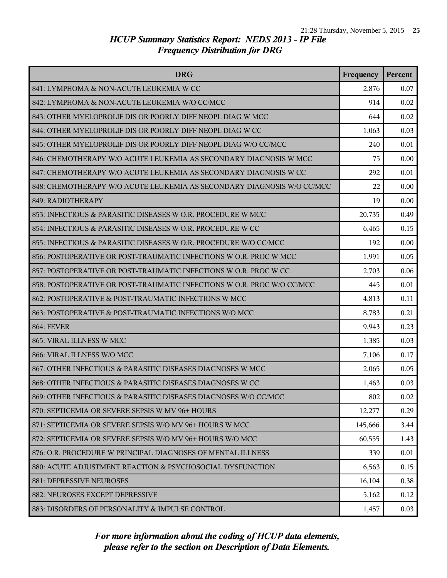| <b>DRG</b>                                                             | Frequency | Percent |
|------------------------------------------------------------------------|-----------|---------|
| 841: LYMPHOMA & NON-ACUTE LEUKEMIA W CC                                | 2,876     | 0.07    |
| 842: LYMPHOMA & NON-ACUTE LEUKEMIA W/O CC/MCC                          | 914       | 0.02    |
| 843: OTHER MYELOPROLIF DIS OR POORLY DIFF NEOPL DIAG W MCC             | 644       | 0.02    |
| 844: OTHER MYELOPROLIF DIS OR POORLY DIFF NEOPL DIAG W CC              | 1,063     | 0.03    |
| 845: OTHER MYELOPROLIF DIS OR POORLY DIFF NEOPL DIAG W/O CC/MCC        | 240       | 0.01    |
| 846: CHEMOTHERAPY W/O ACUTE LEUKEMIA AS SECONDARY DIAGNOSIS W MCC      | 75        | 0.00    |
| 847: CHEMOTHERAPY W/O ACUTE LEUKEMIA AS SECONDARY DIAGNOSIS W CC       | 292       | 0.01    |
| 848: CHEMOTHERAPY W/O ACUTE LEUKEMIA AS SECONDARY DIAGNOSIS W/O CC/MCC | 22        | 0.00    |
| 849: RADIOTHERAPY                                                      | 19        | 0.00    |
| 853: INFECTIOUS & PARASITIC DISEASES W O.R. PROCEDURE W MCC            | 20,735    | 0.49    |
| 854: INFECTIOUS & PARASITIC DISEASES W O.R. PROCEDURE W CC             | 6,465     | 0.15    |
| 855: INFECTIOUS & PARASITIC DISEASES W O.R. PROCEDURE W/O CC/MCC       | 192       | 0.00    |
| 856: POSTOPERATIVE OR POST-TRAUMATIC INFECTIONS W O.R. PROC W MCC      | 1,991     | 0.05    |
| 857: POSTOPERATIVE OR POST-TRAUMATIC INFECTIONS W O.R. PROC W CC       | 2,703     | 0.06    |
| 858: POSTOPERATIVE OR POST-TRAUMATIC INFECTIONS W O.R. PROC W/O CC/MCC | 445       | 0.01    |
| 862: POSTOPERATIVE & POST-TRAUMATIC INFECTIONS W MCC                   | 4,813     | 0.11    |
| 863: POSTOPERATIVE & POST-TRAUMATIC INFECTIONS W/O MCC                 | 8,783     | 0.21    |
| <b>864: FEVER</b>                                                      | 9,943     | 0.23    |
| 865: VIRAL ILLNESS W MCC                                               | 1,385     | 0.03    |
| 866: VIRAL ILLNESS W/O MCC                                             | 7,106     | 0.17    |
| 867: OTHER INFECTIOUS & PARASITIC DISEASES DIAGNOSES W MCC             | 2,065     | 0.05    |
| 868: OTHER INFECTIOUS & PARASITIC DISEASES DIAGNOSES W CC              | 1,463     | 0.03    |
| 869: OTHER INFECTIOUS & PARASITIC DISEASES DIAGNOSES W/O CC/MCC        | 802       | 0.02    |
| 870: SEPTICEMIA OR SEVERE SEPSIS W MV 96+ HOURS                        | 12,277    | 0.29    |
| 871: SEPTICEMIA OR SEVERE SEPSIS W/O MV 96+ HOURS W MCC                | 145,666   | 3.44    |
| 872: SEPTICEMIA OR SEVERE SEPSIS W/O MV 96+ HOURS W/O MCC              | 60,555    | 1.43    |
| 876: O.R. PROCEDURE W PRINCIPAL DIAGNOSES OF MENTAL ILLNESS            | 339       | 0.01    |
| 880: ACUTE ADJUSTMENT REACTION & PSYCHOSOCIAL DYSFUNCTION              | 6,563     | 0.15    |
| <b>881: DEPRESSIVE NEUROSES</b>                                        | 16,104    | 0.38    |
| 882: NEUROSES EXCEPT DEPRESSIVE                                        | 5,162     | 0.12    |
| 883: DISORDERS OF PERSONALITY & IMPULSE CONTROL                        | 1,457     | 0.03    |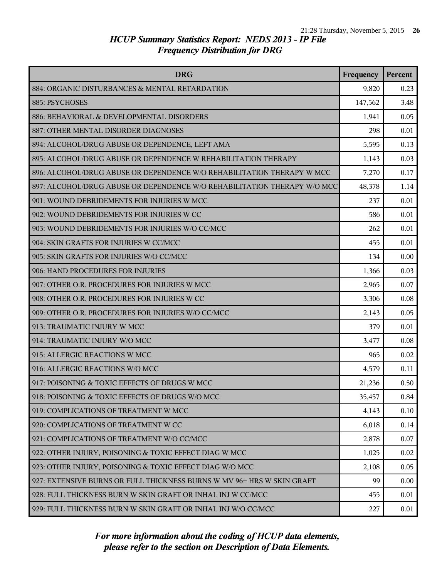| <b>DRG</b>                                                               | Frequency | Percent |
|--------------------------------------------------------------------------|-----------|---------|
| 884: ORGANIC DISTURBANCES & MENTAL RETARDATION                           | 9,820     | 0.23    |
| 885: PSYCHOSES                                                           | 147,562   | 3.48    |
| 886: BEHAVIORAL & DEVELOPMENTAL DISORDERS                                | 1,941     | 0.05    |
| 887: OTHER MENTAL DISORDER DIAGNOSES                                     | 298       | 0.01    |
| 894: ALCOHOL/DRUG ABUSE OR DEPENDENCE, LEFT AMA                          | 5,595     | 0.13    |
| 895: ALCOHOL/DRUG ABUSE OR DEPENDENCE W REHABILITATION THERAPY           | 1,143     | 0.03    |
| 896: ALCOHOL/DRUG ABUSE OR DEPENDENCE W/O REHABILITATION THERAPY W MCC   | 7,270     | 0.17    |
| 897: ALCOHOL/DRUG ABUSE OR DEPENDENCE W/O REHABILITATION THERAPY W/O MCC | 48,378    | 1.14    |
| 901: WOUND DEBRIDEMENTS FOR INJURIES W MCC                               | 237       | 0.01    |
| 902: WOUND DEBRIDEMENTS FOR INJURIES W CC                                | 586       | 0.01    |
| 903: WOUND DEBRIDEMENTS FOR INJURIES W/O CC/MCC                          | 262       | 0.01    |
| 904: SKIN GRAFTS FOR INJURIES W CC/MCC                                   | 455       | 0.01    |
| 905: SKIN GRAFTS FOR INJURIES W/O CC/MCC                                 | 134       | 0.00    |
| 906: HAND PROCEDURES FOR INJURIES                                        | 1,366     | 0.03    |
| 907: OTHER O.R. PROCEDURES FOR INJURIES W MCC                            | 2,965     | 0.07    |
| 908: OTHER O.R. PROCEDURES FOR INJURIES W CC                             | 3,306     | 0.08    |
| 909: OTHER O.R. PROCEDURES FOR INJURIES W/O CC/MCC                       | 2,143     | 0.05    |
| 913: TRAUMATIC INJURY W MCC                                              | 379       | 0.01    |
| 914: TRAUMATIC INJURY W/O MCC                                            | 3,477     | 0.08    |
| 915: ALLERGIC REACTIONS W MCC                                            | 965       | 0.02    |
| 916: ALLERGIC REACTIONS W/O MCC                                          | 4,579     | 0.11    |
| 917: POISONING & TOXIC EFFECTS OF DRUGS W MCC                            | 21,236    | 0.50    |
| 918: POISONING & TOXIC EFFECTS OF DRUGS W/O MCC                          | 35,457    | 0.84    |
| 919: COMPLICATIONS OF TREATMENT W MCC                                    | 4,143     | 0.10    |
| 920: COMPLICATIONS OF TREATMENT W CC                                     | 6,018     | 0.14    |
| 921: COMPLICATIONS OF TREATMENT W/O CC/MCC                               | 2,878     | 0.07    |
| 922: OTHER INJURY, POISONING & TOXIC EFFECT DIAG W MCC                   | 1,025     | 0.02    |
| 923: OTHER INJURY, POISONING & TOXIC EFFECT DIAG W/O MCC                 | 2,108     | 0.05    |
| 927: EXTENSIVE BURNS OR FULL THICKNESS BURNS W MV 96+ HRS W SKIN GRAFT   | 99        | 0.00    |
| 928: FULL THICKNESS BURN W SKIN GRAFT OR INHAL INJ W CC/MCC              | 455       | 0.01    |
| 929: FULL THICKNESS BURN W SKIN GRAFT OR INHAL INJ W/O CC/MCC            | 227       | 0.01    |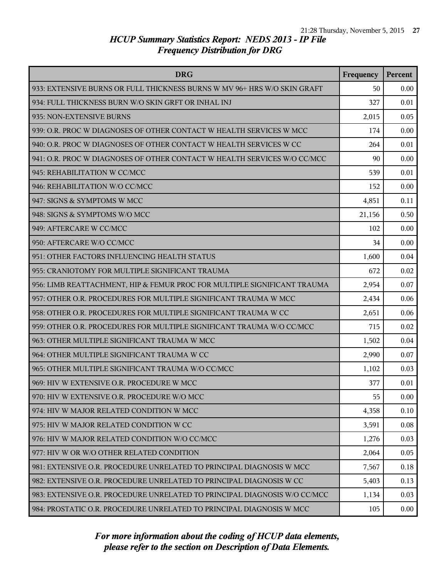| <b>DRG</b>                                                                | Frequency | <b>Percent</b> |
|---------------------------------------------------------------------------|-----------|----------------|
| 933: EXTENSIVE BURNS OR FULL THICKNESS BURNS W MV 96+ HRS W/O SKIN GRAFT  | 50        | 0.00           |
| 934: FULL THICKNESS BURN W/O SKIN GRFT OR INHAL INJ                       | 327       | 0.01           |
| 935: NON-EXTENSIVE BURNS                                                  | 2,015     | 0.05           |
| 939: O.R. PROC W DIAGNOSES OF OTHER CONTACT W HEALTH SERVICES W MCC       | 174       | 0.00           |
| 940: O.R. PROC W DIAGNOSES OF OTHER CONTACT W HEALTH SERVICES W CC        | 264       | 0.01           |
| 941: O.R. PROC W DIAGNOSES OF OTHER CONTACT W HEALTH SERVICES W/O CC/MCC  | 90        | 0.00           |
| 945: REHABILITATION W CC/MCC                                              | 539       | 0.01           |
| 946: REHABILITATION W/O CC/MCC                                            | 152       | 0.00           |
| 947: SIGNS & SYMPTOMS W MCC                                               | 4,851     | 0.11           |
| 948: SIGNS & SYMPTOMS W/O MCC                                             | 21,156    | 0.50           |
| 949: AFTERCARE W CC/MCC                                                   | 102       | 0.00           |
| 950: AFTERCARE W/O CC/MCC                                                 | 34        | 0.00           |
| 951: OTHER FACTORS INFLUENCING HEALTH STATUS                              | 1,600     | 0.04           |
| 955: CRANIOTOMY FOR MULTIPLE SIGNIFICANT TRAUMA                           | 672       | 0.02           |
| 956: LIMB REATTACHMENT, HIP & FEMUR PROC FOR MULTIPLE SIGNIFICANT TRAUMA  | 2,954     | 0.07           |
| 957: OTHER O.R. PROCEDURES FOR MULTIPLE SIGNIFICANT TRAUMA W MCC          | 2,434     | 0.06           |
| 958: OTHER O.R. PROCEDURES FOR MULTIPLE SIGNIFICANT TRAUMA W CC           | 2,651     | 0.06           |
| 959: OTHER O.R. PROCEDURES FOR MULTIPLE SIGNIFICANT TRAUMA W/O CC/MCC     | 715       | 0.02           |
| 963: OTHER MULTIPLE SIGNIFICANT TRAUMA W MCC                              | 1,502     | 0.04           |
| 964: OTHER MULTIPLE SIGNIFICANT TRAUMA W CC                               | 2,990     | 0.07           |
| 965: OTHER MULTIPLE SIGNIFICANT TRAUMA W/O CC/MCC                         | 1,102     | 0.03           |
| 969: HIV W EXTENSIVE O.R. PROCEDURE W MCC                                 | 377       | 0.01           |
| 970: HIV W EXTENSIVE O.R. PROCEDURE W/O MCC                               | 55        | 0.00           |
| 974: HIV W MAJOR RELATED CONDITION W MCC                                  | 4,358     | 0.10           |
| 975: HIV W MAJOR RELATED CONDITION W CC                                   | 3,591     | 0.08           |
| 976: HIV W MAJOR RELATED CONDITION W/O CC/MCC                             | 1,276     | 0.03           |
| 977: HIV W OR W/O OTHER RELATED CONDITION                                 | 2,064     | 0.05           |
| 981: EXTENSIVE O.R. PROCEDURE UNRELATED TO PRINCIPAL DIAGNOSIS W MCC      | 7,567     | 0.18           |
| 982: EXTENSIVE O.R. PROCEDURE UNRELATED TO PRINCIPAL DIAGNOSIS W CC       | 5,403     | 0.13           |
| 983: EXTENSIVE O.R. PROCEDURE UNRELATED TO PRINCIPAL DIAGNOSIS W/O CC/MCC | 1,134     | 0.03           |
| 984: PROSTATIC O.R. PROCEDURE UNRELATED TO PRINCIPAL DIAGNOSIS W MCC      | 105       | 0.00           |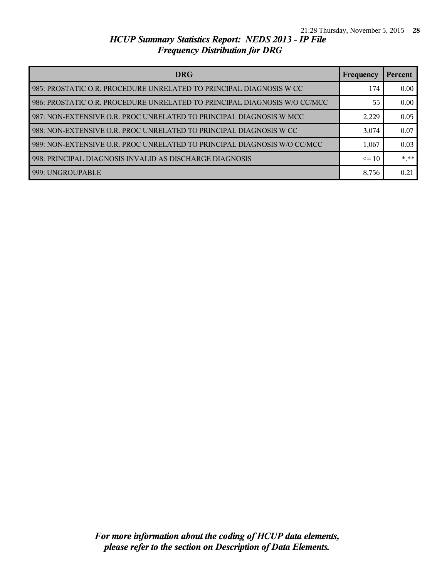| <b>DRG</b>                                                                | Frequency | Percent |
|---------------------------------------------------------------------------|-----------|---------|
| 985: PROSTATIC O.R. PROCEDURE UNRELATED TO PRINCIPAL DIAGNOSIS W CC       | 174       | 0.00    |
| 986: PROSTATIC O.R. PROCEDURE UNRELATED TO PRINCIPAL DIAGNOSIS W/O CC/MCC | 55        | 0.00    |
| 987: NON-EXTENSIVE O.R. PROC UNRELATED TO PRINCIPAL DIAGNOSIS W MCC       | 2,229     | 0.05    |
| 988: NON-EXTENSIVE O.R. PROC UNRELATED TO PRINCIPAL DIAGNOSIS W CC        | 3,074     | 0.07    |
| 989: NON-EXTENSIVE O.R. PROC UNRELATED TO PRINCIPAL DIAGNOSIS W/O CC/MCC  | 1,067     | 0.03    |
| 998: PRINCIPAL DIAGNOSIS INVALID AS DISCHARGE DIAGNOSIS                   | $\leq 10$ | $***$   |
| 999: UNGROUPABLE                                                          | 8,756     | 0.21    |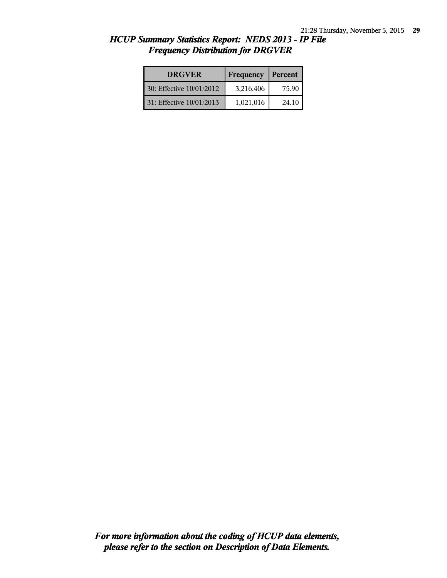| <b>DRGVER</b>            | Frequency | Percent |
|--------------------------|-----------|---------|
| 30: Effective 10/01/2012 | 3,216,406 | 75.90   |
| 31: Effective 10/01/2013 | 1,021,016 | 24.10   |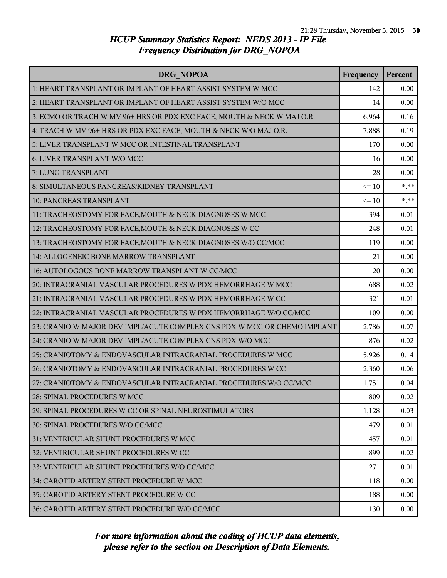| DRG NOPOA                                                                | Frequency | Percent |
|--------------------------------------------------------------------------|-----------|---------|
| 1: HEART TRANSPLANT OR IMPLANT OF HEART ASSIST SYSTEM W MCC              | 142       | 0.00    |
| 2: HEART TRANSPLANT OR IMPLANT OF HEART ASSIST SYSTEM W/O MCC            | 14        | 0.00    |
| 3: ECMO OR TRACH W MV 96+ HRS OR PDX EXC FACE, MOUTH & NECK W MAJ O.R.   | 6,964     | 0.16    |
| 4: TRACH W MV 96+ HRS OR PDX EXC FACE, MOUTH & NECK W/O MAJ O.R.         | 7,888     | 0.19    |
| 5: LIVER TRANSPLANT W MCC OR INTESTINAL TRANSPLANT                       | 170       | 0.00    |
| 6: LIVER TRANSPLANT W/O MCC                                              | 16        | 0.00    |
| 7: LUNG TRANSPLANT                                                       | 28        | 0.00    |
| 8: SIMULTANEOUS PANCREAS/KIDNEY TRANSPLANT                               | $\leq 10$ | $***$   |
| <b>10: PANCREAS TRANSPLANT</b>                                           | $\leq 10$ | $***$   |
| 11: TRACHEOSTOMY FOR FACE, MOUTH & NECK DIAGNOSES W MCC                  | 394       | 0.01    |
| 12: TRACHEOSTOMY FOR FACE, MOUTH & NECK DIAGNOSES W CC                   | 248       | 0.01    |
| 13: TRACHEOSTOMY FOR FACE, MOUTH & NECK DIAGNOSES W/O CC/MCC             | 119       | 0.00    |
| 14: ALLOGENEIC BONE MARROW TRANSPLANT                                    | 21        | 0.00    |
| 16: AUTOLOGOUS BONE MARROW TRANSPLANT W CC/MCC                           | 20        | 0.00    |
| 20: INTRACRANIAL VASCULAR PROCEDURES W PDX HEMORRHAGE W MCC              | 688       | 0.02    |
| 21: INTRACRANIAL VASCULAR PROCEDURES W PDX HEMORRHAGE W CC               | 321       | 0.01    |
| 22: INTRACRANIAL VASCULAR PROCEDURES W PDX HEMORRHAGE W/O CC/MCC         | 109       | 0.00    |
| 23: CRANIO W MAJOR DEV IMPL/ACUTE COMPLEX CNS PDX W MCC OR CHEMO IMPLANT | 2,786     | 0.07    |
| 24: CRANIO W MAJOR DEV IMPL/ACUTE COMPLEX CNS PDX W/O MCC                | 876       | 0.02    |
| 25: CRANIOTOMY & ENDOVASCULAR INTRACRANIAL PROCEDURES W MCC              | 5,926     | 0.14    |
| 26: CRANIOTOMY & ENDOVASCULAR INTRACRANIAL PROCEDURES W CC               | 2,360     | 0.06    |
| 27: CRANIOTOMY & ENDOVASCULAR INTRACRANIAL PROCEDURES W/O CC/MCC         | 1,751     | 0.04    |
| 28: SPINAL PROCEDURES W MCC                                              | 809       | 0.02    |
| 29: SPINAL PROCEDURES W CC OR SPINAL NEUROSTIMULATORS                    | 1,128     | 0.03    |
| 30: SPINAL PROCEDURES W/O CC/MCC                                         | 479       | 0.01    |
| 31: VENTRICULAR SHUNT PROCEDURES W MCC                                   | 457       | 0.01    |
| 32: VENTRICULAR SHUNT PROCEDURES W CC                                    | 899       | 0.02    |
| 33: VENTRICULAR SHUNT PROCEDURES W/O CC/MCC                              | 271       | 0.01    |
| 34: CAROTID ARTERY STENT PROCEDURE W MCC                                 | 118       | 0.00    |
| 35: CAROTID ARTERY STENT PROCEDURE W CC                                  | 188       | 0.00    |
| 36: CAROTID ARTERY STENT PROCEDURE W/O CC/MCC                            | 130       | 0.00    |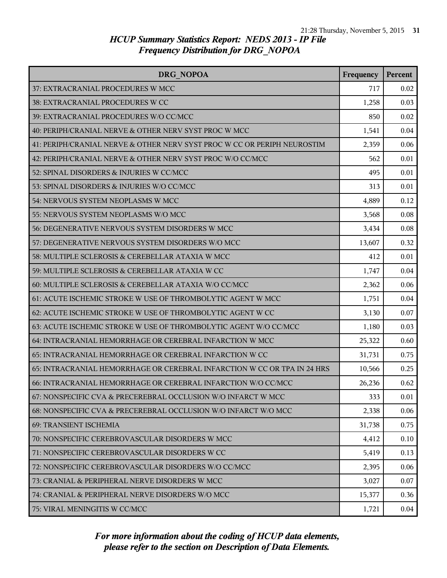| DRG NOPOA                                                                | Frequency | Percent |
|--------------------------------------------------------------------------|-----------|---------|
| 37: EXTRACRANIAL PROCEDURES W MCC                                        | 717       | 0.02    |
| 38: EXTRACRANIAL PROCEDURES W CC                                         | 1,258     | 0.03    |
| 39: EXTRACRANIAL PROCEDURES W/O CC/MCC                                   | 850       | 0.02    |
| 40: PERIPH/CRANIAL NERVE & OTHER NERV SYST PROC W MCC                    | 1,541     | 0.04    |
| 41: PERIPH/CRANIAL NERVE & OTHER NERV SYST PROC W CC OR PERIPH NEUROSTIM | 2,359     | 0.06    |
| 42: PERIPH/CRANIAL NERVE & OTHER NERV SYST PROC W/O CC/MCC               | 562       | 0.01    |
| 52: SPINAL DISORDERS & INJURIES W CC/MCC                                 | 495       | 0.01    |
| 53: SPINAL DISORDERS & INJURIES W/O CC/MCC                               | 313       | 0.01    |
| 54: NERVOUS SYSTEM NEOPLASMS W MCC                                       | 4,889     | 0.12    |
| 55: NERVOUS SYSTEM NEOPLASMS W/O MCC                                     | 3,568     | 0.08    |
| 56: DEGENERATIVE NERVOUS SYSTEM DISORDERS W MCC                          | 3,434     | 0.08    |
| 57: DEGENERATIVE NERVOUS SYSTEM DISORDERS W/O MCC                        | 13,607    | 0.32    |
| 58: MULTIPLE SCLEROSIS & CEREBELLAR ATAXIA W MCC                         | 412       | 0.01    |
| 59: MULTIPLE SCLEROSIS & CEREBELLAR ATAXIA W CC                          | 1,747     | 0.04    |
| 60: MULTIPLE SCLEROSIS & CEREBELLAR ATAXIA W/O CC/MCC                    | 2,362     | 0.06    |
| 61: ACUTE ISCHEMIC STROKE W USE OF THROMBOLYTIC AGENT W MCC              | 1,751     | 0.04    |
| 62: ACUTE ISCHEMIC STROKE W USE OF THROMBOLYTIC AGENT W CC               | 3,130     | 0.07    |
| 63: ACUTE ISCHEMIC STROKE W USE OF THROMBOLYTIC AGENT W/O CC/MCC         | 1,180     | 0.03    |
| 64: INTRACRANIAL HEMORRHAGE OR CEREBRAL INFARCTION W MCC                 | 25,322    | 0.60    |
| 65: INTRACRANIAL HEMORRHAGE OR CEREBRAL INFARCTION W CC                  | 31,731    | 0.75    |
| 65: INTRACRANIAL HEMORRHAGE OR CEREBRAL INFARCTION W CC OR TPA IN 24 HRS | 10,566    | 0.25    |
| 66: INTRACRANIAL HEMORRHAGE OR CEREBRAL INFARCTION W/O CC/MCC            | 26,236    | 0.62    |
| 67: NONSPECIFIC CVA & PRECEREBRAL OCCLUSION W/O INFARCT W MCC            | 333       | 0.01    |
| 68: NONSPECIFIC CVA & PRECEREBRAL OCCLUSION W/O INFARCT W/O MCC          | 2,338     | 0.06    |
| 69: TRANSIENT ISCHEMIA                                                   | 31,738    | 0.75    |
| 70: NONSPECIFIC CEREBROVASCULAR DISORDERS W MCC                          | 4,412     | 0.10    |
| 71: NONSPECIFIC CEREBROVASCULAR DISORDERS W CC                           | 5,419     | 0.13    |
| 72: NONSPECIFIC CEREBROVASCULAR DISORDERS W/O CC/MCC                     | 2,395     | 0.06    |
| 73: CRANIAL & PERIPHERAL NERVE DISORDERS W MCC                           | 3,027     | 0.07    |
| 74: CRANIAL & PERIPHERAL NERVE DISORDERS W/O MCC                         | 15,377    | 0.36    |
| 75: VIRAL MENINGITIS W CC/MCC                                            | 1,721     | 0.04    |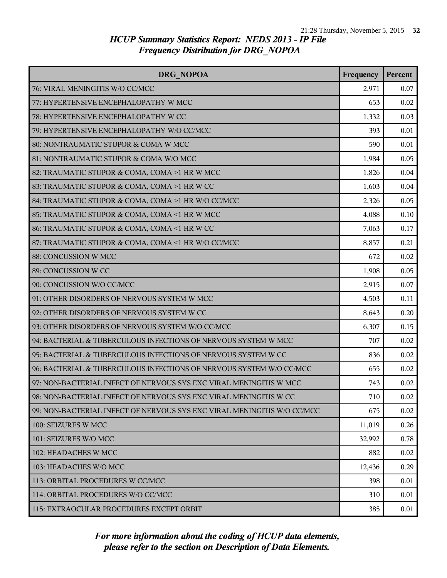| DRG NOPOA                                                               | Frequency | Percent |
|-------------------------------------------------------------------------|-----------|---------|
| 76: VIRAL MENINGITIS W/O CC/MCC                                         | 2,971     | 0.07    |
| 77: HYPERTENSIVE ENCEPHALOPATHY W MCC                                   | 653       | 0.02    |
| 78: HYPERTENSIVE ENCEPHALOPATHY W CC                                    | 1,332     | 0.03    |
| 79: HYPERTENSIVE ENCEPHALOPATHY W/O CC/MCC                              | 393       | 0.01    |
| 80: NONTRAUMATIC STUPOR & COMA W MCC                                    | 590       | 0.01    |
| 81: NONTRAUMATIC STUPOR & COMA W/O MCC                                  | 1,984     | 0.05    |
| 82: TRAUMATIC STUPOR & COMA, COMA >1 HR W MCC                           | 1,826     | 0.04    |
| 83: TRAUMATIC STUPOR & COMA, COMA >1 HR W CC                            | 1,603     | 0.04    |
| 84: TRAUMATIC STUPOR & COMA, COMA >1 HR W/O CC/MCC                      | 2,326     | 0.05    |
| 85: TRAUMATIC STUPOR & COMA, COMA <1 HR W MCC                           | 4,088     | 0.10    |
| 86: TRAUMATIC STUPOR & COMA, COMA <1 HR W CC                            | 7,063     | 0.17    |
| 87: TRAUMATIC STUPOR & COMA, COMA <1 HR W/O CC/MCC                      | 8,857     | 0.21    |
| 88: CONCUSSION W MCC                                                    | 672       | 0.02    |
| 89: CONCUSSION W CC                                                     | 1,908     | 0.05    |
| 90: CONCUSSION W/O CC/MCC                                               | 2,915     | 0.07    |
| 91: OTHER DISORDERS OF NERVOUS SYSTEM W MCC                             | 4,503     | 0.11    |
| 92: OTHER DISORDERS OF NERVOUS SYSTEM W CC                              | 8,643     | 0.20    |
| 93: OTHER DISORDERS OF NERVOUS SYSTEM W/O CC/MCC                        | 6,307     | 0.15    |
| 94: BACTERIAL & TUBERCULOUS INFECTIONS OF NERVOUS SYSTEM W MCC          | 707       | 0.02    |
| 95: BACTERIAL & TUBERCULOUS INFECTIONS OF NERVOUS SYSTEM W CC           | 836       | 0.02    |
| 96: BACTERIAL & TUBERCULOUS INFECTIONS OF NERVOUS SYSTEM W/O CC/MCC     | 655       | 0.02    |
| 97: NON-BACTERIAL INFECT OF NERVOUS SYS EXC VIRAL MENINGITIS W MCC      | 743       | 0.02    |
| 98: NON-BACTERIAL INFECT OF NERVOUS SYS EXC VIRAL MENINGITIS W CC       | 710       | 0.02    |
| 99: NON-BACTERIAL INFECT OF NERVOUS SYS EXC VIRAL MENINGITIS W/O CC/MCC | 675       | 0.02    |
| 100: SEIZURES W MCC                                                     | 11,019    | 0.26    |
| 101: SEIZURES W/O MCC                                                   | 32,992    | 0.78    |
| 102: HEADACHES W MCC                                                    | 882       | 0.02    |
| 103: HEADACHES W/O MCC                                                  | 12,436    | 0.29    |
| 113: ORBITAL PROCEDURES W CC/MCC                                        | 398       | 0.01    |
| 114: ORBITAL PROCEDURES W/O CC/MCC                                      | 310       | 0.01    |
| 115: EXTRAOCULAR PROCEDURES EXCEPT ORBIT                                | 385       | 0.01    |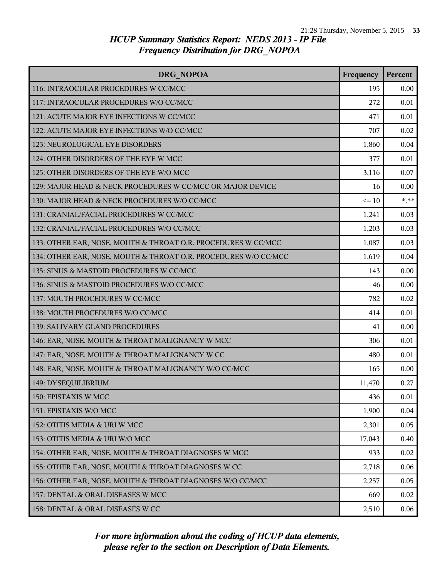| DRG NOPOA                                                       | Frequency | Percent |
|-----------------------------------------------------------------|-----------|---------|
| 116: INTRAOCULAR PROCEDURES W CC/MCC                            | 195       | 0.00    |
| 117: INTRAOCULAR PROCEDURES W/O CC/MCC                          | 272       | 0.01    |
| 121: ACUTE MAJOR EYE INFECTIONS W CC/MCC                        | 471       | 0.01    |
| 122: ACUTE MAJOR EYE INFECTIONS W/O CC/MCC                      | 707       | 0.02    |
| 123: NEUROLOGICAL EYE DISORDERS                                 | 1,860     | 0.04    |
| 124: OTHER DISORDERS OF THE EYE W MCC                           | 377       | 0.01    |
| 125: OTHER DISORDERS OF THE EYE W/O MCC                         | 3,116     | 0.07    |
| 129: MAJOR HEAD & NECK PROCEDURES W CC/MCC OR MAJOR DEVICE      | 16        | 0.00    |
| 130: MAJOR HEAD & NECK PROCEDURES W/O CC/MCC                    | $\leq 10$ | $***$   |
| 131: CRANIAL/FACIAL PROCEDURES W CC/MCC                         | 1,241     | 0.03    |
| 132: CRANIAL/FACIAL PROCEDURES W/O CC/MCC                       | 1,203     | 0.03    |
| 133: OTHER EAR, NOSE, MOUTH & THROAT O.R. PROCEDURES W CC/MCC   | 1,087     | 0.03    |
| 134: OTHER EAR, NOSE, MOUTH & THROAT O.R. PROCEDURES W/O CC/MCC | 1,619     | 0.04    |
| 135: SINUS & MASTOID PROCEDURES W CC/MCC                        | 143       | 0.00    |
| 136: SINUS & MASTOID PROCEDURES W/O CC/MCC                      | 46        | 0.00    |
| 137: MOUTH PROCEDURES W CC/MCC                                  | 782       | 0.02    |
| 138: MOUTH PROCEDURES W/O CC/MCC                                | 414       | 0.01    |
| 139: SALIVARY GLAND PROCEDURES                                  | 41        | 0.00    |
| 146: EAR, NOSE, MOUTH & THROAT MALIGNANCY W MCC                 | 306       | 0.01    |
| 147: EAR, NOSE, MOUTH & THROAT MALIGNANCY W CC                  | 480       | 0.01    |
| 148: EAR, NOSE, MOUTH & THROAT MALIGNANCY W/O CC/MCC            | 165       | 0.00    |
| 149: DYSEQUILIBRIUM                                             | 11,470    | 0.27    |
| 150: EPISTAXIS W MCC                                            | 436       | 0.01    |
| 151: EPISTAXIS W/O MCC                                          | 1,900     | 0.04    |
| 152: OTITIS MEDIA & URI W MCC                                   | 2,301     | 0.05    |
| 153: OTITIS MEDIA & URI W/O MCC                                 | 17,043    | 0.40    |
| 154: OTHER EAR, NOSE, MOUTH & THROAT DIAGNOSES W MCC            | 933       | 0.02    |
| 155: OTHER EAR, NOSE, MOUTH & THROAT DIAGNOSES W CC             | 2,718     | 0.06    |
| 156: OTHER EAR, NOSE, MOUTH & THROAT DIAGNOSES W/O CC/MCC       | 2,257     | 0.05    |
| 157: DENTAL & ORAL DISEASES W MCC                               | 669       | 0.02    |
| 158: DENTAL & ORAL DISEASES W CC                                | 2,510     | 0.06    |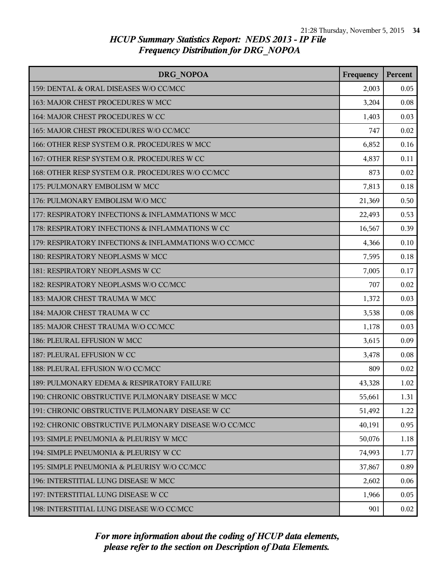| <b>DRG NOPOA</b>                                       | Frequency | Percent |
|--------------------------------------------------------|-----------|---------|
| 159: DENTAL & ORAL DISEASES W/O CC/MCC                 | 2,003     | 0.05    |
| 163: MAJOR CHEST PROCEDURES W MCC                      | 3,204     | 0.08    |
| 164: MAJOR CHEST PROCEDURES W CC                       | 1,403     | 0.03    |
| 165: MAJOR CHEST PROCEDURES W/O CC/MCC                 | 747       | 0.02    |
| 166: OTHER RESP SYSTEM O.R. PROCEDURES W MCC           | 6,852     | 0.16    |
| 167: OTHER RESP SYSTEM O.R. PROCEDURES W CC            | 4,837     | 0.11    |
| 168: OTHER RESP SYSTEM O.R. PROCEDURES W/O CC/MCC      | 873       | 0.02    |
| 175: PULMONARY EMBOLISM W MCC                          | 7,813     | 0.18    |
| 176: PULMONARY EMBOLISM W/O MCC                        | 21,369    | 0.50    |
| 177: RESPIRATORY INFECTIONS & INFLAMMATIONS W MCC      | 22,493    | 0.53    |
| 178: RESPIRATORY INFECTIONS & INFLAMMATIONS W CC       | 16,567    | 0.39    |
| 179: RESPIRATORY INFECTIONS & INFLAMMATIONS W/O CC/MCC | 4,366     | 0.10    |
| 180: RESPIRATORY NEOPLASMS W MCC                       | 7,595     | 0.18    |
| 181: RESPIRATORY NEOPLASMS W CC                        | 7,005     | 0.17    |
| 182: RESPIRATORY NEOPLASMS W/O CC/MCC                  | 707       | 0.02    |
| 183: MAJOR CHEST TRAUMA W MCC                          | 1,372     | 0.03    |
| 184: MAJOR CHEST TRAUMA W CC                           | 3,538     | 0.08    |
| 185: MAJOR CHEST TRAUMA W/O CC/MCC                     | 1,178     | 0.03    |
| 186: PLEURAL EFFUSION W MCC                            | 3,615     | 0.09    |
| 187: PLEURAL EFFUSION W CC                             | 3,478     | 0.08    |
| 188: PLEURAL EFFUSION W/O CC/MCC                       | 809       | 0.02    |
| 189: PULMONARY EDEMA & RESPIRATORY FAILURE             | 43,328    | 1.02    |
| 190: CHRONIC OBSTRUCTIVE PULMONARY DISEASE W MCC       | 55,661    | 1.31    |
| 191: CHRONIC OBSTRUCTIVE PULMONARY DISEASE W CC        | 51,492    | 1.22    |
| 192: CHRONIC OBSTRUCTIVE PULMONARY DISEASE W/O CC/MCC  | 40,191    | 0.95    |
| 193: SIMPLE PNEUMONIA & PLEURISY W MCC                 | 50,076    | 1.18    |
| 194: SIMPLE PNEUMONIA & PLEURISY W CC                  | 74,993    | 1.77    |
| 195: SIMPLE PNEUMONIA & PLEURISY W/O CC/MCC            | 37,867    | 0.89    |
| 196: INTERSTITIAL LUNG DISEASE W MCC                   | 2,602     | 0.06    |
| 197: INTERSTITIAL LUNG DISEASE W CC                    | 1,966     | 0.05    |
| 198: INTERSTITIAL LUNG DISEASE W/O CC/MCC              | 901       | 0.02    |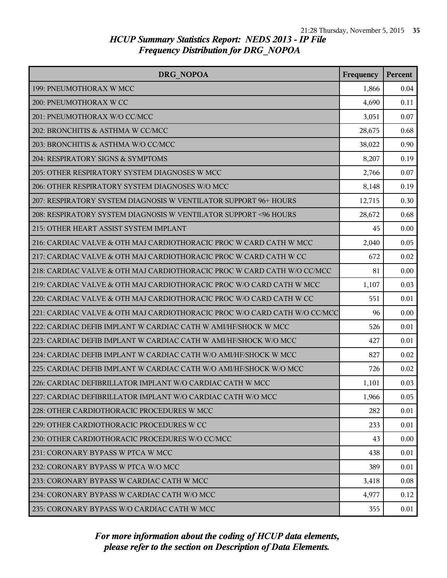| <b>DRG NOPOA</b>                                                          | Frequency | Percent |
|---------------------------------------------------------------------------|-----------|---------|
| 199: PNEUMOTHORAX W MCC                                                   | 1,866     | 0.04    |
| 200: PNEUMOTHORAX W CC                                                    | 4,690     | 0.11    |
| 201: PNEUMOTHORAX W/O CC/MCC                                              | 3,051     | 0.07    |
| 202: BRONCHITIS & ASTHMA W CC/MCC                                         | 28,675    | 0.68    |
| 203: BRONCHITIS & ASTHMA W/O CC/MCC                                       | 38,022    | 0.90    |
| 204: RESPIRATORY SIGNS & SYMPTOMS                                         | 8,207     | 0.19    |
| 205: OTHER RESPIRATORY SYSTEM DIAGNOSES W MCC                             | 2,766     | 0.07    |
| 206: OTHER RESPIRATORY SYSTEM DIAGNOSES W/O MCC                           | 8,148     | 0.19    |
| 207: RESPIRATORY SYSTEM DIAGNOSIS W VENTILATOR SUPPORT 96+ HOURS          | 12,715    | 0.30    |
| 208: RESPIRATORY SYSTEM DIAGNOSIS W VENTILATOR SUPPORT <96 HOURS          | 28,672    | 0.68    |
| 215: OTHER HEART ASSIST SYSTEM IMPLANT                                    | 45        | 0.00    |
| 216: CARDIAC VALVE & OTH MAJ CARDIOTHORACIC PROC W CARD CATH W MCC        | 2,040     | 0.05    |
| 217: CARDIAC VALVE & OTH MAJ CARDIOTHORACIC PROC W CARD CATH W CC         | 672       | 0.02    |
| 218: CARDIAC VALVE & OTH MAJ CARDIOTHORACIC PROC W CARD CATH W/O CC/MCC   | 81        | 0.00    |
| 219: CARDIAC VALVE & OTH MAJ CARDIOTHORACIC PROC W/O CARD CATH W MCC      | 1,107     | 0.03    |
| 220: CARDIAC VALVE & OTH MAJ CARDIOTHORACIC PROC W/O CARD CATH W CC       | 551       | 0.01    |
| 221: CARDIAC VALVE & OTH MAJ CARDIOTHORACIC PROC W/O CARD CATH W/O CC/MCC | 96        | 0.00    |
| 222: CARDIAC DEFIB IMPLANT W CARDIAC CATH W AMI/HF/SHOCK W MCC            | 526       | 0.01    |
| 223: CARDIAC DEFIB IMPLANT W CARDIAC CATH W AMI/HF/SHOCK W/O MCC          | 427       | 0.01    |
| 224: CARDIAC DEFIB IMPLANT W CARDIAC CATH W/O AMI/HF/SHOCK W MCC          | 827       | 0.02    |
| 225: CARDIAC DEFIB IMPLANT W CARDIAC CATH W/O AMI/HF/SHOCK W/O MCC        | 726       | 0.02    |
| 226: CARDIAC DEFIBRILLATOR IMPLANT W/O CARDIAC CATH W MCC                 | 1,101     | 0.03    |
| 227: CARDIAC DEFIBRILLATOR IMPLANT W/O CARDIAC CATH W/O MCC               | 1,966     | 0.05    |
| 228: OTHER CARDIOTHORACIC PROCEDURES W MCC                                | 282       | 0.01    |
| 229: OTHER CARDIOTHORACIC PROCEDURES W CC                                 | 233       | 0.01    |
| 230: OTHER CARDIOTHORACIC PROCEDURES W/O CC/MCC                           | 43        | 0.00    |
| 231: CORONARY BYPASS W PTCA W MCC                                         | 438       | 0.01    |
| 232: CORONARY BYPASS W PTCA W/O MCC                                       | 389       | 0.01    |
| 233: CORONARY BYPASS W CARDIAC CATH W MCC                                 | 3,418     | 0.08    |
| 234: CORONARY BYPASS W CARDIAC CATH W/O MCC                               | 4,977     | 0.12    |
| 235: CORONARY BYPASS W/O CARDIAC CATH W MCC                               | 355       | 0.01    |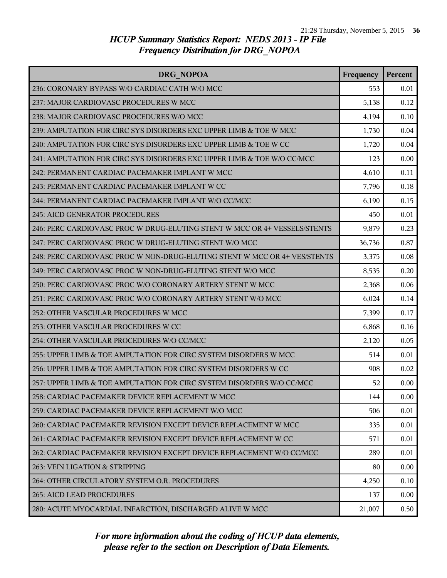| DRG NOPOA                                                                 | Frequency | Percent |
|---------------------------------------------------------------------------|-----------|---------|
| 236: CORONARY BYPASS W/O CARDIAC CATH W/O MCC                             | 553       | 0.01    |
| 237: MAJOR CARDIOVASC PROCEDURES W MCC                                    | 5,138     | 0.12    |
| 238: MAJOR CARDIOVASC PROCEDURES W/O MCC                                  | 4,194     | 0.10    |
| 239: AMPUTATION FOR CIRC SYS DISORDERS EXC UPPER LIMB & TOE W MCC         | 1,730     | 0.04    |
| 240: AMPUTATION FOR CIRC SYS DISORDERS EXC UPPER LIMB & TOE W CC          | 1,720     | 0.04    |
| 241: AMPUTATION FOR CIRC SYS DISORDERS EXC UPPER LIMB & TOE W/O CC/MCC    | 123       | 0.00    |
| 242: PERMANENT CARDIAC PACEMAKER IMPLANT W MCC                            | 4,610     | 0.11    |
| 243: PERMANENT CARDIAC PACEMAKER IMPLANT W CC                             | 7,796     | 0.18    |
| 244: PERMANENT CARDIAC PACEMAKER IMPLANT W/O CC/MCC                       | 6,190     | 0.15    |
| <b>245: AICD GENERATOR PROCEDURES</b>                                     | 450       | 0.01    |
| 246: PERC CARDIOVASC PROC W DRUG-ELUTING STENT W MCC OR 4+ VESSELS/STENTS | 9,879     | 0.23    |
| 247: PERC CARDIOVASC PROC W DRUG-ELUTING STENT W/O MCC                    | 36,736    | 0.87    |
| 248: PERC CARDIOVASC PROC W NON-DRUG-ELUTING STENT W MCC OR 4+ VES/STENTS | 3,375     | 0.08    |
| 249: PERC CARDIOVASC PROC W NON-DRUG-ELUTING STENT W/O MCC                | 8,535     | 0.20    |
| 250: PERC CARDIOVASC PROC W/O CORONARY ARTERY STENT W MCC                 | 2,368     | 0.06    |
| 251: PERC CARDIOVASC PROC W/O CORONARY ARTERY STENT W/O MCC               | 6,024     | 0.14    |
| 252: OTHER VASCULAR PROCEDURES W MCC                                      | 7,399     | 0.17    |
| 253: OTHER VASCULAR PROCEDURES W CC                                       | 6,868     | 0.16    |
| 254: OTHER VASCULAR PROCEDURES W/O CC/MCC                                 | 2,120     | 0.05    |
| 255: UPPER LIMB & TOE AMPUTATION FOR CIRC SYSTEM DISORDERS W MCC          | 514       | 0.01    |
| 256: UPPER LIMB & TOE AMPUTATION FOR CIRC SYSTEM DISORDERS W CC           | 908       | 0.02    |
| 257: UPPER LIMB & TOE AMPUTATION FOR CIRC SYSTEM DISORDERS W/O CC/MCC     | 52        | 0.00    |
| 258: CARDIAC PACEMAKER DEVICE REPLACEMENT W MCC                           | 144       | 0.00    |
| 259: CARDIAC PACEMAKER DEVICE REPLACEMENT W/O MCC                         | 506       | 0.01    |
| 260: CARDIAC PACEMAKER REVISION EXCEPT DEVICE REPLACEMENT W MCC           | 335       | 0.01    |
| 261: CARDIAC PACEMAKER REVISION EXCEPT DEVICE REPLACEMENT W CC            | 571       | 0.01    |
| 262: CARDIAC PACEMAKER REVISION EXCEPT DEVICE REPLACEMENT W/O CC/MCC      | 289       | 0.01    |
| 263: VEIN LIGATION & STRIPPING                                            | 80        | 0.00    |
| 264: OTHER CIRCULATORY SYSTEM O.R. PROCEDURES                             | 4,250     | 0.10    |
| 265: AICD LEAD PROCEDURES                                                 | 137       | 0.00    |
| 280: ACUTE MYOCARDIAL INFARCTION, DISCHARGED ALIVE W MCC                  | 21,007    | 0.50    |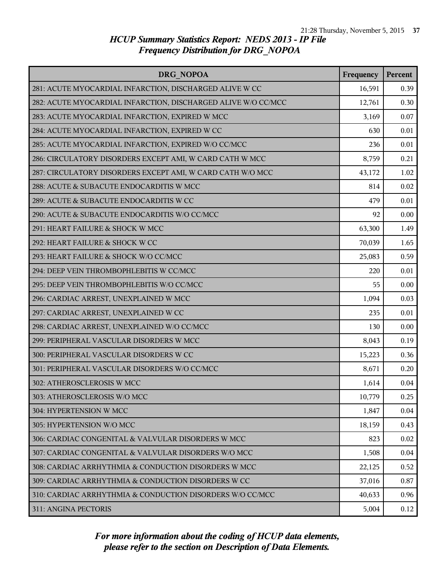| DRG NOPOA                                                     | Frequency | Percent |
|---------------------------------------------------------------|-----------|---------|
| 281: ACUTE MYOCARDIAL INFARCTION, DISCHARGED ALIVE W CC       | 16,591    | 0.39    |
| 282: ACUTE MYOCARDIAL INFARCTION, DISCHARGED ALIVE W/O CC/MCC | 12,761    | 0.30    |
| 283: ACUTE MYOCARDIAL INFARCTION, EXPIRED W MCC               | 3,169     | 0.07    |
| 284: ACUTE MYOCARDIAL INFARCTION, EXPIRED W CC                | 630       | 0.01    |
| 285: ACUTE MYOCARDIAL INFARCTION, EXPIRED W/O CC/MCC          | 236       | 0.01    |
| 286: CIRCULATORY DISORDERS EXCEPT AMI, W CARD CATH W MCC      | 8,759     | 0.21    |
| 287: CIRCULATORY DISORDERS EXCEPT AMI, W CARD CATH W/O MCC    | 43,172    | 1.02    |
| 288: ACUTE & SUBACUTE ENDOCARDITIS W MCC                      | 814       | 0.02    |
| 289: ACUTE & SUBACUTE ENDOCARDITIS W CC                       | 479       | 0.01    |
| 290: ACUTE & SUBACUTE ENDOCARDITIS W/O CC/MCC                 | 92        | 0.00    |
| 291: HEART FAILURE & SHOCK W MCC                              | 63,300    | 1.49    |
| 292: HEART FAILURE & SHOCK W CC                               | 70,039    | 1.65    |
| 293: HEART FAILURE & SHOCK W/O CC/MCC                         | 25,083    | 0.59    |
| 294: DEEP VEIN THROMBOPHLEBITIS W CC/MCC                      | 220       | 0.01    |
| 295: DEEP VEIN THROMBOPHLEBITIS W/O CC/MCC                    | 55        | 0.00    |
| 296: CARDIAC ARREST, UNEXPLAINED W MCC                        | 1,094     | 0.03    |
| 297: CARDIAC ARREST, UNEXPLAINED W CC                         | 235       | 0.01    |
| 298: CARDIAC ARREST, UNEXPLAINED W/O CC/MCC                   | 130       | 0.00    |
| 299: PERIPHERAL VASCULAR DISORDERS W MCC                      | 8,043     | 0.19    |
| 300: PERIPHERAL VASCULAR DISORDERS W CC                       | 15,223    | 0.36    |
| 301: PERIPHERAL VASCULAR DISORDERS W/O CC/MCC                 | 8,671     | 0.20    |
| 302: ATHEROSCLEROSIS W MCC                                    | 1,614     | 0.04    |
| 303: ATHEROSCLEROSIS W/O MCC                                  | 10,779    | 0.25    |
| 304: HYPERTENSION W MCC                                       | 1,847     | 0.04    |
| 305: HYPERTENSION W/O MCC                                     | 18,159    | 0.43    |
| 306: CARDIAC CONGENITAL & VALVULAR DISORDERS W MCC            | 823       | 0.02    |
| 307: CARDIAC CONGENITAL & VALVULAR DISORDERS W/O MCC          | 1,508     | 0.04    |
| 308: CARDIAC ARRHYTHMIA & CONDUCTION DISORDERS W MCC          | 22,125    | 0.52    |
| 309: CARDIAC ARRHYTHMIA & CONDUCTION DISORDERS W CC           | 37,016    | 0.87    |
| 310: CARDIAC ARRHYTHMIA & CONDUCTION DISORDERS W/O CC/MCC     | 40,633    | 0.96    |
| 311: ANGINA PECTORIS                                          | 5,004     | 0.12    |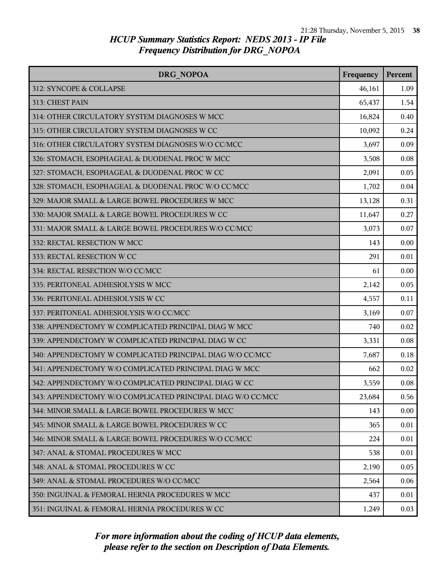| <b>DRG NOPOA</b>                                            | Frequency | Percent |
|-------------------------------------------------------------|-----------|---------|
| 312: SYNCOPE & COLLAPSE                                     | 46,161    | 1.09    |
| 313: CHEST PAIN                                             | 65,437    | 1.54    |
| 314: OTHER CIRCULATORY SYSTEM DIAGNOSES W MCC               | 16,824    | 0.40    |
| 315: OTHER CIRCULATORY SYSTEM DIAGNOSES W CC                | 10,092    | 0.24    |
| 316: OTHER CIRCULATORY SYSTEM DIAGNOSES W/O CC/MCC          | 3,697     | 0.09    |
| 326: STOMACH, ESOPHAGEAL & DUODENAL PROC W MCC              | 3,508     | 0.08    |
| 327: STOMACH, ESOPHAGEAL & DUODENAL PROC W CC               | 2,091     | 0.05    |
| 328: STOMACH, ESOPHAGEAL & DUODENAL PROC W/O CC/MCC         | 1,702     | 0.04    |
| 329: MAJOR SMALL & LARGE BOWEL PROCEDURES W MCC             | 13,128    | 0.31    |
| 330: MAJOR SMALL & LARGE BOWEL PROCEDURES W CC              | 11,647    | 0.27    |
| 331: MAJOR SMALL & LARGE BOWEL PROCEDURES W/O CC/MCC        | 3,073     | 0.07    |
| 332: RECTAL RESECTION W MCC                                 | 143       | 0.00    |
| 333: RECTAL RESECTION W CC                                  | 291       | 0.01    |
| 334: RECTAL RESECTION W/O CC/MCC                            | 61        | 0.00    |
| 335: PERITONEAL ADHESIOLYSIS W MCC                          | 2,142     | 0.05    |
| 336: PERITONEAL ADHESIOLYSIS W CC                           | 4,557     | 0.11    |
| 337: PERITONEAL ADHESIOLYSIS W/O CC/MCC                     | 3,169     | 0.07    |
| 338: APPENDECTOMY W COMPLICATED PRINCIPAL DIAG W MCC        | 740       | 0.02    |
| 339: APPENDECTOMY W COMPLICATED PRINCIPAL DIAG W CC         | 3,331     | 0.08    |
| 340: APPENDECTOMY W COMPLICATED PRINCIPAL DIAG W/O CC/MCC   | 7,687     | 0.18    |
| 341: APPENDECTOMY W/O COMPLICATED PRINCIPAL DIAG W MCC      | 662       | 0.02    |
| 342: APPENDECTOMY W/O COMPLICATED PRINCIPAL DIAG W CC       | 3,559     | 0.08    |
| 343: APPENDECTOMY W/O COMPLICATED PRINCIPAL DIAG W/O CC/MCC | 23,684    | 0.56    |
| 344: MINOR SMALL & LARGE BOWEL PROCEDURES W MCC             | 143       | 0.00    |
| 345: MINOR SMALL & LARGE BOWEL PROCEDURES W CC              | 365       | 0.01    |
| 346: MINOR SMALL & LARGE BOWEL PROCEDURES W/O CC/MCC        | 224       | 0.01    |
| 347: ANAL & STOMAL PROCEDURES W MCC                         | 538       | 0.01    |
| 348: ANAL & STOMAL PROCEDURES W CC                          | 2,190     | 0.05    |
| 349: ANAL & STOMAL PROCEDURES W/O CC/MCC                    | 2,564     | 0.06    |
| 350: INGUINAL & FEMORAL HERNIA PROCEDURES W MCC             | 437       | 0.01    |
| 351: INGUINAL & FEMORAL HERNIA PROCEDURES W CC              | 1,249     | 0.03    |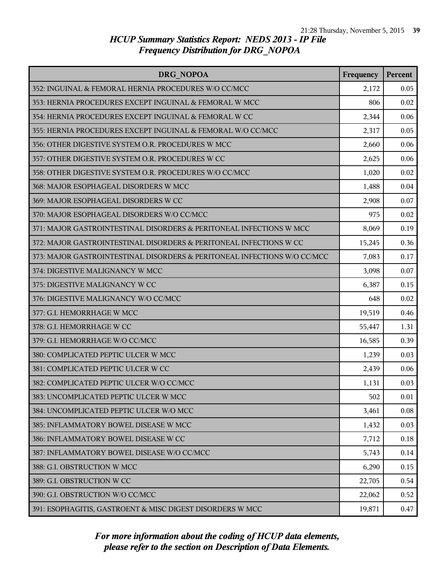| DRG NOPOA                                                                | Frequency | Percent |
|--------------------------------------------------------------------------|-----------|---------|
| 352: INGUINAL & FEMORAL HERNIA PROCEDURES W/O CC/MCC                     | 2,172     | 0.05    |
| 353: HERNIA PROCEDURES EXCEPT INGUINAL & FEMORAL W MCC                   | 806       | 0.02    |
| 354: HERNIA PROCEDURES EXCEPT INGUINAL & FEMORAL W CC                    | 2,344     | 0.06    |
| 355: HERNIA PROCEDURES EXCEPT INGUINAL & FEMORAL W/O CC/MCC              | 2,317     | 0.05    |
| 356: OTHER DIGESTIVE SYSTEM O.R. PROCEDURES W MCC                        | 2,660     | 0.06    |
| 357: OTHER DIGESTIVE SYSTEM O.R. PROCEDURES W CC                         | 2,625     | 0.06    |
| 358: OTHER DIGESTIVE SYSTEM O.R. PROCEDURES W/O CC/MCC                   | 1,020     | 0.02    |
| 368: MAJOR ESOPHAGEAL DISORDERS W MCC                                    | 1,488     | 0.04    |
| 369: MAJOR ESOPHAGEAL DISORDERS W CC                                     | 2,908     | 0.07    |
| 370: MAJOR ESOPHAGEAL DISORDERS W/O CC/MCC                               | 975       | 0.02    |
| 371: MAJOR GASTROINTESTINAL DISORDERS & PERITONEAL INFECTIONS W MCC      | 8,069     | 0.19    |
| 372: MAJOR GASTROINTESTINAL DISORDERS & PERITONEAL INFECTIONS W CC       | 15,245    | 0.36    |
| 373: MAJOR GASTROINTESTINAL DISORDERS & PERITONEAL INFECTIONS W/O CC/MCC | 7,083     | 0.17    |
| 374: DIGESTIVE MALIGNANCY W MCC                                          | 3,098     | 0.07    |
| 375: DIGESTIVE MALIGNANCY W CC                                           | 6,387     | 0.15    |
| 376: DIGESTIVE MALIGNANCY W/O CC/MCC                                     | 648       | 0.02    |
| 377: G.I. HEMORRHAGE W MCC                                               | 19,519    | 0.46    |
| 378: G.I. HEMORRHAGE W CC                                                | 55,447    | 1.31    |
| 379: G.I. HEMORRHAGE W/O CC/MCC                                          | 16,585    | 0.39    |
| 380: COMPLICATED PEPTIC ULCER W MCC                                      | 1,239     | 0.03    |
| 381: COMPLICATED PEPTIC ULCER W CC                                       | 2,439     | 0.06    |
| 382: COMPLICATED PEPTIC ULCER W/O CC/MCC                                 | 1,131     | 0.03    |
| 383: UNCOMPLICATED PEPTIC ULCER W MCC                                    | 502       | 0.01    |
| 384: UNCOMPLICATED PEPTIC ULCER W/O MCC                                  | 3,461     | 0.08    |
| 385: INFLAMMATORY BOWEL DISEASE W MCC                                    | 1,432     | 0.03    |
| 386: INFLAMMATORY BOWEL DISEASE W CC                                     | 7,712     | 0.18    |
| 387: INFLAMMATORY BOWEL DISEASE W/O CC/MCC                               | 5,743     | 0.14    |
| 388: G.I. OBSTRUCTION W MCC                                              | 6,290     | 0.15    |
| 389: G.I. OBSTRUCTION W CC                                               | 22,705    | 0.54    |
| 390: G.I. OBSTRUCTION W/O CC/MCC                                         | 22,062    | 0.52    |
| 391: ESOPHAGITIS, GASTROENT & MISC DIGEST DISORDERS W MCC                | 19,871    | 0.47    |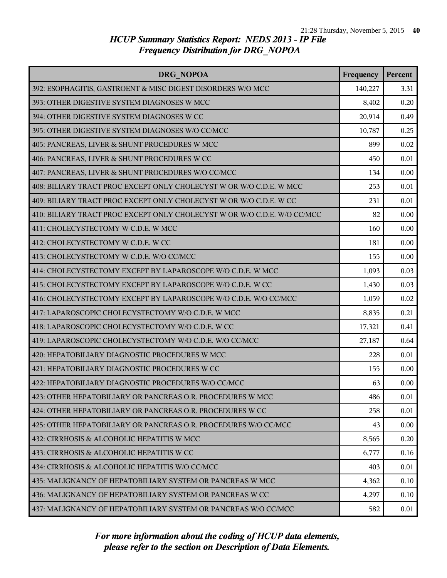| DRG NOPOA                                                                | Frequency | Percent |
|--------------------------------------------------------------------------|-----------|---------|
| 392: ESOPHAGITIS, GASTROENT & MISC DIGEST DISORDERS W/O MCC              | 140,227   | 3.31    |
| 393: OTHER DIGESTIVE SYSTEM DIAGNOSES W MCC                              | 8,402     | 0.20    |
| 394: OTHER DIGESTIVE SYSTEM DIAGNOSES W CC                               | 20,914    | 0.49    |
| 395: OTHER DIGESTIVE SYSTEM DIAGNOSES W/O CC/MCC                         | 10,787    | 0.25    |
| 405: PANCREAS, LIVER & SHUNT PROCEDURES W MCC                            | 899       | 0.02    |
| 406: PANCREAS, LIVER & SHUNT PROCEDURES W CC                             | 450       | 0.01    |
| 407: PANCREAS, LIVER & SHUNT PROCEDURES W/O CC/MCC                       | 134       | 0.00    |
| 408: BILIARY TRACT PROC EXCEPT ONLY CHOLECYST W OR W/O C.D.E. W MCC      | 253       | 0.01    |
| 409: BILIARY TRACT PROC EXCEPT ONLY CHOLECYST W OR W/O C.D.E. W CC       | 231       | 0.01    |
| 410: BILIARY TRACT PROC EXCEPT ONLY CHOLECYST W OR W/O C.D.E. W/O CC/MCC | 82        | 0.00    |
| 411: CHOLECYSTECTOMY W C.D.E. W MCC                                      | 160       | 0.00    |
| 412: CHOLECYSTECTOMY W C.D.E. W CC                                       | 181       | 0.00    |
| 413: CHOLECYSTECTOMY W C.D.E. W/O CC/MCC                                 | 155       | 0.00    |
| 414: CHOLECYSTECTOMY EXCEPT BY LAPAROSCOPE W/O C.D.E. W MCC              | 1,093     | 0.03    |
| 415: CHOLECYSTECTOMY EXCEPT BY LAPAROSCOPE W/O C.D.E. W CC               | 1,430     | 0.03    |
| 416: CHOLECYSTECTOMY EXCEPT BY LAPAROSCOPE W/O C.D.E. W/O CC/MCC         | 1,059     | 0.02    |
| 417: LAPAROSCOPIC CHOLECYSTECTOMY W/O C.D.E. W MCC                       | 8,835     | 0.21    |
| 418: LAPAROSCOPIC CHOLECYSTECTOMY W/O C.D.E. W CC                        | 17,321    | 0.41    |
| 419: LAPAROSCOPIC CHOLECYSTECTOMY W/O C.D.E. W/O CC/MCC                  | 27,187    | 0.64    |
| 420: HEPATOBILIARY DIAGNOSTIC PROCEDURES W MCC                           | 228       | 0.01    |
| 421: HEPATOBILIARY DIAGNOSTIC PROCEDURES W CC                            | 155       | 0.00    |
| 422: HEPATOBILIARY DIAGNOSTIC PROCEDURES W/O CC/MCC                      | 63        | 0.00    |
| 423: OTHER HEPATOBILIARY OR PANCREAS O.R. PROCEDURES W MCC               | 486       | 0.01    |
| 424: OTHER HEPATOBILIARY OR PANCREAS O.R. PROCEDURES W CC                | 258       | 0.01    |
| 425: OTHER HEPATOBILIARY OR PANCREAS O.R. PROCEDURES W/O CC/MCC          | 43        | 0.00    |
| 432: CIRRHOSIS & ALCOHOLIC HEPATITIS W MCC                               | 8,565     | 0.20    |
| 433: CIRRHOSIS & ALCOHOLIC HEPATITIS W CC                                | 6,777     | 0.16    |
| 434: CIRRHOSIS & ALCOHOLIC HEPATITIS W/O CC/MCC                          | 403       | 0.01    |
| 435: MALIGNANCY OF HEPATOBILIARY SYSTEM OR PANCREAS W MCC                | 4,362     | 0.10    |
| 436: MALIGNANCY OF HEPATOBILIARY SYSTEM OR PANCREAS W CC                 | 4,297     | 0.10    |
| 437: MALIGNANCY OF HEPATOBILIARY SYSTEM OR PANCREAS W/O CC/MCC           | 582       | 0.01    |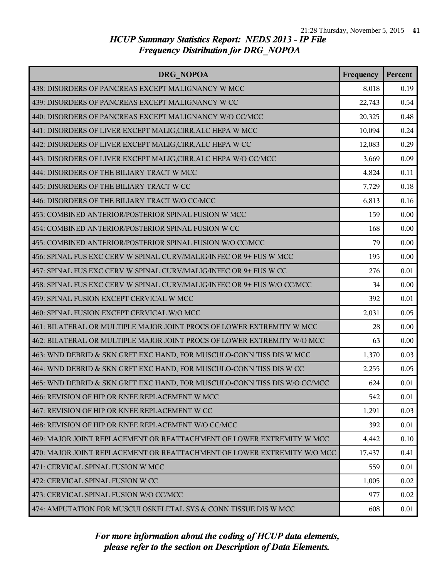| <b>DRG NOPOA</b>                                                          | Frequency | Percent |
|---------------------------------------------------------------------------|-----------|---------|
| 438: DISORDERS OF PANCREAS EXCEPT MALIGNANCY W MCC                        | 8,018     | 0.19    |
| 439: DISORDERS OF PANCREAS EXCEPT MALIGNANCY W CC                         | 22,743    | 0.54    |
| 440: DISORDERS OF PANCREAS EXCEPT MALIGNANCY W/O CC/MCC                   | 20,325    | 0.48    |
| 441: DISORDERS OF LIVER EXCEPT MALIG, CIRR, ALC HEPA W MCC                | 10,094    | 0.24    |
| 442: DISORDERS OF LIVER EXCEPT MALIG, CIRR, ALC HEPA W CC                 | 12,083    | 0.29    |
| 443: DISORDERS OF LIVER EXCEPT MALIG, CIRR, ALC HEPA W/O CC/MCC           | 3,669     | 0.09    |
| 444: DISORDERS OF THE BILIARY TRACT W MCC                                 | 4,824     | 0.11    |
| 445: DISORDERS OF THE BILIARY TRACT W CC                                  | 7,729     | 0.18    |
| 446: DISORDERS OF THE BILIARY TRACT W/O CC/MCC                            | 6,813     | 0.16    |
| 453: COMBINED ANTERIOR/POSTERIOR SPINAL FUSION W MCC                      | 159       | 0.00    |
| 454: COMBINED ANTERIOR/POSTERIOR SPINAL FUSION W CC                       | 168       | 0.00    |
| 455: COMBINED ANTERIOR/POSTERIOR SPINAL FUSION W/O CC/MCC                 | 79        | 0.00    |
| 456: SPINAL FUS EXC CERV W SPINAL CURV/MALIG/INFEC OR 9+ FUS W MCC        | 195       | 0.00    |
| 457: SPINAL FUS EXC CERV W SPINAL CURV/MALIG/INFEC OR 9+ FUS W CC         | 276       | 0.01    |
| 458: SPINAL FUS EXC CERV W SPINAL CURV/MALIG/INFEC OR 9+ FUS W/O CC/MCC   | 34        | 0.00    |
| 459: SPINAL FUSION EXCEPT CERVICAL W MCC                                  | 392       | 0.01    |
| 460: SPINAL FUSION EXCEPT CERVICAL W/O MCC                                | 2,031     | 0.05    |
| 461: BILATERAL OR MULTIPLE MAJOR JOINT PROCS OF LOWER EXTREMITY W MCC     | 28        | 0.00    |
| 462: BILATERAL OR MULTIPLE MAJOR JOINT PROCS OF LOWER EXTREMITY W/O MCC   | 63        | 0.00    |
| 463: WND DEBRID & SKN GRFT EXC HAND, FOR MUSCULO-CONN TISS DIS W MCC      | 1,370     | 0.03    |
| 464: WND DEBRID & SKN GRFT EXC HAND, FOR MUSCULO-CONN TISS DIS W CC       | 2,255     | 0.05    |
| 465: WND DEBRID & SKN GRFT EXC HAND, FOR MUSCULO-CONN TISS DIS W/O CC/MCC | 624       | 0.01    |
| 466: REVISION OF HIP OR KNEE REPLACEMENT W MCC                            | 542       | 0.01    |
| 467: REVISION OF HIP OR KNEE REPLACEMENT W CC                             | 1,291     | 0.03    |
| 468: REVISION OF HIP OR KNEE REPLACEMENT W/O CC/MCC                       | 392       | 0.01    |
| 469: MAJOR JOINT REPLACEMENT OR REATTACHMENT OF LOWER EXTREMITY W MCC     | 4,442     | 0.10    |
| 470: MAJOR JOINT REPLACEMENT OR REATTACHMENT OF LOWER EXTREMITY W/O MCC   | 17,437    | 0.41    |
| 471: CERVICAL SPINAL FUSION W MCC                                         | 559       | 0.01    |
| 472: CERVICAL SPINAL FUSION W CC                                          | 1,005     | 0.02    |
| 473: CERVICAL SPINAL FUSION W/O CC/MCC                                    | 977       | 0.02    |
| 474: AMPUTATION FOR MUSCULOSKELETAL SYS & CONN TISSUE DIS W MCC           | 608       | 0.01    |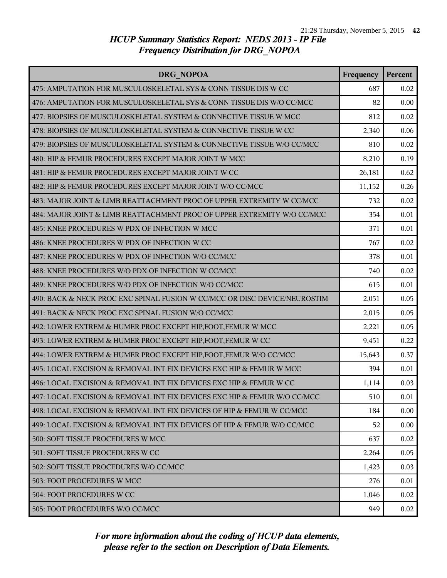| DRG NOPOA                                                                 | Frequency | Percent |
|---------------------------------------------------------------------------|-----------|---------|
| 475: AMPUTATION FOR MUSCULOSKELETAL SYS & CONN TISSUE DIS W CC            | 687       | 0.02    |
| 476: AMPUTATION FOR MUSCULOSKELETAL SYS & CONN TISSUE DIS W/O CC/MCC      | 82        | 0.00    |
| 477: BIOPSIES OF MUSCULOSKELETAL SYSTEM & CONNECTIVE TISSUE W MCC         | 812       | 0.02    |
| 478: BIOPSIES OF MUSCULOSKELETAL SYSTEM & CONNECTIVE TISSUE W CC          | 2,340     | 0.06    |
| 479: BIOPSIES OF MUSCULOSKELETAL SYSTEM & CONNECTIVE TISSUE W/O CC/MCC    | 810       | 0.02    |
| 480: HIP & FEMUR PROCEDURES EXCEPT MAJOR JOINT W MCC                      | 8,210     | 0.19    |
| 481: HIP & FEMUR PROCEDURES EXCEPT MAJOR JOINT W CC                       | 26,181    | 0.62    |
| 482: HIP & FEMUR PROCEDURES EXCEPT MAJOR JOINT W/O CC/MCC                 | 11,152    | 0.26    |
| 483: MAJOR JOINT & LIMB REATTACHMENT PROC OF UPPER EXTREMITY W CC/MCC     | 732       | 0.02    |
| 484: MAJOR JOINT & LIMB REATTACHMENT PROC OF UPPER EXTREMITY W/O CC/MCC   | 354       | 0.01    |
| 485: KNEE PROCEDURES W PDX OF INFECTION W MCC                             | 371       | 0.01    |
| 486: KNEE PROCEDURES W PDX OF INFECTION W CC                              | 767       | 0.02    |
| 487: KNEE PROCEDURES W PDX OF INFECTION W/O CC/MCC                        | 378       | 0.01    |
| 488: KNEE PROCEDURES W/O PDX OF INFECTION W CC/MCC                        | 740       | 0.02    |
| 489: KNEE PROCEDURES W/O PDX OF INFECTION W/O CC/MCC                      | 615       | 0.01    |
| 490: BACK & NECK PROC EXC SPINAL FUSION W CC/MCC OR DISC DEVICE/NEUROSTIM | 2,051     | 0.05    |
| 491: BACK & NECK PROC EXC SPINAL FUSION W/O CC/MCC                        | 2,015     | 0.05    |
| 492: LOWER EXTREM & HUMER PROC EXCEPT HIP, FOOT, FEMUR W MCC              | 2,221     | 0.05    |
| 493: LOWER EXTREM & HUMER PROC EXCEPT HIP, FOOT, FEMUR W CC               | 9,451     | 0.22    |
| 494: LOWER EXTREM & HUMER PROC EXCEPT HIP, FOOT, FEMUR W/O CC/MCC         | 15,643    | 0.37    |
| 495: LOCAL EXCISION & REMOVAL INT FIX DEVICES EXC HIP & FEMUR W MCC       | 394       | 0.01    |
| 496: LOCAL EXCISION & REMOVAL INT FIX DEVICES EXC HIP & FEMUR W CC        | 1,114     | 0.03    |
| 497: LOCAL EXCISION & REMOVAL INT FIX DEVICES EXC HIP & FEMUR W/O CC/MCC  | 510       | 0.01    |
| 498: LOCAL EXCISION & REMOVAL INT FIX DEVICES OF HIP & FEMUR W CC/MCC     | 184       | 0.00    |
| 499: LOCAL EXCISION & REMOVAL INT FIX DEVICES OF HIP & FEMUR W/O CC/MCC   | 52        | 0.00    |
| 500: SOFT TISSUE PROCEDURES W MCC                                         | 637       | 0.02    |
| 501: SOFT TISSUE PROCEDURES W CC                                          | 2,264     | 0.05    |
| 502: SOFT TISSUE PROCEDURES W/O CC/MCC                                    | 1,423     | 0.03    |
| 503: FOOT PROCEDURES W MCC                                                | 276       | 0.01    |
| 504: FOOT PROCEDURES W CC                                                 | 1,046     | 0.02    |
| 505: FOOT PROCEDURES W/O CC/MCC                                           | 949       | 0.02    |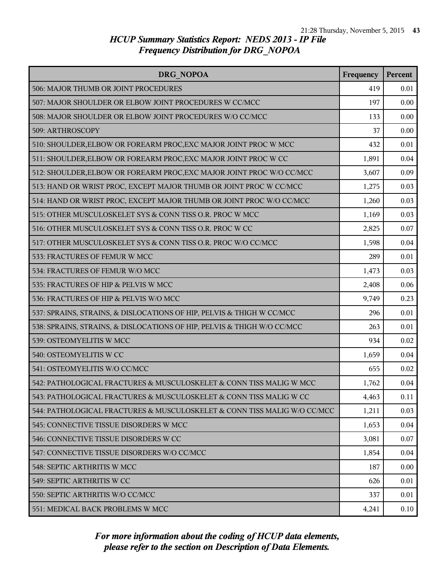| <b>DRG NOPOA</b>                                                         | Frequency | Percent |
|--------------------------------------------------------------------------|-----------|---------|
| 506: MAJOR THUMB OR JOINT PROCEDURES                                     | 419       | 0.01    |
| 507: MAJOR SHOULDER OR ELBOW JOINT PROCEDURES W CC/MCC                   | 197       | 0.00    |
| 508: MAJOR SHOULDER OR ELBOW JOINT PROCEDURES W/O CC/MCC                 | 133       | 0.00    |
| 509: ARTHROSCOPY                                                         | 37        | 0.00    |
| 510: SHOULDER, ELBOW OR FOREARM PROC, EXC MAJOR JOINT PROC W MCC         | 432       | 0.01    |
| 511: SHOULDER, ELBOW OR FOREARM PROC, EXC MAJOR JOINT PROC W CC          | 1,891     | 0.04    |
| 512: SHOULDER, ELBOW OR FOREARM PROC, EXC MAJOR JOINT PROC W/O CC/MCC    | 3,607     | 0.09    |
| 513: HAND OR WRIST PROC, EXCEPT MAJOR THUMB OR JOINT PROC W CC/MCC       | 1,275     | 0.03    |
| 514: HAND OR WRIST PROC, EXCEPT MAJOR THUMB OR JOINT PROC W/O CC/MCC     | 1,260     | 0.03    |
| 515: OTHER MUSCULOSKELET SYS & CONN TISS O.R. PROC W MCC                 | 1,169     | 0.03    |
| 516: OTHER MUSCULOSKELET SYS & CONN TISS O.R. PROC W CC                  | 2,825     | 0.07    |
| 517: OTHER MUSCULOSKELET SYS & CONN TISS O.R. PROC W/O CC/MCC            | 1,598     | 0.04    |
| 533: FRACTURES OF FEMUR W MCC                                            | 289       | 0.01    |
| 534: FRACTURES OF FEMUR W/O MCC                                          | 1,473     | 0.03    |
| 535: FRACTURES OF HIP & PELVIS W MCC                                     | 2,408     | 0.06    |
| 536: FRACTURES OF HIP & PELVIS W/O MCC                                   | 9,749     | 0.23    |
| 537: SPRAINS, STRAINS, & DISLOCATIONS OF HIP, PELVIS & THIGH W CC/MCC    | 296       | 0.01    |
| 538: SPRAINS, STRAINS, & DISLOCATIONS OF HIP, PELVIS & THIGH W/O CC/MCC  | 263       | 0.01    |
| 539: OSTEOMYELITIS W MCC                                                 | 934       | 0.02    |
| 540: OSTEOMYELITIS W CC                                                  | 1,659     | 0.04    |
| 541: OSTEOMYELITIS W/O CC/MCC                                            | 655       | 0.02    |
| 542: PATHOLOGICAL FRACTURES & MUSCULOSKELET & CONN TISS MALIG W MCC      | 1,762     | 0.04    |
| 543: PATHOLOGICAL FRACTURES & MUSCULOSKELET & CONN TISS MALIG W CC       | 4,463     | 0.11    |
| 544: PATHOLOGICAL FRACTURES & MUSCULOSKELET & CONN TISS MALIG W/O CC/MCC | 1,211     | 0.03    |
| 545: CONNECTIVE TISSUE DISORDERS W MCC                                   | 1,653     | 0.04    |
| 546: CONNECTIVE TISSUE DISORDERS W CC                                    | 3,081     | 0.07    |
| 547: CONNECTIVE TISSUE DISORDERS W/O CC/MCC                              | 1,854     | 0.04    |
| 548: SEPTIC ARTHRITIS W MCC                                              | 187       | 0.00    |
| 549: SEPTIC ARTHRITIS W CC                                               | 626       | 0.01    |
| 550: SEPTIC ARTHRITIS W/O CC/MCC                                         | 337       | 0.01    |
| 551: MEDICAL BACK PROBLEMS W MCC                                         | 4,241     | 0.10    |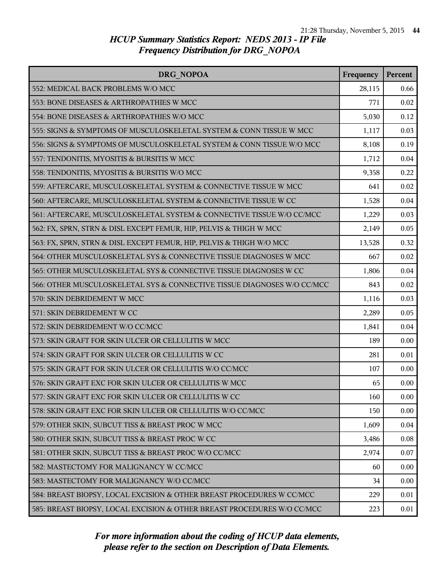| DRG NOPOA                                                               | Frequency | Percent |
|-------------------------------------------------------------------------|-----------|---------|
| 552: MEDICAL BACK PROBLEMS W/O MCC                                      | 28,115    | 0.66    |
| 553: BONE DISEASES & ARTHROPATHIES W MCC                                | 771       | 0.02    |
| 554: BONE DISEASES & ARTHROPATHIES W/O MCC                              | 5,030     | 0.12    |
| 555: SIGNS & SYMPTOMS OF MUSCULOSKELETAL SYSTEM & CONN TISSUE W MCC     | 1,117     | 0.03    |
| 556: SIGNS & SYMPTOMS OF MUSCULOSKELETAL SYSTEM & CONN TISSUE W/O MCC   | 8,108     | 0.19    |
| 557: TENDONITIS, MYOSITIS & BURSITIS W MCC                              | 1,712     | 0.04    |
| 558: TENDONITIS, MYOSITIS & BURSITIS W/O MCC                            | 9,358     | 0.22    |
| 559: AFTERCARE, MUSCULOSKELETAL SYSTEM & CONNECTIVE TISSUE W MCC        | 641       | 0.02    |
| 560: AFTERCARE, MUSCULOSKELETAL SYSTEM & CONNECTIVE TISSUE W CC         | 1,528     | 0.04    |
| 561: AFTERCARE, MUSCULOSKELETAL SYSTEM & CONNECTIVE TISSUE W/O CC/MCC   | 1,229     | 0.03    |
| 562: FX, SPRN, STRN & DISL EXCEPT FEMUR, HIP, PELVIS & THIGH W MCC      | 2,149     | 0.05    |
| 563: FX, SPRN, STRN & DISL EXCEPT FEMUR, HIP, PELVIS & THIGH W/O MCC    | 13,528    | 0.32    |
| 564: OTHER MUSCULOSKELETAL SYS & CONNECTIVE TISSUE DIAGNOSES W MCC      | 667       | 0.02    |
| 565: OTHER MUSCULOSKELETAL SYS & CONNECTIVE TISSUE DIAGNOSES W CC       | 1,806     | 0.04    |
| 566: OTHER MUSCULOSKELETAL SYS & CONNECTIVE TISSUE DIAGNOSES W/O CC/MCC | 843       | 0.02    |
| 570: SKIN DEBRIDEMENT W MCC                                             | 1,116     | 0.03    |
| 571: SKIN DEBRIDEMENT W CC                                              | 2,289     | 0.05    |
| 572: SKIN DEBRIDEMENT W/O CC/MCC                                        | 1,841     | 0.04    |
| 573: SKIN GRAFT FOR SKIN ULCER OR CELLULITIS W MCC                      | 189       | 0.00    |
| 574: SKIN GRAFT FOR SKIN ULCER OR CELLULITIS W CC                       | 281       | 0.01    |
| 575: SKIN GRAFT FOR SKIN ULCER OR CELLULITIS W/O CC/MCC                 | 107       | 0.00    |
| 576: SKIN GRAFT EXC FOR SKIN ULCER OR CELLULITIS W MCC                  | 65        | 0.00    |
| 577: SKIN GRAFT EXC FOR SKIN ULCER OR CELLULITIS W CC                   | 160       | 0.00    |
| 578: SKIN GRAFT EXC FOR SKIN ULCER OR CELLULITIS W/O CC/MCC             | 150       | 0.00    |
| 579: OTHER SKIN, SUBCUT TISS & BREAST PROC W MCC                        | 1,609     | 0.04    |
| 580: OTHER SKIN, SUBCUT TISS & BREAST PROC W CC                         | 3,486     | 0.08    |
| 581: OTHER SKIN, SUBCUT TISS & BREAST PROC W/O CC/MCC                   | 2,974     | 0.07    |
| 582: MASTECTOMY FOR MALIGNANCY W CC/MCC                                 | 60        | 0.00    |
| 583: MASTECTOMY FOR MALIGNANCY W/O CC/MCC                               | 34        | 0.00    |
| 584: BREAST BIOPSY, LOCAL EXCISION & OTHER BREAST PROCEDURES W CC/MCC   | 229       | 0.01    |
| 585: BREAST BIOPSY, LOCAL EXCISION & OTHER BREAST PROCEDURES W/O CC/MCC | 223       | 0.01    |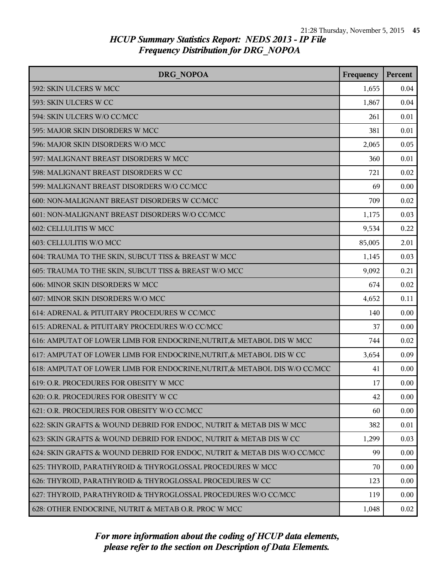| <b>DRG NOPOA</b>                                                           | Frequency | Percent |
|----------------------------------------------------------------------------|-----------|---------|
| 592: SKIN ULCERS W MCC                                                     | 1,655     | 0.04    |
| 593: SKIN ULCERS W CC                                                      | 1,867     | 0.04    |
| 594: SKIN ULCERS W/O CC/MCC                                                | 261       | 0.01    |
| 595: MAJOR SKIN DISORDERS W MCC                                            | 381       | 0.01    |
| 596: MAJOR SKIN DISORDERS W/O MCC                                          | 2,065     | 0.05    |
| 597: MALIGNANT BREAST DISORDERS W MCC                                      | 360       | 0.01    |
| 598: MALIGNANT BREAST DISORDERS W CC                                       | 721       | 0.02    |
| 599: MALIGNANT BREAST DISORDERS W/O CC/MCC                                 | 69        | 0.00    |
| 600: NON-MALIGNANT BREAST DISORDERS W CC/MCC                               | 709       | 0.02    |
| 601: NON-MALIGNANT BREAST DISORDERS W/O CC/MCC                             | 1,175     | 0.03    |
| 602: CELLULITIS W MCC                                                      | 9,534     | 0.22    |
| 603: CELLULITIS W/O MCC                                                    | 85,005    | 2.01    |
| 604: TRAUMA TO THE SKIN, SUBCUT TISS & BREAST W MCC                        | 1,145     | 0.03    |
| 605: TRAUMA TO THE SKIN, SUBCUT TISS & BREAST W/O MCC                      | 9,092     | 0.21    |
| 606: MINOR SKIN DISORDERS W MCC                                            | 674       | 0.02    |
| 607: MINOR SKIN DISORDERS W/O MCC                                          | 4,652     | 0.11    |
| 614: ADRENAL & PITUITARY PROCEDURES W CC/MCC                               | 140       | 0.00    |
| 615: ADRENAL & PITUITARY PROCEDURES W/O CC/MCC                             | 37        | 0.00    |
| 616: AMPUTAT OF LOWER LIMB FOR ENDOCRINE, NUTRIT, & METABOL DIS W MCC      | 744       | 0.02    |
| 617: AMPUTAT OF LOWER LIMB FOR ENDOCRINE, NUTRIT, & METABOL DIS W CC       | 3,654     | 0.09    |
| 618: AMPUTAT OF LOWER LIMB FOR ENDOCRINE, NUTRIT, & METABOL DIS W/O CC/MCC | 41        | 0.00    |
| 619: O.R. PROCEDURES FOR OBESITY W MCC                                     | 17        | 0.00    |
| 620: O.R. PROCEDURES FOR OBESITY W CC                                      | 42        | 0.00    |
| 621: O.R. PROCEDURES FOR OBESITY W/O CC/MCC                                | 60        | 0.00    |
| 622: SKIN GRAFTS & WOUND DEBRID FOR ENDOC, NUTRIT & METAB DIS W MCC        | 382       | 0.01    |
| 623: SKIN GRAFTS & WOUND DEBRID FOR ENDOC, NUTRIT & METAB DIS W CC         | 1,299     | 0.03    |
| 624: SKIN GRAFTS & WOUND DEBRID FOR ENDOC, NUTRIT & METAB DIS W/O CC/MCC   | 99        | 0.00    |
| 625: THYROID, PARATHYROID & THYROGLOSSAL PROCEDURES W MCC                  | 70        | 0.00    |
| 626: THYROID, PARATHYROID & THYROGLOSSAL PROCEDURES W CC                   | 123       | 0.00    |
| 627: THYROID, PARATHYROID & THYROGLOSSAL PROCEDURES W/O CC/MCC             | 119       | 0.00    |
| 628: OTHER ENDOCRINE, NUTRIT & METAB O.R. PROC W MCC                       | 1,048     | 0.02    |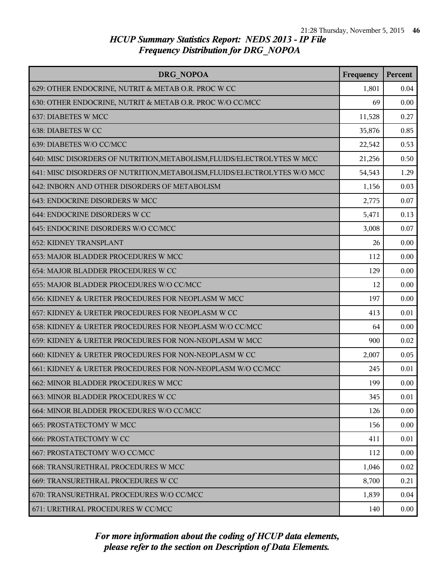| DRG NOPOA                                                                 | Frequency | Percent |
|---------------------------------------------------------------------------|-----------|---------|
| 629: OTHER ENDOCRINE, NUTRIT & METAB O.R. PROC W CC                       | 1,801     | 0.04    |
| 630: OTHER ENDOCRINE, NUTRIT & METAB O.R. PROC W/O CC/MCC                 | 69        | 0.00    |
| <b>637: DIABETES W MCC</b>                                                | 11,528    | 0.27    |
| 638: DIABETES W CC                                                        | 35,876    | 0.85    |
| 639: DIABETES W/O CC/MCC                                                  | 22,542    | 0.53    |
| 640: MISC DISORDERS OF NUTRITION, METABOLISM, FLUIDS/ELECTROLYTES W MCC   | 21,256    | 0.50    |
| 641: MISC DISORDERS OF NUTRITION, METABOLISM, FLUIDS/ELECTROLYTES W/O MCC | 54,543    | 1.29    |
| 642: INBORN AND OTHER DISORDERS OF METABOLISM                             | 1,156     | 0.03    |
| 643: ENDOCRINE DISORDERS W MCC                                            | 2,775     | 0.07    |
| 644: ENDOCRINE DISORDERS W CC                                             | 5,471     | 0.13    |
| 645: ENDOCRINE DISORDERS W/O CC/MCC                                       | 3,008     | 0.07    |
| <b>652: KIDNEY TRANSPLANT</b>                                             | 26        | 0.00    |
| 653: MAJOR BLADDER PROCEDURES W MCC                                       | 112       | 0.00    |
| 654: MAJOR BLADDER PROCEDURES W CC                                        | 129       | 0.00    |
| 655: MAJOR BLADDER PROCEDURES W/O CC/MCC                                  | 12        | 0.00    |
| 656: KIDNEY & URETER PROCEDURES FOR NEOPLASM W MCC                        | 197       | 0.00    |
| 657: KIDNEY & URETER PROCEDURES FOR NEOPLASM W CC                         | 413       | 0.01    |
| 658: KIDNEY & URETER PROCEDURES FOR NEOPLASM W/O CC/MCC                   | 64        | 0.00    |
| 659: KIDNEY & URETER PROCEDURES FOR NON-NEOPLASM W MCC                    | 900       | 0.02    |
| 660: KIDNEY & URETER PROCEDURES FOR NON-NEOPLASM W CC                     | 2,007     | 0.05    |
| 661: KIDNEY & URETER PROCEDURES FOR NON-NEOPLASM W/O CC/MCC               | 245       | 0.01    |
| 662: MINOR BLADDER PROCEDURES W MCC                                       | 199       | 0.00    |
| 663: MINOR BLADDER PROCEDURES W CC                                        | 345       | 0.01    |
| 664: MINOR BLADDER PROCEDURES W/O CC/MCC                                  | 126       | 0.00    |
| <b>665: PROSTATECTOMY W MCC</b>                                           | 156       | 0.00    |
| <b>666: PROSTATECTOMY W CC</b>                                            | 411       | 0.01    |
| 667: PROSTATECTOMY W/O CC/MCC                                             | 112       | 0.00    |
| 668: TRANSURETHRAL PROCEDURES W MCC                                       | 1,046     | 0.02    |
| 669: TRANSURETHRAL PROCEDURES W CC                                        | 8,700     | 0.21    |
| 670: TRANSURETHRAL PROCEDURES W/O CC/MCC                                  | 1,839     | 0.04    |
| 671: URETHRAL PROCEDURES W CC/MCC                                         | 140       | 0.00    |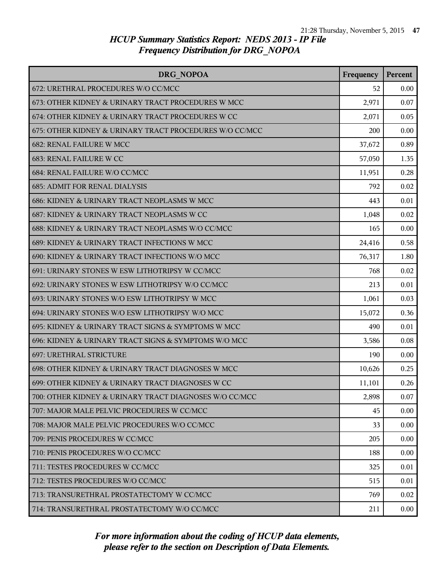| DRG NOPOA                                               | Frequency | Percent |
|---------------------------------------------------------|-----------|---------|
| 672: URETHRAL PROCEDURES W/O CC/MCC                     | 52        | 0.00    |
| 673: OTHER KIDNEY & URINARY TRACT PROCEDURES W MCC      | 2,971     | 0.07    |
| 674: OTHER KIDNEY & URINARY TRACT PROCEDURES W CC       | 2,071     | 0.05    |
| 675: OTHER KIDNEY & URINARY TRACT PROCEDURES W/O CC/MCC | 200       | 0.00    |
| <b>682: RENAL FAILURE W MCC</b>                         | 37,672    | 0.89    |
| 683: RENAL FAILURE W CC                                 | 57,050    | 1.35    |
| 684: RENAL FAILURE W/O CC/MCC                           | 11,951    | 0.28    |
| <b>685: ADMIT FOR RENAL DIALYSIS</b>                    | 792       | 0.02    |
| 686: KIDNEY & URINARY TRACT NEOPLASMS W MCC             | 443       | 0.01    |
| 687: KIDNEY & URINARY TRACT NEOPLASMS W CC              | 1,048     | 0.02    |
| 688: KIDNEY & URINARY TRACT NEOPLASMS W/O CC/MCC        | 165       | 0.00    |
| 689: KIDNEY & URINARY TRACT INFECTIONS W MCC            | 24,416    | 0.58    |
| 690: KIDNEY & URINARY TRACT INFECTIONS W/O MCC          | 76,317    | 1.80    |
| 691: URINARY STONES W ESW LITHOTRIPSY W CC/MCC          | 768       | 0.02    |
| 692: URINARY STONES W ESW LITHOTRIPSY W/O CC/MCC        | 213       | 0.01    |
| 693: URINARY STONES W/O ESW LITHOTRIPSY W MCC           | 1,061     | 0.03    |
| 694: URINARY STONES W/O ESW LITHOTRIPSY W/O MCC         | 15,072    | 0.36    |
| 695: KIDNEY & URINARY TRACT SIGNS & SYMPTOMS W MCC      | 490       | 0.01    |
| 696: KIDNEY & URINARY TRACT SIGNS & SYMPTOMS W/O MCC    | 3,586     | 0.08    |
| <b>697: URETHRAL STRICTURE</b>                          | 190       | 0.00    |
| 698: OTHER KIDNEY & URINARY TRACT DIAGNOSES W MCC       | 10,626    | 0.25    |
| 699: OTHER KIDNEY & URINARY TRACT DIAGNOSES W CC        | 11,101    | 0.26    |
| 700: OTHER KIDNEY & URINARY TRACT DIAGNOSES W/O CC/MCC  | 2,898     | 0.07    |
| 707: MAJOR MALE PELVIC PROCEDURES W CC/MCC              | 45        | 0.00    |
| 708: MAJOR MALE PELVIC PROCEDURES W/O CC/MCC            | 33        | 0.00    |
| 709: PENIS PROCEDURES W CC/MCC                          | 205       | 0.00    |
| 710: PENIS PROCEDURES W/O CC/MCC                        | 188       | 0.00    |
| 711: TESTES PROCEDURES W CC/MCC                         | 325       | 0.01    |
| 712: TESTES PROCEDURES W/O CC/MCC                       | 515       | 0.01    |
| 713: TRANSURETHRAL PROSTATECTOMY W CC/MCC               | 769       | 0.02    |
| 714: TRANSURETHRAL PROSTATECTOMY W/O CC/MCC             | 211       | 0.00    |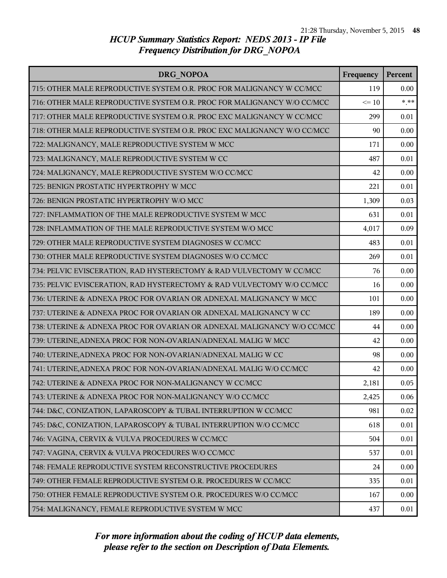| DRG NOPOA                                                               | Frequency | Percent |
|-------------------------------------------------------------------------|-----------|---------|
| 715: OTHER MALE REPRODUCTIVE SYSTEM O.R. PROC FOR MALIGNANCY W CC/MCC   | 119       | 0.00    |
| 716: OTHER MALE REPRODUCTIVE SYSTEM O.R. PROC FOR MALIGNANCY W/O CC/MCC | $\leq 10$ | $***$   |
| 717: OTHER MALE REPRODUCTIVE SYSTEM O.R. PROC EXC MALIGNANCY W CC/MCC   | 299       | 0.01    |
| 718: OTHER MALE REPRODUCTIVE SYSTEM O.R. PROC EXC MALIGNANCY W/O CC/MCC | 90        | 0.00    |
| 722: MALIGNANCY, MALE REPRODUCTIVE SYSTEM W MCC                         | 171       | 0.00    |
| 723: MALIGNANCY, MALE REPRODUCTIVE SYSTEM W CC                          | 487       | 0.01    |
| 724: MALIGNANCY, MALE REPRODUCTIVE SYSTEM W/O CC/MCC                    | 42        | 0.00    |
| 725: BENIGN PROSTATIC HYPERTROPHY W MCC                                 | 221       | 0.01    |
| 726: BENIGN PROSTATIC HYPERTROPHY W/O MCC                               | 1,309     | 0.03    |
| 727: INFLAMMATION OF THE MALE REPRODUCTIVE SYSTEM W MCC                 | 631       | 0.01    |
| 728: INFLAMMATION OF THE MALE REPRODUCTIVE SYSTEM W/O MCC               | 4,017     | 0.09    |
| 729: OTHER MALE REPRODUCTIVE SYSTEM DIAGNOSES W CC/MCC                  | 483       | 0.01    |
| 730: OTHER MALE REPRODUCTIVE SYSTEM DIAGNOSES W/O CC/MCC                | 269       | 0.01    |
| 734: PELVIC EVISCERATION, RAD HYSTERECTOMY & RAD VULVECTOMY W CC/MCC    | 76        | 0.00    |
| 735: PELVIC EVISCERATION, RAD HYSTERECTOMY & RAD VULVECTOMY W/O CC/MCC  | 16        | 0.00    |
| 736: UTERINE & ADNEXA PROC FOR OVARIAN OR ADNEXAL MALIGNANCY W MCC      | 101       | 0.00    |
| 737: UTERINE & ADNEXA PROC FOR OVARIAN OR ADNEXAL MALIGNANCY W CC       | 189       | 0.00    |
| 738: UTERINE & ADNEXA PROC FOR OVARIAN OR ADNEXAL MALIGNANCY W/O CC/MCC | 44        | 0.00    |
| 739: UTERINE, ADNEXA PROC FOR NON-OVARIAN/ADNEXAL MALIG W MCC           | 42        | 0.00    |
| 740: UTERINE, ADNEXA PROC FOR NON-OVARIAN/ADNEXAL MALIG W CC            | 98        | 0.00    |
| 741: UTERINE, ADNEXA PROC FOR NON-OVARIAN/ADNEXAL MALIG W/O CC/MCC      | 42        | 0.00    |
| 742: UTERINE & ADNEXA PROC FOR NON-MALIGNANCY W CC/MCC                  | 2,181     | 0.05    |
| 743: UTERINE & ADNEXA PROC FOR NON-MALIGNANCY W/O CC/MCC                | 2,425     | 0.06    |
| 744: D&C, CONIZATION, LAPAROSCOPY & TUBAL INTERRUPTION W CC/MCC         | 981       | 0.02    |
| 745: D&C, CONIZATION, LAPAROSCOPY & TUBAL INTERRUPTION W/O CC/MCC       | 618       | 0.01    |
| 746: VAGINA, CERVIX & VULVA PROCEDURES W CC/MCC                         | 504       | 0.01    |
| 747: VAGINA, CERVIX & VULVA PROCEDURES W/O CC/MCC                       | 537       | 0.01    |
| 748: FEMALE REPRODUCTIVE SYSTEM RECONSTRUCTIVE PROCEDURES               | 24        | 0.00    |
| 749: OTHER FEMALE REPRODUCTIVE SYSTEM O.R. PROCEDURES W CC/MCC          | 335       | 0.01    |
| 750: OTHER FEMALE REPRODUCTIVE SYSTEM O.R. PROCEDURES W/O CC/MCC        | 167       | 0.00    |
| 754: MALIGNANCY, FEMALE REPRODUCTIVE SYSTEM W MCC                       | 437       | 0.01    |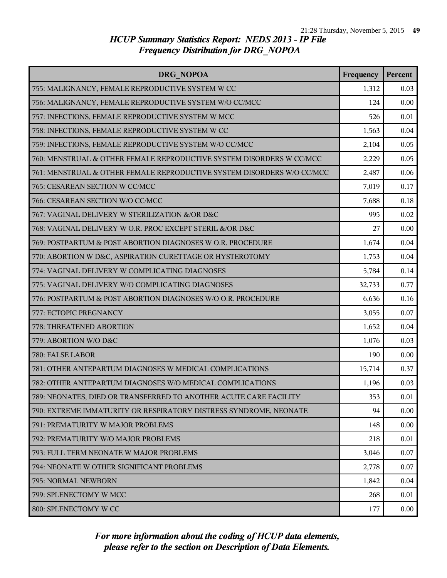| DRG NOPOA                                                              | Frequency | Percent |
|------------------------------------------------------------------------|-----------|---------|
| 755: MALIGNANCY, FEMALE REPRODUCTIVE SYSTEM W CC                       | 1,312     | 0.03    |
| 756: MALIGNANCY, FEMALE REPRODUCTIVE SYSTEM W/O CC/MCC                 | 124       | 0.00    |
| 757: INFECTIONS, FEMALE REPRODUCTIVE SYSTEM W MCC                      | 526       | 0.01    |
| 758: INFECTIONS, FEMALE REPRODUCTIVE SYSTEM W CC                       | 1,563     | 0.04    |
| 759: INFECTIONS, FEMALE REPRODUCTIVE SYSTEM W/O CC/MCC                 | 2,104     | 0.05    |
| 760: MENSTRUAL & OTHER FEMALE REPRODUCTIVE SYSTEM DISORDERS W CC/MCC   | 2,229     | 0.05    |
| 761: MENSTRUAL & OTHER FEMALE REPRODUCTIVE SYSTEM DISORDERS W/O CC/MCC | 2,487     | 0.06    |
| 765: CESAREAN SECTION W CC/MCC                                         | 7,019     | 0.17    |
| 766: CESAREAN SECTION W/O CC/MCC                                       | 7,688     | 0.18    |
| 767: VAGINAL DELIVERY W STERILIZATION &/OR D&C                         | 995       | 0.02    |
| 768: VAGINAL DELIVERY W O.R. PROC EXCEPT STERIL &/OR D&C               | 27        | 0.00    |
| 769: POSTPARTUM & POST ABORTION DIAGNOSES W O.R. PROCEDURE             | 1,674     | 0.04    |
| 770: ABORTION W D&C, ASPIRATION CURETTAGE OR HYSTEROTOMY               | 1,753     | 0.04    |
| 774: VAGINAL DELIVERY W COMPLICATING DIAGNOSES                         | 5,784     | 0.14    |
| 775: VAGINAL DELIVERY W/O COMPLICATING DIAGNOSES                       | 32,733    | 0.77    |
| 776: POSTPARTUM & POST ABORTION DIAGNOSES W/O O.R. PROCEDURE           | 6,636     | 0.16    |
| 777: ECTOPIC PREGNANCY                                                 | 3,055     | 0.07    |
| 778: THREATENED ABORTION                                               | 1,652     | 0.04    |
| 779: ABORTION W/O D&C                                                  | 1,076     | 0.03    |
| 780: FALSE LABOR                                                       | 190       | 0.00    |
| 781: OTHER ANTEPARTUM DIAGNOSES W MEDICAL COMPLICATIONS                | 15,714    | 0.37    |
| 782: OTHER ANTEPARTUM DIAGNOSES W/O MEDICAL COMPLICATIONS              | 1,196     | 0.03    |
| 789: NEONATES, DIED OR TRANSFERRED TO ANOTHER ACUTE CARE FACILITY      | 353       | 0.01    |
| 790: EXTREME IMMATURITY OR RESPIRATORY DISTRESS SYNDROME, NEONATE      | 94        | 0.00    |
| 791: PREMATURITY W MAJOR PROBLEMS                                      | 148       | 0.00    |
| 792: PREMATURITY W/O MAJOR PROBLEMS                                    | 218       | 0.01    |
| 793: FULL TERM NEONATE W MAJOR PROBLEMS                                | 3,046     | 0.07    |
| 794: NEONATE W OTHER SIGNIFICANT PROBLEMS                              | 2,778     | 0.07    |
| 795: NORMAL NEWBORN                                                    | 1,842     | 0.04    |
| 799: SPLENECTOMY W MCC                                                 | 268       | 0.01    |
| 800: SPLENECTOMY W CC                                                  | 177       | 0.00    |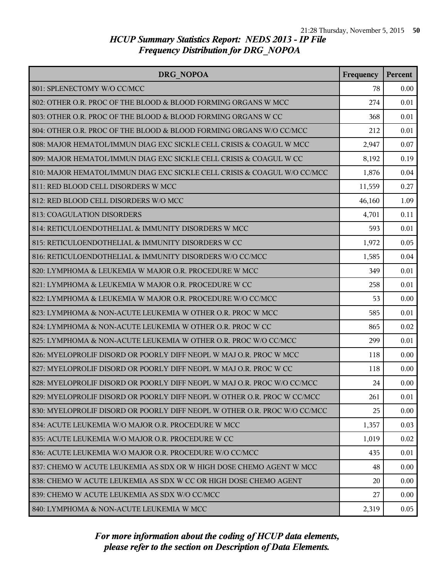| DRG NOPOA                                                                 |        | <b>Percent</b> |
|---------------------------------------------------------------------------|--------|----------------|
| 801: SPLENECTOMY W/O CC/MCC                                               | 78     | 0.00           |
| 802: OTHER O.R. PROC OF THE BLOOD & BLOOD FORMING ORGANS W MCC            | 274    | 0.01           |
| 803: OTHER O.R. PROC OF THE BLOOD & BLOOD FORMING ORGANS W CC             | 368    | 0.01           |
| 804: OTHER O.R. PROC OF THE BLOOD & BLOOD FORMING ORGANS W/O CC/MCC       | 212    | 0.01           |
| 808: MAJOR HEMATOL/IMMUN DIAG EXC SICKLE CELL CRISIS & COAGUL W MCC       | 2,947  | 0.07           |
| 809: MAJOR HEMATOL/IMMUN DIAG EXC SICKLE CELL CRISIS & COAGUL W CC        | 8,192  | 0.19           |
| 810: MAJOR HEMATOL/IMMUN DIAG EXC SICKLE CELL CRISIS & COAGUL W/O CC/MCC  | 1,876  | 0.04           |
| 811: RED BLOOD CELL DISORDERS W MCC                                       | 11,559 | 0.27           |
| 812: RED BLOOD CELL DISORDERS W/O MCC                                     | 46,160 | 1.09           |
| <b>813: COAGULATION DISORDERS</b>                                         | 4,701  | 0.11           |
| 814: RETICULOENDOTHELIAL & IMMUNITY DISORDERS W MCC                       | 593    | 0.01           |
| 815: RETICULOENDOTHELIAL & IMMUNITY DISORDERS W CC                        | 1,972  | 0.05           |
| 816: RETICULOENDOTHELIAL & IMMUNITY DISORDERS W/O CC/MCC                  | 1,585  | 0.04           |
| 820: LYMPHOMA & LEUKEMIA W MAJOR O.R. PROCEDURE W MCC                     | 349    | 0.01           |
| 821: LYMPHOMA & LEUKEMIA W MAJOR O.R. PROCEDURE W CC                      | 258    | 0.01           |
| 822: LYMPHOMA & LEUKEMIA W MAJOR O.R. PROCEDURE W/O CC/MCC                | 53     | 0.00           |
| 823: LYMPHOMA & NON-ACUTE LEUKEMIA W OTHER O.R. PROC W MCC                | 585    | 0.01           |
| 824: LYMPHOMA & NON-ACUTE LEUKEMIA W OTHER O.R. PROC W CC                 | 865    | 0.02           |
| 825: LYMPHOMA & NON-ACUTE LEUKEMIA W OTHER O.R. PROC W/O CC/MCC           | 299    | 0.01           |
| 826: MYELOPROLIF DISORD OR POORLY DIFF NEOPL W MAJ O.R. PROC W MCC        | 118    | 0.00           |
| 827: MYELOPROLIF DISORD OR POORLY DIFF NEOPL W MAJ O.R. PROC W CC         | 118    | 0.00           |
| 828: MYELOPROLIF DISORD OR POORLY DIFF NEOPL W MAJ O.R. PROC W/O CC/MCC   | 24     | 0.00           |
| 829: MYELOPROLIF DISORD OR POORLY DIFF NEOPL W OTHER O.R. PROC W CC/MCC   | 261    | 0.01           |
| 830: MYELOPROLIF DISORD OR POORLY DIFF NEOPL W OTHER O.R. PROC W/O CC/MCC | 25     | 0.00           |
| 834: ACUTE LEUKEMIA W/O MAJOR O.R. PROCEDURE W MCC                        | 1,357  | 0.03           |
| 835: ACUTE LEUKEMIA W/O MAJOR O.R. PROCEDURE W CC                         | 1,019  | 0.02           |
| 836: ACUTE LEUKEMIA W/O MAJOR O.R. PROCEDURE W/O CC/MCC                   | 435    | 0.01           |
| 837: CHEMO W ACUTE LEUKEMIA AS SDX OR W HIGH DOSE CHEMO AGENT W MCC       | 48     | 0.00           |
| 838: CHEMO W ACUTE LEUKEMIA AS SDX W CC OR HIGH DOSE CHEMO AGENT          | 20     | 0.00           |
| 839: CHEMO W ACUTE LEUKEMIA AS SDX W/O CC/MCC                             | 27     | 0.00           |
| 840: LYMPHOMA & NON-ACUTE LEUKEMIA W MCC                                  | 2,319  | 0.05           |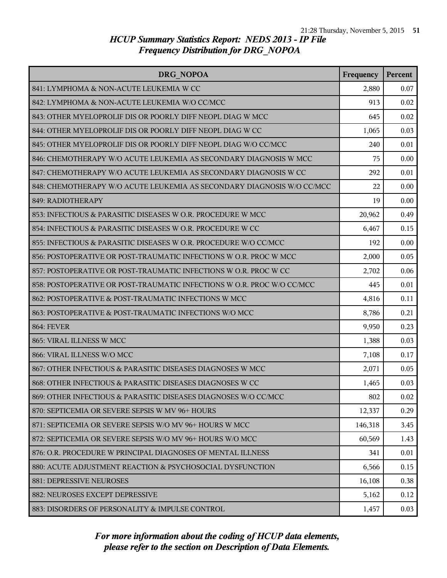| DRG NOPOA                                                              | Frequency | Percent |
|------------------------------------------------------------------------|-----------|---------|
| 841: LYMPHOMA & NON-ACUTE LEUKEMIA W CC                                | 2,880     | 0.07    |
| 842: LYMPHOMA & NON-ACUTE LEUKEMIA W/O CC/MCC                          | 913       | 0.02    |
| 843: OTHER MYELOPROLIF DIS OR POORLY DIFF NEOPL DIAG W MCC             | 645       | 0.02    |
| 844: OTHER MYELOPROLIF DIS OR POORLY DIFF NEOPL DIAG W CC              | 1,065     | 0.03    |
| 845: OTHER MYELOPROLIF DIS OR POORLY DIFF NEOPL DIAG W/O CC/MCC        | 240       | 0.01    |
| 846: CHEMOTHERAPY W/O ACUTE LEUKEMIA AS SECONDARY DIAGNOSIS W MCC      | 75        | 0.00    |
| 847: CHEMOTHERAPY W/O ACUTE LEUKEMIA AS SECONDARY DIAGNOSIS W CC       | 292       | 0.01    |
| 848: CHEMOTHERAPY W/O ACUTE LEUKEMIA AS SECONDARY DIAGNOSIS W/O CC/MCC | 22        | 0.00    |
| 849: RADIOTHERAPY                                                      | 19        | 0.00    |
| 853: INFECTIOUS & PARASITIC DISEASES W O.R. PROCEDURE W MCC            | 20,962    | 0.49    |
| 854: INFECTIOUS & PARASITIC DISEASES W O.R. PROCEDURE W CC             | 6,467     | 0.15    |
| 855: INFECTIOUS & PARASITIC DISEASES W O.R. PROCEDURE W/O CC/MCC       | 192       | 0.00    |
| 856: POSTOPERATIVE OR POST-TRAUMATIC INFECTIONS W O.R. PROC W MCC      | 2,000     | 0.05    |
| 857: POSTOPERATIVE OR POST-TRAUMATIC INFECTIONS W O.R. PROC W CC       | 2,702     | 0.06    |
| 858: POSTOPERATIVE OR POST-TRAUMATIC INFECTIONS W O.R. PROC W/O CC/MCC | 445       | 0.01    |
| 862: POSTOPERATIVE & POST-TRAUMATIC INFECTIONS W MCC                   | 4,816     | 0.11    |
| 863: POSTOPERATIVE & POST-TRAUMATIC INFECTIONS W/O MCC                 | 8,786     | 0.21    |
| <b>864: FEVER</b>                                                      | 9,950     | 0.23    |
| 865: VIRAL ILLNESS W MCC                                               | 1,388     | 0.03    |
| 866: VIRAL ILLNESS W/O MCC                                             | 7,108     | 0.17    |
| 867: OTHER INFECTIOUS & PARASITIC DISEASES DIAGNOSES W MCC             | 2,071     | 0.05    |
| 868: OTHER INFECTIOUS & PARASITIC DISEASES DIAGNOSES W CC              | 1,465     | 0.03    |
| 869: OTHER INFECTIOUS & PARASITIC DISEASES DIAGNOSES W/O CC/MCC        | 802       | 0.02    |
| 870: SEPTICEMIA OR SEVERE SEPSIS W MV 96+ HOURS                        | 12,337    | 0.29    |
| 871: SEPTICEMIA OR SEVERE SEPSIS W/O MV 96+ HOURS W MCC                | 146,318   | 3.45    |
| 872: SEPTICEMIA OR SEVERE SEPSIS W/O MV 96+ HOURS W/O MCC              | 60,569    | 1.43    |
| 876: O.R. PROCEDURE W PRINCIPAL DIAGNOSES OF MENTAL ILLNESS            | 341       | 0.01    |
| 880: ACUTE ADJUSTMENT REACTION & PSYCHOSOCIAL DYSFUNCTION              | 6,566     | 0.15    |
| <b>881: DEPRESSIVE NEUROSES</b>                                        | 16,108    | 0.38    |
| 882: NEUROSES EXCEPT DEPRESSIVE                                        | 5,162     | 0.12    |
| 883: DISORDERS OF PERSONALITY & IMPULSE CONTROL                        | 1,457     | 0.03    |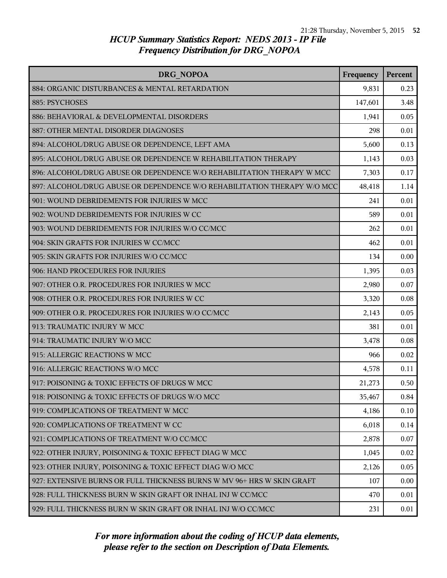| <b>DRG NOPOA</b>                                                         | Frequency | Percent |
|--------------------------------------------------------------------------|-----------|---------|
| 884: ORGANIC DISTURBANCES & MENTAL RETARDATION                           | 9,831     | 0.23    |
| 885: PSYCHOSES                                                           | 147,601   | 3.48    |
| 886: BEHAVIORAL & DEVELOPMENTAL DISORDERS                                | 1,941     | 0.05    |
| 887: OTHER MENTAL DISORDER DIAGNOSES                                     | 298       | 0.01    |
| 894: ALCOHOL/DRUG ABUSE OR DEPENDENCE, LEFT AMA                          | 5,600     | 0.13    |
| 895: ALCOHOL/DRUG ABUSE OR DEPENDENCE W REHABILITATION THERAPY           | 1,143     | 0.03    |
| 896: ALCOHOL/DRUG ABUSE OR DEPENDENCE W/O REHABILITATION THERAPY W MCC   | 7,303     | 0.17    |
| 897: ALCOHOL/DRUG ABUSE OR DEPENDENCE W/O REHABILITATION THERAPY W/O MCC | 48,418    | 1.14    |
| 901: WOUND DEBRIDEMENTS FOR INJURIES W MCC                               | 241       | 0.01    |
| 902: WOUND DEBRIDEMENTS FOR INJURIES W CC                                | 589       | 0.01    |
| 903: WOUND DEBRIDEMENTS FOR INJURIES W/O CC/MCC                          | 262       | 0.01    |
| 904: SKIN GRAFTS FOR INJURIES W CC/MCC                                   | 462       | 0.01    |
| 905: SKIN GRAFTS FOR INJURIES W/O CC/MCC                                 | 134       | 0.00    |
| 906: HAND PROCEDURES FOR INJURIES                                        | 1,395     | 0.03    |
| 907: OTHER O.R. PROCEDURES FOR INJURIES W MCC                            | 2,980     | 0.07    |
| 908: OTHER O.R. PROCEDURES FOR INJURIES W CC                             | 3,320     | 0.08    |
| 909: OTHER O.R. PROCEDURES FOR INJURIES W/O CC/MCC                       | 2,143     | 0.05    |
| 913: TRAUMATIC INJURY W MCC                                              | 381       | 0.01    |
| 914: TRAUMATIC INJURY W/O MCC                                            | 3,478     | 0.08    |
| 915: ALLERGIC REACTIONS W MCC                                            | 966       | 0.02    |
| 916: ALLERGIC REACTIONS W/O MCC                                          | 4,578     | 0.11    |
| 917: POISONING & TOXIC EFFECTS OF DRUGS W MCC                            | 21,273    | 0.50    |
| 918: POISONING & TOXIC EFFECTS OF DRUGS W/O MCC                          | 35,467    | 0.84    |
| 919: COMPLICATIONS OF TREATMENT W MCC                                    | 4,186     | 0.10    |
| 920: COMPLICATIONS OF TREATMENT W CC                                     | 6,018     | 0.14    |
| 921: COMPLICATIONS OF TREATMENT W/O CC/MCC                               | 2,878     | 0.07    |
| 922: OTHER INJURY, POISONING & TOXIC EFFECT DIAG W MCC                   | 1,045     | 0.02    |
| 923: OTHER INJURY, POISONING & TOXIC EFFECT DIAG W/O MCC                 | 2,126     | 0.05    |
| 927: EXTENSIVE BURNS OR FULL THICKNESS BURNS W MV 96+ HRS W SKIN GRAFT   | 107       | 0.00    |
| 928: FULL THICKNESS BURN W SKIN GRAFT OR INHAL INJ W CC/MCC              | 470       | 0.01    |
| 929: FULL THICKNESS BURN W SKIN GRAFT OR INHAL INJ W/O CC/MCC            | 231       | 0.01    |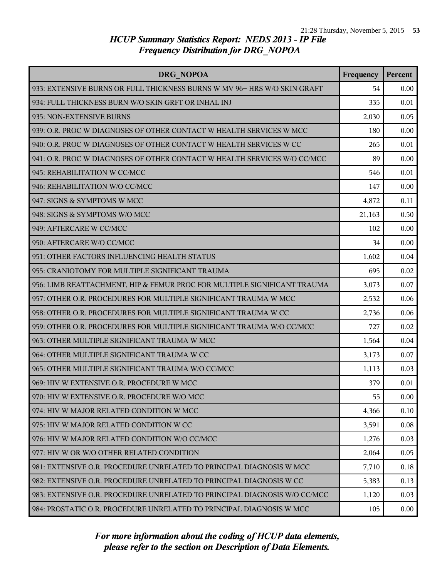| DRG NOPOA                                                                 | Frequency | <b>Percent</b> |
|---------------------------------------------------------------------------|-----------|----------------|
| 933: EXTENSIVE BURNS OR FULL THICKNESS BURNS W MV 96+ HRS W/O SKIN GRAFT  | 54        | 0.00           |
| 934: FULL THICKNESS BURN W/O SKIN GRFT OR INHAL INJ                       | 335       | 0.01           |
| 935: NON-EXTENSIVE BURNS                                                  | 2,030     | 0.05           |
| 939: O.R. PROC W DIAGNOSES OF OTHER CONTACT W HEALTH SERVICES W MCC       | 180       | 0.00           |
| 940: O.R. PROC W DIAGNOSES OF OTHER CONTACT W HEALTH SERVICES W CC        | 265       | 0.01           |
| 941: O.R. PROC W DIAGNOSES OF OTHER CONTACT W HEALTH SERVICES W/O CC/MCC  | 89        | 0.00           |
| 945: REHABILITATION W CC/MCC                                              | 546       | 0.01           |
| 946: REHABILITATION W/O CC/MCC                                            | 147       | 0.00           |
| 947: SIGNS & SYMPTOMS W MCC                                               | 4,872     | 0.11           |
| 948: SIGNS & SYMPTOMS W/O MCC                                             | 21,163    | 0.50           |
| 949: AFTERCARE W CC/MCC                                                   | 102       | 0.00           |
| 950: AFTERCARE W/O CC/MCC                                                 | 34        | 0.00           |
| 951: OTHER FACTORS INFLUENCING HEALTH STATUS                              | 1,602     | 0.04           |
| 955: CRANIOTOMY FOR MULTIPLE SIGNIFICANT TRAUMA                           | 695       | 0.02           |
| 956: LIMB REATTACHMENT, HIP & FEMUR PROC FOR MULTIPLE SIGNIFICANT TRAUMA  | 3,073     | 0.07           |
| 957: OTHER O.R. PROCEDURES FOR MULTIPLE SIGNIFICANT TRAUMA W MCC          | 2,532     | 0.06           |
| 958: OTHER O.R. PROCEDURES FOR MULTIPLE SIGNIFICANT TRAUMA W CC           | 2,736     | 0.06           |
| 959: OTHER O.R. PROCEDURES FOR MULTIPLE SIGNIFICANT TRAUMA W/O CC/MCC     | 727       | 0.02           |
| 963: OTHER MULTIPLE SIGNIFICANT TRAUMA W MCC                              | 1,564     | 0.04           |
| 964: OTHER MULTIPLE SIGNIFICANT TRAUMA W CC                               | 3,173     | 0.07           |
| 965: OTHER MULTIPLE SIGNIFICANT TRAUMA W/O CC/MCC                         | 1,113     | 0.03           |
| 969: HIV W EXTENSIVE O.R. PROCEDURE W MCC                                 | 379       | 0.01           |
| 970: HIV W EXTENSIVE O.R. PROCEDURE W/O MCC                               | 55        | 0.00           |
| 974: HIV W MAJOR RELATED CONDITION W MCC                                  | 4,366     | 0.10           |
| 975: HIV W MAJOR RELATED CONDITION W CC                                   | 3,591     | 0.08           |
| 976: HIV W MAJOR RELATED CONDITION W/O CC/MCC                             | 1,276     | 0.03           |
| 977: HIV W OR W/O OTHER RELATED CONDITION                                 | 2,064     | 0.05           |
| 981: EXTENSIVE O.R. PROCEDURE UNRELATED TO PRINCIPAL DIAGNOSIS W MCC      | 7,710     | 0.18           |
| 982: EXTENSIVE O.R. PROCEDURE UNRELATED TO PRINCIPAL DIAGNOSIS W CC       | 5,383     | 0.13           |
| 983: EXTENSIVE O.R. PROCEDURE UNRELATED TO PRINCIPAL DIAGNOSIS W/O CC/MCC | 1,120     | 0.03           |
| 984: PROSTATIC O.R. PROCEDURE UNRELATED TO PRINCIPAL DIAGNOSIS W MCC      | 105       | 0.00           |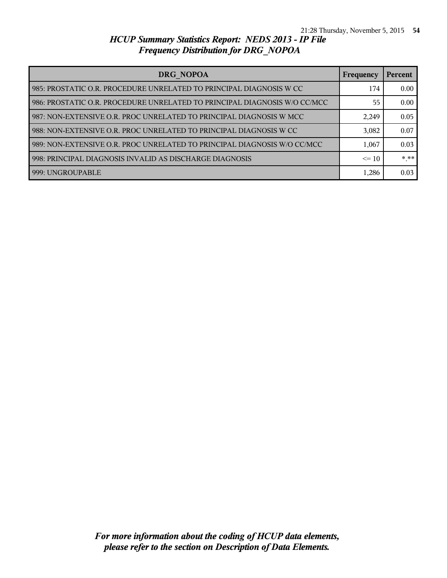| DRG NOPOA                                                                 | <b>Frequency</b> | Percent |
|---------------------------------------------------------------------------|------------------|---------|
| 985: PROSTATIC O.R. PROCEDURE UNRELATED TO PRINCIPAL DIAGNOSIS W CC       | 174              | 0.00    |
| 986: PROSTATIC O.R. PROCEDURE UNRELATED TO PRINCIPAL DIAGNOSIS W/O CC/MCC | 55               | 0.00    |
| 987: NON-EXTENSIVE O.R. PROC UNRELATED TO PRINCIPAL DIAGNOSIS W MCC       | 2,249            | 0.05    |
| 988: NON-EXTENSIVE O.R. PROC UNRELATED TO PRINCIPAL DIAGNOSIS W CC        | 3,082            | 0.07    |
| 989: NON-EXTENSIVE O.R. PROC UNRELATED TO PRINCIPAL DIAGNOSIS W/O CC/MCC  | 1,067            | 0.03    |
| 998: PRINCIPAL DIAGNOSIS INVALID AS DISCHARGE DIAGNOSIS                   | $\leq 10$        | * **    |
| 999: UNGROUPABLE                                                          | 1,286            | 0.03    |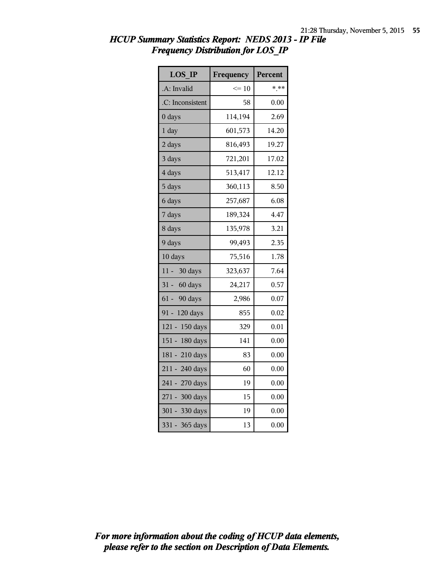| <b>LOS IP</b>     | Frequency | Percent |
|-------------------|-----------|---------|
| A: Invalid        | $\leq 10$ | $*$ **  |
| .C: Inconsistent  | 58        | 0.00    |
| 0 days            | 114,194   | 2.69    |
| 1 day             | 601,573   | 14.20   |
| 2 days            | 816,493   | 19.27   |
| 3 days            | 721,201   | 17.02   |
| 4 days            | 513,417   | 12.12   |
| 5 days            | 360,113   | 8.50    |
| 6 days            | 257,687   | 6.08    |
| 7 days            | 189,324   | 4.47    |
| 8 days            | 135,978   | 3.21    |
| 9 days            | 99,493    | 2.35    |
| 10 days           | 75,516    | 1.78    |
| $11 -$<br>30 days | 323,637   | 7.64    |
| 31 - 60 days      | 24,217    | 0.57    |
| 61 - 90 days      | 2,986     | 0.07    |
| 91 - 120 days     | 855       | 0.02    |
| 121 - 150 days    | 329       | 0.01    |
| 151 - 180 days    | 141       | 0.00    |
| 181 - 210 days    | 83        | 0.00    |
| 211 - 240 days    | 60        | 0.00    |
| 241 - 270 days    | 19        | 0.00    |
| 271 - 300 days    | 15        | 0.00    |
| 301 - 330 days    | 19        | 0.00    |
| 331 - 365 days    | 13        | 0.00    |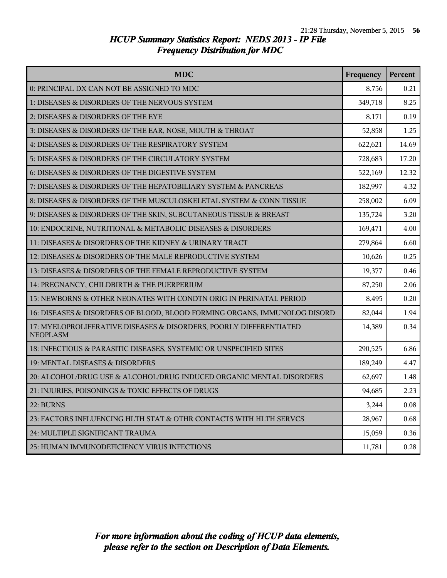| <b>MDC</b>                                                                            | Frequency | Percent |
|---------------------------------------------------------------------------------------|-----------|---------|
| 0: PRINCIPAL DX CAN NOT BE ASSIGNED TO MDC                                            | 8,756     | 0.21    |
| 1: DISEASES & DISORDERS OF THE NERVOUS SYSTEM                                         | 349,718   | 8.25    |
| 2: DISEASES & DISORDERS OF THE EYE                                                    | 8,171     | 0.19    |
| 3: DISEASES & DISORDERS OF THE EAR, NOSE, MOUTH & THROAT                              | 52,858    | 1.25    |
| 4: DISEASES & DISORDERS OF THE RESPIRATORY SYSTEM                                     | 622,621   | 14.69   |
| 5: DISEASES & DISORDERS OF THE CIRCULATORY SYSTEM                                     | 728,683   | 17.20   |
| 6: DISEASES & DISORDERS OF THE DIGESTIVE SYSTEM                                       | 522,169   | 12.32   |
| 7: DISEASES & DISORDERS OF THE HEPATOBILIARY SYSTEM & PANCREAS                        | 182,997   | 4.32    |
| 8: DISEASES & DISORDERS OF THE MUSCULOSKELETAL SYSTEM & CONN TISSUE                   | 258,002   | 6.09    |
| 9: DISEASES & DISORDERS OF THE SKIN, SUBCUTANEOUS TISSUE & BREAST                     | 135,724   | 3.20    |
| 10: ENDOCRINE, NUTRITIONAL & METABOLIC DISEASES & DISORDERS                           | 169,471   | 4.00    |
| 11: DISEASES & DISORDERS OF THE KIDNEY & URINARY TRACT                                | 279,864   | 6.60    |
| 12: DISEASES & DISORDERS OF THE MALE REPRODUCTIVE SYSTEM                              | 10,626    | 0.25    |
| 13: DISEASES & DISORDERS OF THE FEMALE REPRODUCTIVE SYSTEM                            | 19,377    | 0.46    |
| 14: PREGNANCY, CHILDBIRTH & THE PUERPERIUM                                            | 87,250    | 2.06    |
| 15: NEWBORNS & OTHER NEONATES WITH CONDTN ORIG IN PERINATAL PERIOD                    | 8,495     | 0.20    |
| 16: DISEASES & DISORDERS OF BLOOD, BLOOD FORMING ORGANS, IMMUNOLOG DISORD             | 82,044    | 1.94    |
| 17: MYELOPROLIFERATIVE DISEASES & DISORDERS, POORLY DIFFERENTIATED<br><b>NEOPLASM</b> | 14,389    | 0.34    |
| 18: INFECTIOUS & PARASITIC DISEASES, SYSTEMIC OR UNSPECIFIED SITES                    | 290,525   | 6.86    |
| 19: MENTAL DISEASES & DISORDERS                                                       | 189,249   | 4.47    |
| 20: ALCOHOL/DRUG USE & ALCOHOL/DRUG INDUCED ORGANIC MENTAL DISORDERS                  | 62,697    | 1.48    |
| 21: INJURIES, POISONINGS & TOXIC EFFECTS OF DRUGS                                     | 94,685    | 2.23    |
| 22: BURNS                                                                             | 3,244     | 0.08    |
| 23: FACTORS INFLUENCING HLTH STAT & OTHR CONTACTS WITH HLTH SERVCS                    | 28,967    | 0.68    |
| 24: MULTIPLE SIGNIFICANT TRAUMA                                                       | 15,059    | 0.36    |
| 25: HUMAN IMMUNODEFICIENCY VIRUS INFECTIONS                                           | 11,781    | 0.28    |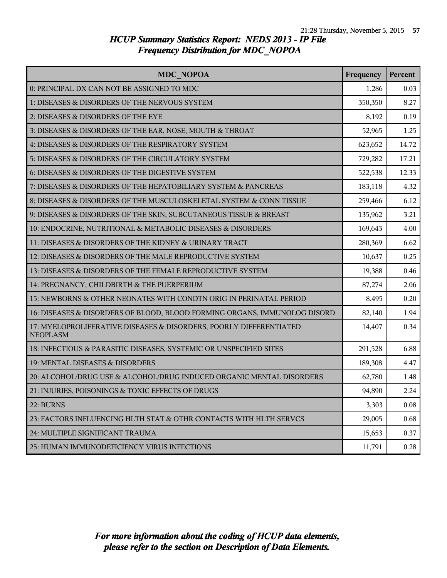| <b>MDC NOPOA</b>                                                                      | Frequency | Percent |
|---------------------------------------------------------------------------------------|-----------|---------|
| 0: PRINCIPAL DX CAN NOT BE ASSIGNED TO MDC                                            | 1,286     | 0.03    |
| 1: DISEASES & DISORDERS OF THE NERVOUS SYSTEM                                         | 350,350   | 8.27    |
| 2: DISEASES & DISORDERS OF THE EYE                                                    | 8,192     | 0.19    |
| 3: DISEASES & DISORDERS OF THE EAR, NOSE, MOUTH & THROAT                              | 52,965    | 1.25    |
| 4: DISEASES & DISORDERS OF THE RESPIRATORY SYSTEM                                     | 623,652   | 14.72   |
| 5: DISEASES & DISORDERS OF THE CIRCULATORY SYSTEM                                     | 729,282   | 17.21   |
| 6: DISEASES & DISORDERS OF THE DIGESTIVE SYSTEM                                       | 522,538   | 12.33   |
| 7: DISEASES & DISORDERS OF THE HEPATOBILIARY SYSTEM & PANCREAS                        | 183,118   | 4.32    |
| 8: DISEASES & DISORDERS OF THE MUSCULOSKELETAL SYSTEM & CONN TISSUE                   | 259,466   | 6.12    |
| 9: DISEASES & DISORDERS OF THE SKIN, SUBCUTANEOUS TISSUE & BREAST                     | 135,962   | 3.21    |
| 10: ENDOCRINE, NUTRITIONAL & METABOLIC DISEASES & DISORDERS                           | 169,643   | 4.00    |
| 11: DISEASES & DISORDERS OF THE KIDNEY & URINARY TRACT                                | 280,369   | 6.62    |
| 12: DISEASES & DISORDERS OF THE MALE REPRODUCTIVE SYSTEM                              | 10,637    | 0.25    |
| 13: DISEASES & DISORDERS OF THE FEMALE REPRODUCTIVE SYSTEM                            | 19,388    | 0.46    |
| 14: PREGNANCY, CHILDBIRTH & THE PUERPERIUM                                            | 87,274    | 2.06    |
| 15: NEWBORNS & OTHER NEONATES WITH CONDTN ORIG IN PERINATAL PERIOD                    | 8,495     | 0.20    |
| 16: DISEASES & DISORDERS OF BLOOD, BLOOD FORMING ORGANS, IMMUNOLOG DISORD             | 82,140    | 1.94    |
| 17: MYELOPROLIFERATIVE DISEASES & DISORDERS, POORLY DIFFERENTIATED<br><b>NEOPLASM</b> | 14,407    | 0.34    |
| 18: INFECTIOUS & PARASITIC DISEASES, SYSTEMIC OR UNSPECIFIED SITES                    | 291,528   | 6.88    |
| 19: MENTAL DISEASES & DISORDERS                                                       | 189,308   | 4.47    |
| 20: ALCOHOL/DRUG USE & ALCOHOL/DRUG INDUCED ORGANIC MENTAL DISORDERS                  | 62,780    | 1.48    |
| 21: INJURIES, POISONINGS & TOXIC EFFECTS OF DRUGS                                     | 94,890    | 2.24    |
| 22: BURNS                                                                             | 3,303     | 0.08    |
| 23: FACTORS INFLUENCING HLTH STAT & OTHR CONTACTS WITH HLTH SERVCS                    | 29,005    | 0.68    |
| 24: MULTIPLE SIGNIFICANT TRAUMA                                                       | 15,653    | 0.37    |
| 25: HUMAN IMMUNODEFICIENCY VIRUS INFECTIONS                                           | 11,791    | 0.28    |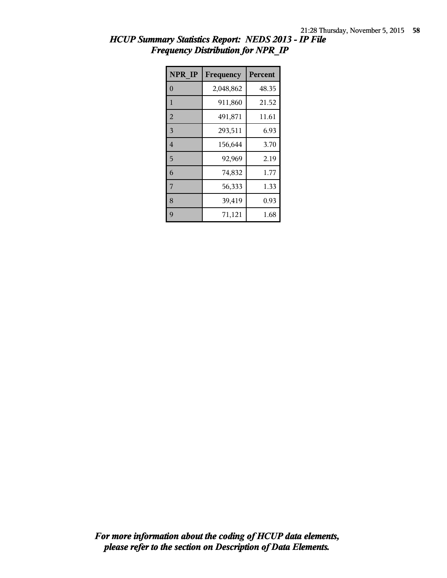| NPR IP         | Frequency | <b>Percent</b> |
|----------------|-----------|----------------|
| $\overline{0}$ | 2,048,862 | 48.35          |
| $\mathbf{1}$   | 911,860   | 21.52          |
| $\overline{2}$ | 491,871   | 11.61          |
| $\overline{3}$ | 293,511   | 6.93           |
| $\overline{4}$ | 156,644   | 3.70           |
| 5              | 92,969    | 2.19           |
| 6              | 74,832    | 1.77           |
| $\overline{7}$ | 56,333    | 1.33           |
| 8              | 39,419    | 0.93           |
| 9              | 71,121    | 1.68           |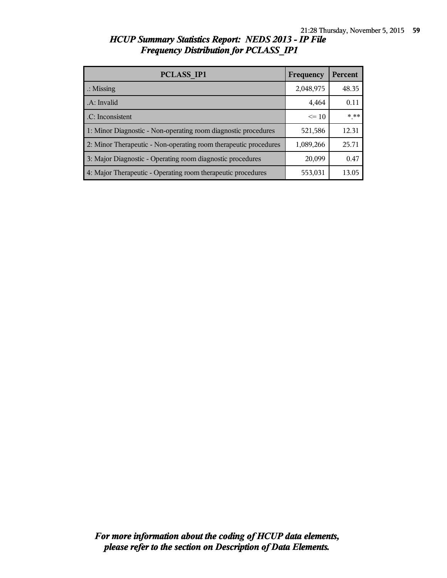| <b>HCUP Summary Statistics Report: NEDS 2013 - IP File</b> |  |
|------------------------------------------------------------|--|
| <b>Frequency Distribution for PCLASS IP1</b>               |  |

| <b>PCLASS IP1</b>                                                | Frequency | <b>Percent</b> |
|------------------------------------------------------------------|-----------|----------------|
| $\therefore$ Missing                                             | 2,048,975 | 48.35          |
| .A: Invalid                                                      | 4,464     | 0.11           |
| .C: Inconsistent                                                 | $\leq$ 10 | $***$          |
| 1: Minor Diagnostic - Non-operating room diagnostic procedures   | 521,586   | 12.31          |
| 2: Minor Therapeutic - Non-operating room therapeutic procedures | 1,089,266 | 25.71          |
| 3: Major Diagnostic - Operating room diagnostic procedures       | 20,099    | 0.47           |
| 4: Major Therapeutic - Operating room therapeutic procedures     | 553,031   | 13.05          |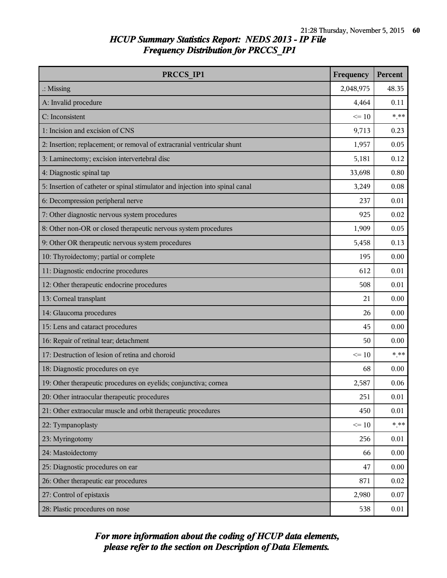| PRCCS IP1                                                                     | Frequency | Percent  |
|-------------------------------------------------------------------------------|-----------|----------|
| $\therefore$ Missing                                                          | 2,048,975 | 48.35    |
| A: Invalid procedure                                                          | 4,464     | 0.11     |
| C: Inconsistent                                                               | $\leq 10$ | $***$    |
| 1: Incision and excision of CNS                                               | 9,713     | 0.23     |
| 2: Insertion; replacement; or removal of extracranial ventricular shunt       | 1,957     | 0.05     |
| 3: Laminectomy; excision intervertebral disc                                  | 5,181     | 0.12     |
| 4: Diagnostic spinal tap                                                      | 33,698    | 0.80     |
| 5: Insertion of catheter or spinal stimulator and injection into spinal canal | 3,249     | $0.08\,$ |
| 6: Decompression peripheral nerve                                             | 237       | 0.01     |
| 7: Other diagnostic nervous system procedures                                 | 925       | 0.02     |
| 8: Other non-OR or closed therapeutic nervous system procedures               | 1,909     | 0.05     |
| 9: Other OR therapeutic nervous system procedures                             | 5,458     | 0.13     |
| 10: Thyroidectomy; partial or complete                                        | 195       | 0.00     |
| 11: Diagnostic endocrine procedures                                           | 612       | 0.01     |
| 12: Other therapeutic endocrine procedures                                    | 508       | 0.01     |
| 13: Corneal transplant                                                        | 21        | 0.00     |
| 14: Glaucoma procedures                                                       | 26        | 0.00     |
| 15: Lens and cataract procedures                                              | 45        | 0.00     |
| 16: Repair of retinal tear; detachment                                        | 50        | 0.00     |
| 17: Destruction of lesion of retina and choroid                               | $\leq 10$ | $***$    |
| 18: Diagnostic procedures on eye                                              | 68        | 0.00     |
| 19: Other therapeutic procedures on eyelids; conjunctiva; cornea              | 2,587     | 0.06     |
| 20: Other intraocular therapeutic procedures                                  | 251       | $0.01\,$ |
| 21: Other extraocular muscle and orbit therapeutic procedures                 | 450       | 0.01     |
| 22: Tympanoplasty                                                             | $\leq 10$ | $***$    |
| 23: Myringotomy                                                               | 256       | 0.01     |
| 24: Mastoidectomy                                                             | 66        | 0.00     |
| 25: Diagnostic procedures on ear                                              | 47        | 0.00     |
| 26: Other therapeutic ear procedures                                          | 871       | 0.02     |
| 27: Control of epistaxis                                                      | 2,980     | 0.07     |
| 28: Plastic procedures on nose                                                | 538       | 0.01     |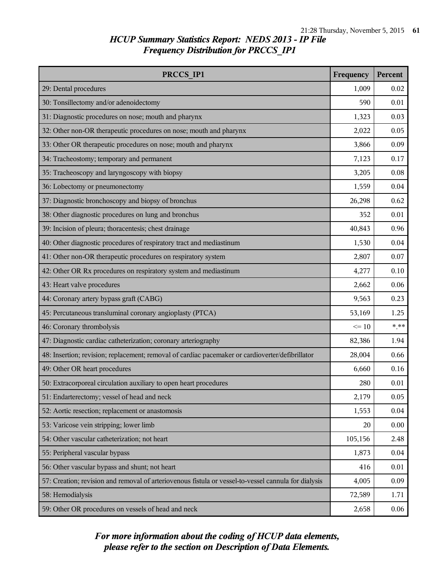| PRCCS IP1                                                                                            | Frequency | Percent |
|------------------------------------------------------------------------------------------------------|-----------|---------|
| 29: Dental procedures                                                                                | 1,009     | 0.02    |
| 30: Tonsillectomy and/or adenoidectomy                                                               | 590       | 0.01    |
| 31: Diagnostic procedures on nose; mouth and pharynx                                                 | 1,323     | 0.03    |
| 32: Other non-OR therapeutic procedures on nose; mouth and pharynx                                   | 2,022     | 0.05    |
| 33: Other OR therapeutic procedures on nose; mouth and pharynx                                       | 3,866     | 0.09    |
| 34: Tracheostomy; temporary and permanent                                                            | 7,123     | 0.17    |
| 35: Tracheoscopy and laryngoscopy with biopsy                                                        | 3,205     | 0.08    |
| 36: Lobectomy or pneumonectomy                                                                       | 1,559     | 0.04    |
| 37: Diagnostic bronchoscopy and biopsy of bronchus                                                   | 26,298    | 0.62    |
| 38: Other diagnostic procedures on lung and bronchus                                                 | 352       | 0.01    |
| 39: Incision of pleura; thoracentesis; chest drainage                                                | 40,843    | 0.96    |
| 40: Other diagnostic procedures of respiratory tract and mediastinum                                 | 1,530     | 0.04    |
| 41: Other non-OR therapeutic procedures on respiratory system                                        | 2,807     | 0.07    |
| 42: Other OR Rx procedures on respiratory system and mediastinum                                     | 4,277     | 0.10    |
| 43: Heart valve procedures                                                                           | 2,662     | 0.06    |
| 44: Coronary artery bypass graft (CABG)                                                              | 9,563     | 0.23    |
| 45: Percutaneous transluminal coronary angioplasty (PTCA)                                            | 53,169    | 1.25    |
| 46: Coronary thrombolysis                                                                            | $\leq 10$ | $***$   |
| 47: Diagnostic cardiac catheterization; coronary arteriography                                       | 82,386    | 1.94    |
| 48: Insertion; revision; replacement; removal of cardiac pacemaker or cardioverter/defibrillator     | 28,004    | 0.66    |
| 49: Other OR heart procedures                                                                        | 6,660     | 0.16    |
| 50: Extracorporeal circulation auxiliary to open heart procedures                                    | 280       | 0.01    |
| 51: Endarterectomy; vessel of head and neck                                                          | 2,179     | 0.05    |
| 52: Aortic resection; replacement or anastomosis                                                     | 1,553     | 0.04    |
| 53: Varicose vein stripping; lower limb                                                              | 20        | 0.00    |
| 54: Other vascular catheterization; not heart                                                        | 105,156   | 2.48    |
| 55: Peripheral vascular bypass                                                                       | 1,873     | 0.04    |
| 56: Other vascular bypass and shunt; not heart                                                       | 416       | 0.01    |
| 57: Creation; revision and removal of arteriovenous fistula or vessel-to-vessel cannula for dialysis | 4,005     | 0.09    |
| 58: Hemodialysis                                                                                     | 72,589    | 1.71    |
| 59: Other OR procedures on vessels of head and neck                                                  | 2,658     | 0.06    |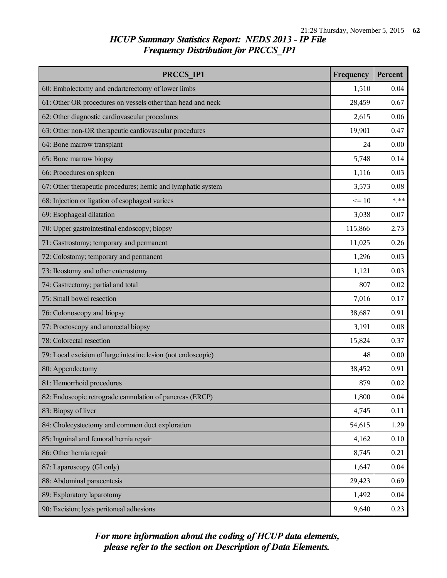| PRCCS IP1                                                     | Frequency | Percent |
|---------------------------------------------------------------|-----------|---------|
| 60: Embolectomy and endarterectomy of lower limbs             | 1,510     | 0.04    |
| 61: Other OR procedures on vessels other than head and neck   | 28,459    | 0.67    |
| 62: Other diagnostic cardiovascular procedures                | 2,615     | 0.06    |
| 63: Other non-OR therapeutic cardiovascular procedures        | 19,901    | 0.47    |
| 64: Bone marrow transplant                                    | 24        | 0.00    |
| 65: Bone marrow biopsy                                        | 5,748     | 0.14    |
| 66: Procedures on spleen                                      | 1,116     | 0.03    |
| 67: Other therapeutic procedures; hemic and lymphatic system  | 3,573     | 0.08    |
| 68: Injection or ligation of esophageal varices               | $\leq 10$ | $***$   |
| 69: Esophageal dilatation                                     | 3,038     | 0.07    |
| 70: Upper gastrointestinal endoscopy; biopsy                  | 115,866   | 2.73    |
| 71: Gastrostomy; temporary and permanent                      | 11,025    | 0.26    |
| 72: Colostomy; temporary and permanent                        | 1,296     | 0.03    |
| 73: Ileostomy and other enterostomy                           | 1,121     | 0.03    |
| 74: Gastrectomy; partial and total                            | 807       | 0.02    |
| 75: Small bowel resection                                     | 7,016     | 0.17    |
| 76: Colonoscopy and biopsy                                    | 38,687    | 0.91    |
| 77: Proctoscopy and anorectal biopsy                          | 3,191     | 0.08    |
| 78: Colorectal resection                                      | 15,824    | 0.37    |
| 79: Local excision of large intestine lesion (not endoscopic) | 48        | 0.00    |
| 80: Appendectomy                                              | 38,452    | 0.91    |
| 81: Hemorrhoid procedures                                     | 879       | 0.02    |
| 82: Endoscopic retrograde cannulation of pancreas (ERCP)      | 1,800     | 0.04    |
| 83: Biopsy of liver                                           | 4,745     | 0.11    |
| 84: Cholecystectomy and common duct exploration               | 54,615    | 1.29    |
| 85: Inguinal and femoral hernia repair                        | 4,162     | 0.10    |
| 86: Other hernia repair                                       | 8,745     | 0.21    |
| 87: Laparoscopy (GI only)                                     | 1,647     | 0.04    |
| 88: Abdominal paracentesis                                    | 29,423    | 0.69    |
| 89: Exploratory laparotomy                                    | 1,492     | 0.04    |
| 90: Excision; lysis peritoneal adhesions                      | 9,640     | 0.23    |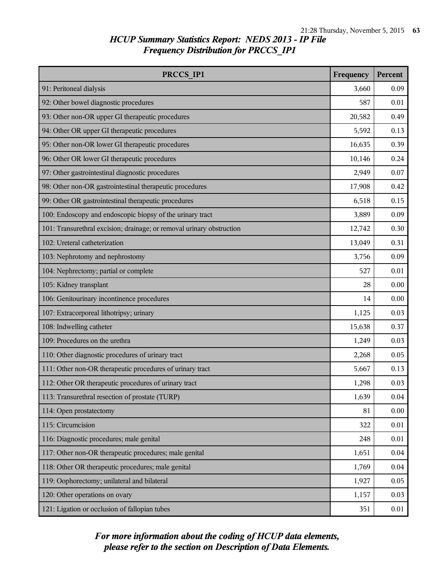| PRCCS IP1                                                             | Frequency | Percent |
|-----------------------------------------------------------------------|-----------|---------|
| 91: Peritoneal dialysis                                               | 3,660     | 0.09    |
| 92: Other bowel diagnostic procedures                                 | 587       | 0.01    |
| 93: Other non-OR upper GI therapeutic procedures                      | 20,582    | 0.49    |
| 94: Other OR upper GI therapeutic procedures                          | 5,592     | 0.13    |
| 95: Other non-OR lower GI therapeutic procedures                      | 16,635    | 0.39    |
| 96: Other OR lower GI therapeutic procedures                          | 10,146    | 0.24    |
| 97: Other gastrointestinal diagnostic procedures                      | 2,949     | 0.07    |
| 98: Other non-OR gastrointestinal therapeutic procedures              | 17,908    | 0.42    |
| 99: Other OR gastrointestinal therapeutic procedures                  | 6,518     | 0.15    |
| 100: Endoscopy and endoscopic biopsy of the urinary tract             | 3,889     | 0.09    |
| 101: Transurethral excision; drainage; or removal urinary obstruction | 12,742    | 0.30    |
| 102: Ureteral catheterization                                         | 13,049    | 0.31    |
| 103: Nephrotomy and nephrostomy                                       | 3,756     | 0.09    |
| 104: Nephrectomy; partial or complete                                 | 527       | 0.01    |
| 105: Kidney transplant                                                | 28        | 0.00    |
| 106: Genitourinary incontinence procedures                            | 14        | 0.00    |
| 107: Extracorporeal lithotripsy; urinary                              | 1,125     | 0.03    |
| 108: Indwelling catheter                                              | 15,638    | 0.37    |
| 109: Procedures on the urethra                                        | 1,249     | 0.03    |
| 110: Other diagnostic procedures of urinary tract                     | 2,268     | 0.05    |
| 111: Other non-OR therapeutic procedures of urinary tract             | 5,667     | 0.13    |
| 112: Other OR therapeutic procedures of urinary tract                 | 1,298     | 0.03    |
| 113: Transurethral resection of prostate (TURP)                       | 1,639     | 0.04    |
| 114: Open prostatectomy                                               | 81        | 0.00    |
| 115: Circumcision                                                     | 322       | 0.01    |
| 116: Diagnostic procedures; male genital                              | 248       | 0.01    |
| 117: Other non-OR therapeutic procedures; male genital                | 1,651     | 0.04    |
| 118: Other OR therapeutic procedures; male genital                    | 1,769     | 0.04    |
| 119: Oophorectomy; unilateral and bilateral                           | 1,927     | 0.05    |
| 120: Other operations on ovary                                        | 1,157     | 0.03    |
| 121: Ligation or occlusion of fallopian tubes                         | 351       | 0.01    |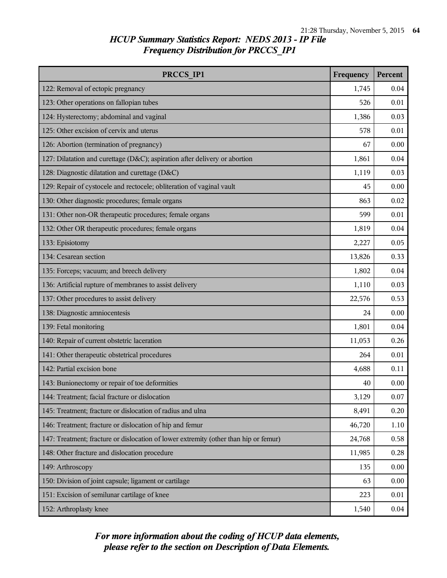| PRCCS IP1                                                                            | Frequency | Percent |
|--------------------------------------------------------------------------------------|-----------|---------|
| 122: Removal of ectopic pregnancy                                                    | 1,745     | 0.04    |
| 123: Other operations on fallopian tubes                                             | 526       | 0.01    |
| 124: Hysterectomy; abdominal and vaginal                                             | 1,386     | 0.03    |
| 125: Other excision of cervix and uterus                                             | 578       | 0.01    |
| 126: Abortion (termination of pregnancy)                                             | 67        | 0.00    |
| 127: Dilatation and curettage (D&C); aspiration after delivery or abortion           | 1,861     | 0.04    |
| 128: Diagnostic dilatation and curettage (D&C)                                       | 1,119     | 0.03    |
| 129: Repair of cystocele and rectocele; obliteration of vaginal vault                | 45        | 0.00    |
| 130: Other diagnostic procedures; female organs                                      | 863       | 0.02    |
| 131: Other non-OR therapeutic procedures; female organs                              | 599       | 0.01    |
| 132: Other OR therapeutic procedures; female organs                                  | 1,819     | 0.04    |
| 133: Episiotomy                                                                      | 2,227     | 0.05    |
| 134: Cesarean section                                                                | 13,826    | 0.33    |
| 135: Forceps; vacuum; and breech delivery                                            | 1,802     | 0.04    |
| 136: Artificial rupture of membranes to assist delivery                              | 1,110     | 0.03    |
| 137: Other procedures to assist delivery                                             | 22,576    | 0.53    |
| 138: Diagnostic amniocentesis                                                        | 24        | 0.00    |
| 139: Fetal monitoring                                                                | 1,801     | 0.04    |
| 140: Repair of current obstetric laceration                                          | 11,053    | 0.26    |
| 141: Other therapeutic obstetrical procedures                                        | 264       | 0.01    |
| 142: Partial excision bone                                                           | 4,688     | 0.11    |
| 143: Bunionectomy or repair of toe deformities                                       | 40        | 0.00    |
| 144: Treatment; facial fracture or dislocation                                       | 3,129     | 0.07    |
| 145: Treatment; fracture or dislocation of radius and ulna                           | 8,491     | 0.20    |
| 146: Treatment; fracture or dislocation of hip and femur                             | 46,720    | 1.10    |
| 147: Treatment; fracture or dislocation of lower extremity (other than hip or femur) | 24,768    | 0.58    |
| 148: Other fracture and dislocation procedure                                        | 11,985    | 0.28    |
| 149: Arthroscopy                                                                     | 135       | 0.00    |
| 150: Division of joint capsule; ligament or cartilage                                | 63        | 0.00    |
| 151: Excision of semilunar cartilage of knee                                         | 223       | 0.01    |
| 152: Arthroplasty knee                                                               | 1,540     | 0.04    |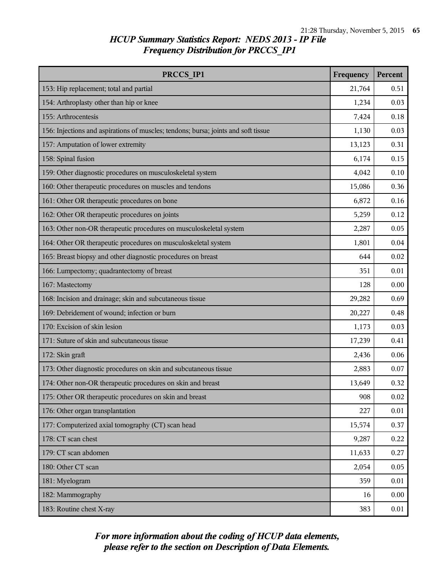| PRCCS IP1                                                                          | Frequency | Percent  |
|------------------------------------------------------------------------------------|-----------|----------|
| 153: Hip replacement; total and partial                                            | 21,764    | 0.51     |
| 154: Arthroplasty other than hip or knee                                           | 1,234     | 0.03     |
| 155: Arthrocentesis                                                                | 7,424     | 0.18     |
| 156: Injections and aspirations of muscles; tendons; bursa; joints and soft tissue | 1,130     | 0.03     |
| 157: Amputation of lower extremity                                                 | 13,123    | 0.31     |
| 158: Spinal fusion                                                                 | 6,174     | 0.15     |
| 159: Other diagnostic procedures on musculoskeletal system                         | 4,042     | 0.10     |
| 160: Other therapeutic procedures on muscles and tendons                           | 15,086    | 0.36     |
| 161: Other OR therapeutic procedures on bone                                       | 6,872     | 0.16     |
| 162: Other OR therapeutic procedures on joints                                     | 5,259     | 0.12     |
| 163: Other non-OR therapeutic procedures on musculoskeletal system                 | 2,287     | 0.05     |
| 164: Other OR therapeutic procedures on musculoskeletal system                     | 1,801     | 0.04     |
| 165: Breast biopsy and other diagnostic procedures on breast                       | 644       | 0.02     |
| 166: Lumpectomy; quadrantectomy of breast                                          | 351       | 0.01     |
| 167: Mastectomy                                                                    | 128       | 0.00     |
| 168: Incision and drainage; skin and subcutaneous tissue                           | 29,282    | 0.69     |
| 169: Debridement of wound; infection or burn                                       | 20,227    | 0.48     |
| 170: Excision of skin lesion                                                       | 1,173     | 0.03     |
| 171: Suture of skin and subcutaneous tissue                                        | 17,239    | 0.41     |
| 172: Skin graft                                                                    | 2,436     | 0.06     |
| 173: Other diagnostic procedures on skin and subcutaneous tissue                   | 2,883     | 0.07     |
| 174: Other non-OR therapeutic procedures on skin and breast                        | 13,649    | 0.32     |
| 175: Other OR therapeutic procedures on skin and breast                            | 908       | $0.02\,$ |
| 176: Other organ transplantation                                                   | 227       | 0.01     |
| 177: Computerized axial tomography (CT) scan head                                  | 15,574    | 0.37     |
| 178: CT scan chest                                                                 | 9,287     | 0.22     |
| 179: CT scan abdomen                                                               | 11,633    | 0.27     |
| 180: Other CT scan                                                                 | 2,054     | 0.05     |
| 181: Myelogram                                                                     | 359       | 0.01     |
| 182: Mammography                                                                   | 16        | 0.00     |
| 183: Routine chest X-ray                                                           | 383       | 0.01     |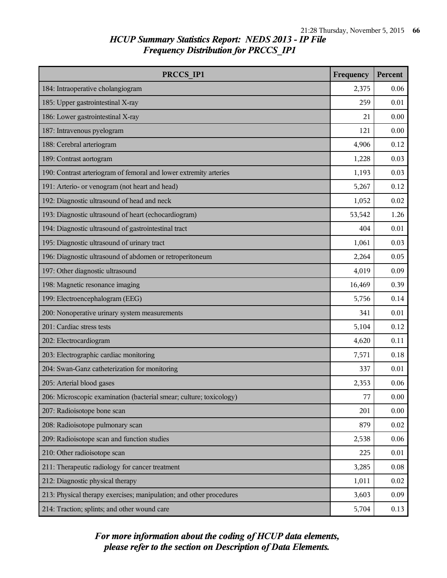| PRCCS IP1                                                           | Frequency | Percent |
|---------------------------------------------------------------------|-----------|---------|
| 184: Intraoperative cholangiogram                                   | 2,375     | 0.06    |
| 185: Upper gastrointestinal X-ray                                   | 259       | 0.01    |
| 186: Lower gastrointestinal X-ray                                   | 21        | 0.00    |
| 187: Intravenous pyelogram                                          | 121       | 0.00    |
| 188: Cerebral arteriogram                                           | 4,906     | 0.12    |
| 189: Contrast aortogram                                             | 1,228     | 0.03    |
| 190: Contrast arteriogram of femoral and lower extremity arteries   | 1,193     | 0.03    |
| 191: Arterio- or venogram (not heart and head)                      | 5,267     | 0.12    |
| 192: Diagnostic ultrasound of head and neck                         | 1,052     | 0.02    |
| 193: Diagnostic ultrasound of heart (echocardiogram)                | 53,542    | 1.26    |
| 194: Diagnostic ultrasound of gastrointestinal tract                | 404       | 0.01    |
| 195: Diagnostic ultrasound of urinary tract                         | 1,061     | 0.03    |
| 196: Diagnostic ultrasound of abdomen or retroperitoneum            | 2,264     | 0.05    |
| 197: Other diagnostic ultrasound                                    | 4,019     | 0.09    |
| 198: Magnetic resonance imaging                                     | 16,469    | 0.39    |
| 199: Electroencephalogram (EEG)                                     | 5,756     | 0.14    |
| 200: Nonoperative urinary system measurements                       | 341       | 0.01    |
| 201: Cardiac stress tests                                           | 5,104     | 0.12    |
| 202: Electrocardiogram                                              | 4,620     | 0.11    |
| 203: Electrographic cardiac monitoring                              | 7,571     | 0.18    |
| 204: Swan-Ganz catheterization for monitoring                       | 337       | 0.01    |
| 205: Arterial blood gases                                           | 2,353     | 0.06    |
| 206: Microscopic examination (bacterial smear; culture; toxicology) | 77        | 0.00    |
| 207: Radioisotope bone scan                                         | 201       | 0.00    |
| 208: Radioisotope pulmonary scan                                    | 879       | 0.02    |
| 209: Radioisotope scan and function studies                         | 2,538     | 0.06    |
| 210: Other radioisotope scan                                        | 225       | 0.01    |
| 211: Therapeutic radiology for cancer treatment                     | 3,285     | 0.08    |
| 212: Diagnostic physical therapy                                    | 1,011     | 0.02    |
| 213: Physical therapy exercises; manipulation; and other procedures | 3,603     | 0.09    |
| 214: Traction; splints; and other wound care                        | 5,704     | 0.13    |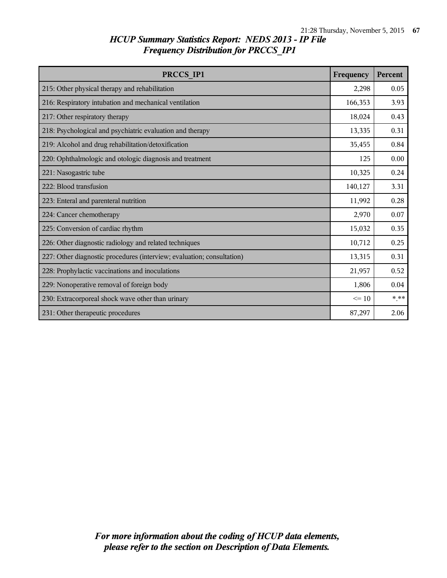| PRCCS IP1                                                              | Frequency | Percent |
|------------------------------------------------------------------------|-----------|---------|
| 215: Other physical therapy and rehabilitation                         | 2,298     | 0.05    |
| 216: Respiratory intubation and mechanical ventilation                 | 166,353   | 3.93    |
| 217: Other respiratory therapy                                         | 18,024    | 0.43    |
| 218: Psychological and psychiatric evaluation and therapy              | 13,335    | 0.31    |
| 219: Alcohol and drug rehabilitation/detoxification                    | 35,455    | 0.84    |
| 220: Ophthalmologic and otologic diagnosis and treatment               | 125       | 0.00    |
| 221: Nasogastric tube                                                  | 10,325    | 0.24    |
| 222: Blood transfusion                                                 | 140,127   | 3.31    |
| 223: Enteral and parenteral nutrition                                  | 11,992    | 0.28    |
| 224: Cancer chemotherapy                                               | 2,970     | 0.07    |
| 225: Conversion of cardiac rhythm                                      | 15,032    | 0.35    |
| 226: Other diagnostic radiology and related techniques                 | 10,712    | 0.25    |
| 227: Other diagnostic procedures (interview; evaluation; consultation) | 13,315    | 0.31    |
| 228: Prophylactic vaccinations and inoculations                        | 21,957    | 0.52    |
| 229: Nonoperative removal of foreign body                              | 1,806     | 0.04    |
| 230: Extracorporeal shock wave other than urinary                      | $\leq$ 10 | * **    |
| 231: Other therapeutic procedures                                      | 87,297    | 2.06    |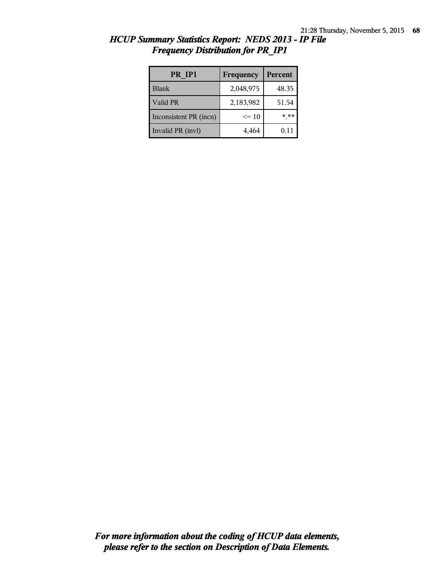| PR IP1                 | Frequency | Percent |
|------------------------|-----------|---------|
| <b>Blank</b>           | 2,048,975 | 48.35   |
| Valid PR               | 2,183,982 | 51.54   |
| Inconsistent PR (incn) | $\leq$ 10 | * **    |
| Invalid PR (invl)      | 4,464     | 0.11    |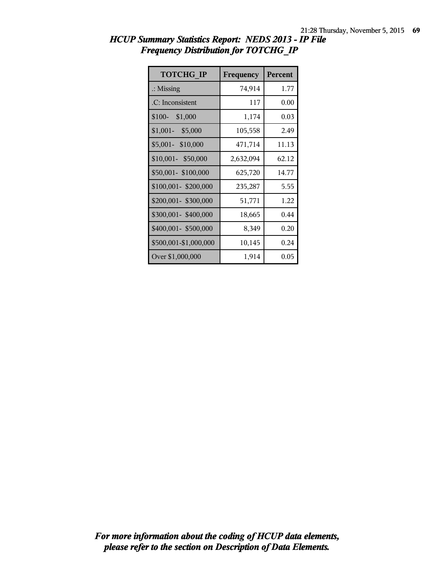| <b>TOTCHG IP</b>      | Frequency | <b>Percent</b> |
|-----------------------|-----------|----------------|
| $\therefore$ Missing  | 74,914    | 1.77           |
| .C: Inconsistent      | 117       | 0.00           |
| \$100-<br>\$1,000     | 1,174     | 0.03           |
| $$1,001-$<br>\$5,000  | 105,558   | 2.49           |
| \$5,001- \$10,000     | 471,714   | 11.13          |
| \$10,001- \$50,000    | 2,632,094 | 62.12          |
| \$50,001-\$100,000    | 625,720   | 14.77          |
| \$100,001-\$200,000   | 235,287   | 5.55           |
| \$200,001- \$300,000  | 51,771    | 1.22           |
| \$300,001-\$400,000   | 18,665    | 0.44           |
| \$400,001-\$500,000   | 8,349     | 0.20           |
| \$500,001-\$1,000,000 | 10,145    | 0.24           |
| Over \$1,000,000      | 1,914     | 0.05           |

| HCUP Summary Statistics Report: NEDS 2013 - IP File |  |
|-----------------------------------------------------|--|
| <b>Frequency Distribution for TOTCHG IP</b>         |  |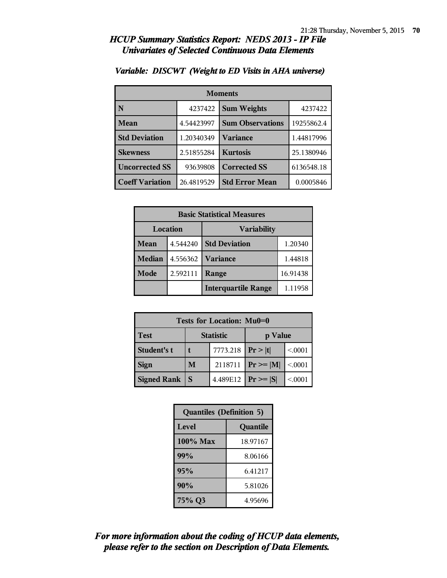#### *HCUP Summary Statistics Report: NEDS 2013 - IP File Univariates of Selected Continuous Data Elements*

| <b>Moments</b>         |            |                         |            |
|------------------------|------------|-------------------------|------------|
| N                      | 4237422    | <b>Sum Weights</b>      | 4237422    |
| Mean                   | 4.54423997 | <b>Sum Observations</b> | 19255862.4 |
| <b>Std Deviation</b>   | 1.20340349 | <b>Variance</b>         | 1.44817996 |
| <b>Skewness</b>        | 2.51855284 | <b>Kurtosis</b>         | 25.1380946 |
| <b>Uncorrected SS</b>  | 93639808   | <b>Corrected SS</b>     | 6136548.18 |
| <b>Coeff Variation</b> | 26.4819529 | <b>Std Error Mean</b>   | 0.0005846  |

#### *Variable: DISCWT (Weight to ED Visits in AHA universe)*

| <b>Basic Statistical Measures</b> |          |                            |          |
|-----------------------------------|----------|----------------------------|----------|
| Location                          |          | <b>Variability</b>         |          |
| <b>Mean</b>                       | 4.544240 | <b>Std Deviation</b>       | 1.20340  |
| <b>Median</b>                     | 4.556362 | <b>Variance</b>            | 1.44818  |
| Mode                              | 2.592111 | Range                      | 16.91438 |
|                                   |          | <b>Interquartile Range</b> | 1.11958  |

| Tests for Location: Mu0=0 |                  |          |                |         |
|---------------------------|------------------|----------|----------------|---------|
| <b>Test</b>               | <b>Statistic</b> |          | p Value        |         |
| Student's t               |                  | 7773.218 | Pr> t          | < 0.001 |
| <b>Sign</b>               | M                | 2118711  | $P_r \geq  M $ | < 0.001 |
| <b>Signed Rank</b>        | S                | 4.489E12 | $Pr \geq  S $  | < 0001  |

| <b>Quantiles (Definition 5)</b> |          |  |
|---------------------------------|----------|--|
| Level<br>Quantile               |          |  |
| $100\%$ Max                     | 18.97167 |  |
| 99%                             | 8.06166  |  |
| 95%                             | 6.41217  |  |
| 90%                             | 5.81026  |  |
| 75% Q3                          | 4.95696  |  |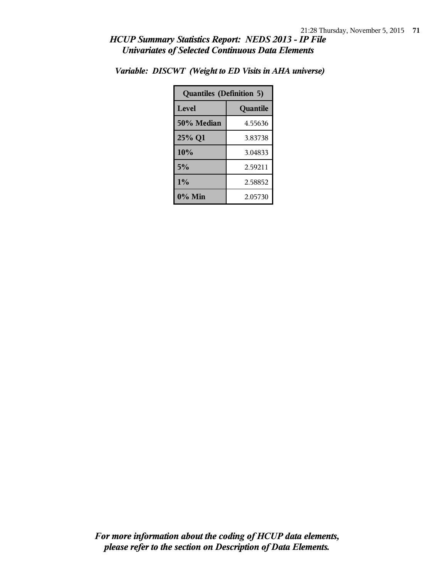#### *HCUP Summary Statistics Report: NEDS 2013 - IP File Univariates of Selected Continuous Data Elements*

| <b>Quantiles (Definition 5)</b> |          |  |
|---------------------------------|----------|--|
| Level                           | Quantile |  |
| 50% Median                      | 4.55636  |  |
| 25% Q1                          | 3.83738  |  |
| 10%                             | 3.04833  |  |
| 5%                              | 2.59211  |  |
| $1\%$                           | 2.58852  |  |
| $0\%$ Min                       | 2.05730  |  |

*Variable: DISCWT (Weight to ED Visits in AHA universe)*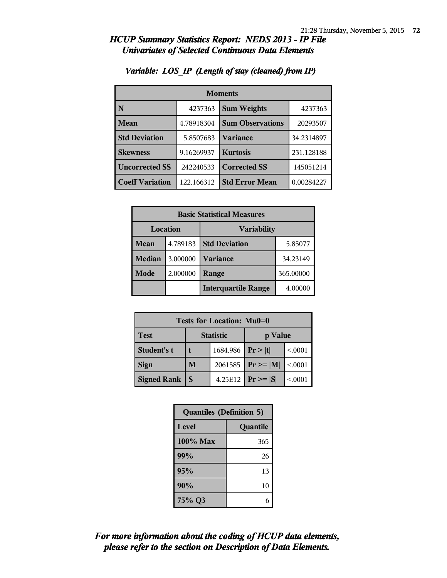### *HCUP Summary Statistics Report: NEDS 2013 - IP File Univariates of Selected Continuous Data Elements*

| <b>Moments</b>         |            |                         |            |  |
|------------------------|------------|-------------------------|------------|--|
|                        | 4237363    | <b>Sum Weights</b>      | 4237363    |  |
| Mean                   | 4.78918304 | <b>Sum Observations</b> | 20293507   |  |
| <b>Std Deviation</b>   | 5.8507683  | <b>Variance</b>         | 34.2314897 |  |
| <b>Skewness</b>        | 9.16269937 | <b>Kurtosis</b>         | 231.128188 |  |
| <b>Uncorrected SS</b>  | 242240533  | <b>Corrected SS</b>     | 145051214  |  |
| <b>Coeff Variation</b> | 122.166312 | <b>Std Error Mean</b>   | 0.00284227 |  |

# *Variable: LOS\_IP (Length of stay (cleaned) from IP)*

| <b>Basic Statistical Measures</b> |          |                            |           |
|-----------------------------------|----------|----------------------------|-----------|
| Location                          |          | <b>Variability</b>         |           |
| Mean                              | 4.789183 | <b>Std Deviation</b>       | 5.85077   |
| <b>Median</b>                     | 3.000000 | Variance                   | 34.23149  |
| Mode                              | 2.000000 | Range                      | 365.00000 |
|                                   |          | <b>Interquartile Range</b> | 4.00000   |

| Tests for Location: Mu0=0 |                  |                       |                       |         |
|---------------------------|------------------|-----------------------|-----------------------|---------|
| <b>Test</b>               | <b>Statistic</b> |                       | p Value               |         |
| Student's t               |                  | 1684.986   $Pr >  t $ |                       | < 0.001 |
| <b>Sign</b>               | M                | 2061585               | $ Pr \ge =  M $       | < 0.001 |
| <b>Signed Rank</b>        |                  |                       | 4.25E12 $ Pr \ge  S $ | < 0.001 |

| <b>Quantiles (Definition 5)</b> |          |  |
|---------------------------------|----------|--|
| Level                           | Quantile |  |
| 100% Max                        | 365      |  |
| 99%                             | 26       |  |
| 95%                             | 13       |  |
| 90%                             | 10       |  |
| 75% Q3                          | 6        |  |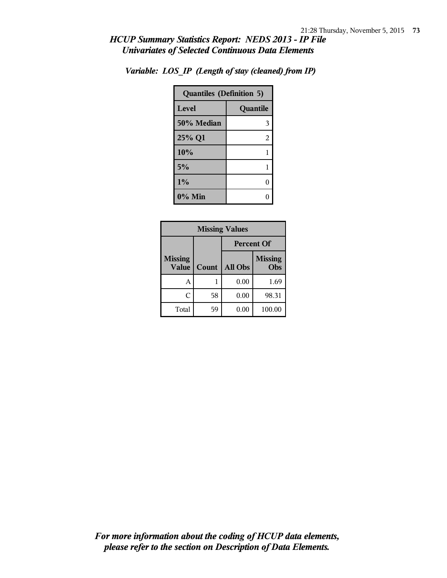## *HCUP Summary Statistics Report: NEDS 2013 - IP File Univariates of Selected Continuous Data Elements*

| <b>Quantiles (Definition 5)</b> |          |  |
|---------------------------------|----------|--|
| Level                           | Quantile |  |
| 50% Median                      | 3        |  |
| 25% Q1                          | 2        |  |
| 10%                             | 1        |  |
| 5%                              | 1        |  |
| 1%                              | 0        |  |
| $0\%$ Min                       |          |  |

*Variable: LOS\_IP (Length of stay (cleaned) from IP)*

| <b>Missing Values</b>          |       |                   |                       |
|--------------------------------|-------|-------------------|-----------------------|
|                                |       | <b>Percent Of</b> |                       |
| <b>Missing</b><br><b>Value</b> | Count | All Obs           | <b>Missing</b><br>Obs |
| А                              |       | 0.00              | 1.69                  |
| C                              | 58    | 0.00              | 98.31                 |
| Total                          | 59    | 0.00              | 100.00                |

*please refer to the section on Description of Data Elements. For more information about the coding of HCUP data elements,*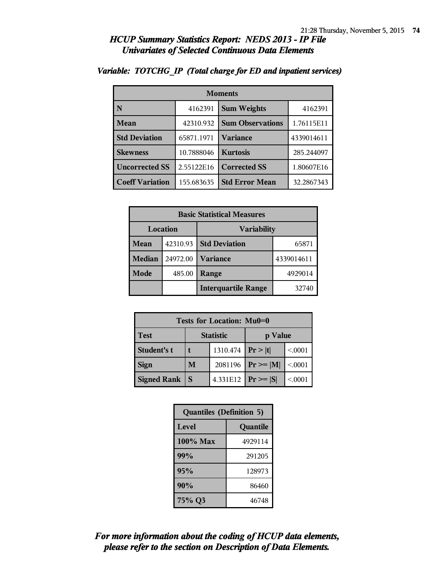### *HCUP Summary Statistics Report: NEDS 2013 - IP File Univariates of Selected Continuous Data Elements*

| <b>Moments</b>         |            |                         |            |
|------------------------|------------|-------------------------|------------|
| N                      | 4162391    | <b>Sum Weights</b>      | 4162391    |
| Mean                   | 42310.932  | <b>Sum Observations</b> | 1.76115E11 |
| <b>Std Deviation</b>   | 65871.1971 | Variance                | 4339014611 |
| <b>Skewness</b>        | 10.7888046 | <b>Kurtosis</b>         | 285.244097 |
| <b>Uncorrected SS</b>  | 2.55122E16 | <b>Corrected SS</b>     | 1.80607E16 |
| <b>Coeff Variation</b> | 155.683635 | <b>Std Error Mean</b>   | 32.2867343 |

## *Variable: TOTCHG\_IP (Total charge for ED and inpatient services)*

| <b>Basic Statistical Measures</b> |          |                            |            |  |
|-----------------------------------|----------|----------------------------|------------|--|
| Location                          |          | <b>Variability</b>         |            |  |
| Mean                              | 42310.93 | <b>Std Deviation</b>       | 65871      |  |
| <b>Median</b>                     | 24972.00 | <b>Variance</b>            | 4339014611 |  |
| Mode                              | 485.00   | Range                      | 4929014    |  |
|                                   |          | <b>Interquartile Range</b> | 32740      |  |

| Tests for Location: Mu0=0 |                  |                    |                               |         |  |
|---------------------------|------------------|--------------------|-------------------------------|---------|--|
| <b>Test</b>               | <b>Statistic</b> |                    | p Value                       |         |  |
| Student's t               |                  | 1310.474 $ Pr> t $ |                               | < 0.001 |  |
| <b>Sign</b>               | M                | 2081196            | $\mathbf{Pr} \geq \mathbf{M}$ | < .0001 |  |
| <b>Signed Rank</b>        | S                | 4.331E12           | $Pr \geq  S $                 | < .0001 |  |

| <b>Quantiles (Definition 5)</b> |          |  |
|---------------------------------|----------|--|
| Level                           | Quantile |  |
| 100% Max                        | 4929114  |  |
| 99%                             | 291205   |  |
| 95%                             | 128973   |  |
| 90%                             | 86460    |  |
| 75% Q3                          | 46748    |  |

# *please refer to the section on Description of Data Elements. For more information about the coding of HCUP data elements,*